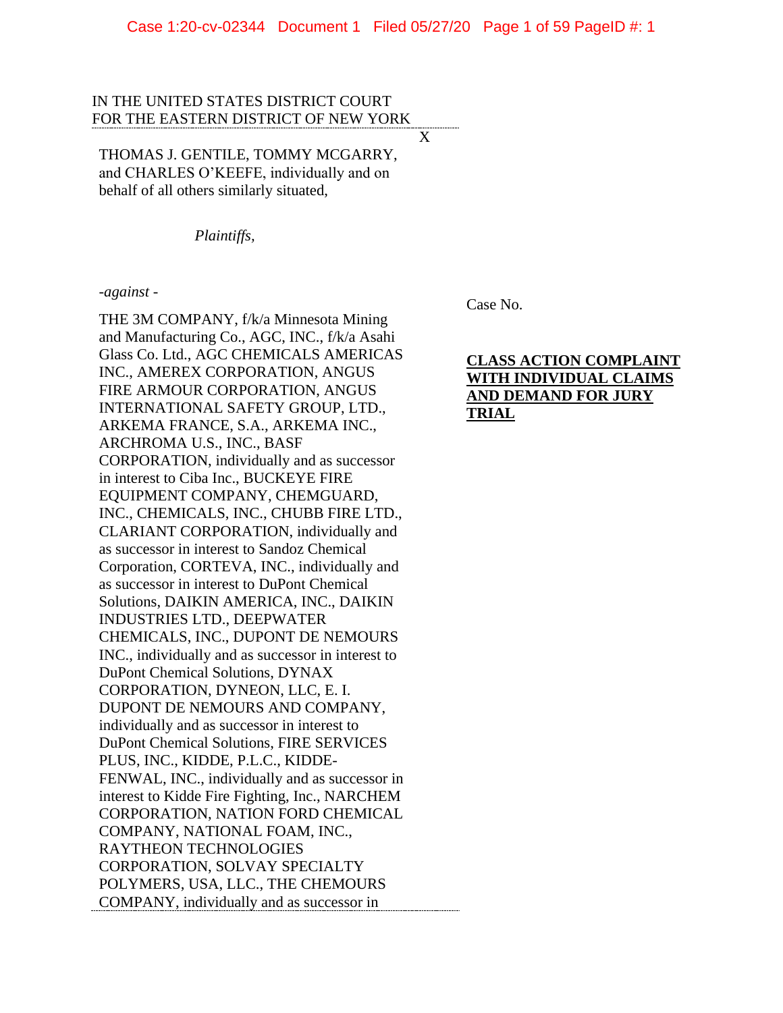X

## IN THE UNITED STATES DISTRICT COURT FOR THE EASTERN DISTRICT OF NEW YORK

THOMAS J. GENTILE, TOMMY MCGARRY, and CHARLES O'KEEFE, individually and on behalf of all others similarly situated,

*Plaintiffs,*

#### *-against -*

THE 3M COMPANY, f/k/a Minnesota Mining and Manufacturing Co., AGC, INC., f/k/a Asahi Glass Co. Ltd., AGC CHEMICALS AMERICAS INC., AMEREX CORPORATION, ANGUS FIRE ARMOUR CORPORATION, ANGUS INTERNATIONAL SAFETY GROUP, LTD., ARKEMA FRANCE, S.A., ARKEMA INC., ARCHROMA U.S., INC., BASF CORPORATION, individually and as successor in interest to Ciba Inc., BUCKEYE FIRE EQUIPMENT COMPANY, CHEMGUARD, INC., CHEMICALS, INC., CHUBB FIRE LTD., CLARIANT CORPORATION, individually and as successor in interest to Sandoz Chemical Corporation, CORTEVA, INC., individually and as successor in interest to DuPont Chemical Solutions, DAIKIN AMERICA, INC., DAIKIN INDUSTRIES LTD., DEEPWATER CHEMICALS, INC., DUPONT DE NEMOURS INC., individually and as successor in interest to DuPont Chemical Solutions, DYNAX CORPORATION, DYNEON, LLC, E. I. DUPONT DE NEMOURS AND COMPANY, individually and as successor in interest to DuPont Chemical Solutions, FIRE SERVICES PLUS, INC., KIDDE, P.L.C., KIDDE-FENWAL, INC., individually and as successor in interest to Kidde Fire Fighting, Inc., NARCHEM CORPORATION, NATION FORD CHEMICAL COMPANY, NATIONAL FOAM, INC., RAYTHEON TECHNOLOGIES CORPORATION, SOLVAY SPECIALTY POLYMERS, USA, LLC., THE CHEMOURS COMPANY, individually and as successor in

Case No.

# **CLASS ACTION COMPLAINT WITH INDIVIDUAL CLAIMS AND DEMAND FOR JURY TRIAL**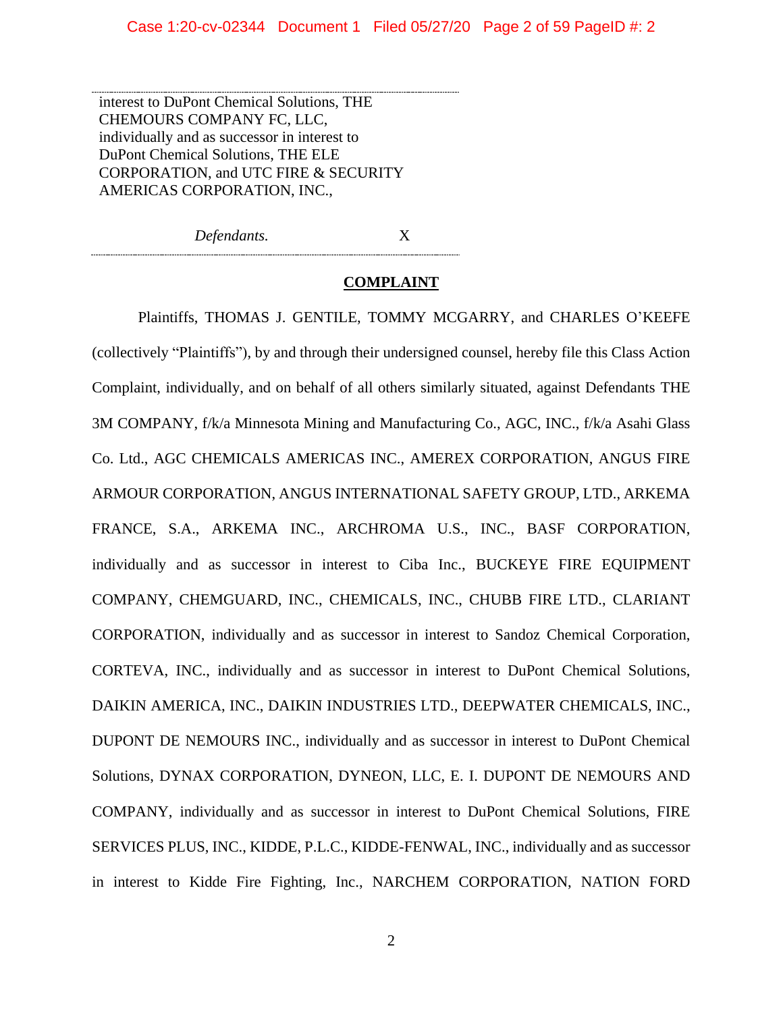interest to DuPont Chemical Solutions, THE CHEMOURS COMPANY FC, LLC, individually and as successor in interest to DuPont Chemical Solutions, THE ELE CORPORATION, and UTC FIRE & SECURITY AMERICAS CORPORATION, INC.,

*Defendants.* X

## **COMPLAINT**

Plaintiffs, THOMAS J. GENTILE, TOMMY MCGARRY, and CHARLES O'KEEFE (collectively "Plaintiffs"), by and through their undersigned counsel, hereby file this Class Action Complaint, individually, and on behalf of all others similarly situated, against Defendants THE 3M COMPANY, f/k/a Minnesota Mining and Manufacturing Co., AGC, INC., f/k/a Asahi Glass Co. Ltd., AGC CHEMICALS AMERICAS INC., AMEREX CORPORATION, ANGUS FIRE ARMOUR CORPORATION, ANGUS INTERNATIONAL SAFETY GROUP, LTD., ARKEMA FRANCE, S.A., ARKEMA INC., ARCHROMA U.S., INC., BASF CORPORATION, individually and as successor in interest to Ciba Inc., BUCKEYE FIRE EQUIPMENT COMPANY, CHEMGUARD, INC., CHEMICALS, INC., CHUBB FIRE LTD., CLARIANT CORPORATION, individually and as successor in interest to Sandoz Chemical Corporation, CORTEVA, INC., individually and as successor in interest to DuPont Chemical Solutions, DAIKIN AMERICA, INC., DAIKIN INDUSTRIES LTD., DEEPWATER CHEMICALS, INC., DUPONT DE NEMOURS INC., individually and as successor in interest to DuPont Chemical Solutions, DYNAX CORPORATION, DYNEON, LLC, E. I. DUPONT DE NEMOURS AND COMPANY, individually and as successor in interest to DuPont Chemical Solutions, FIRE SERVICES PLUS, INC., KIDDE, P.L.C., KIDDE-FENWAL, INC., individually and as successor in interest to Kidde Fire Fighting, Inc., NARCHEM CORPORATION, NATION FORD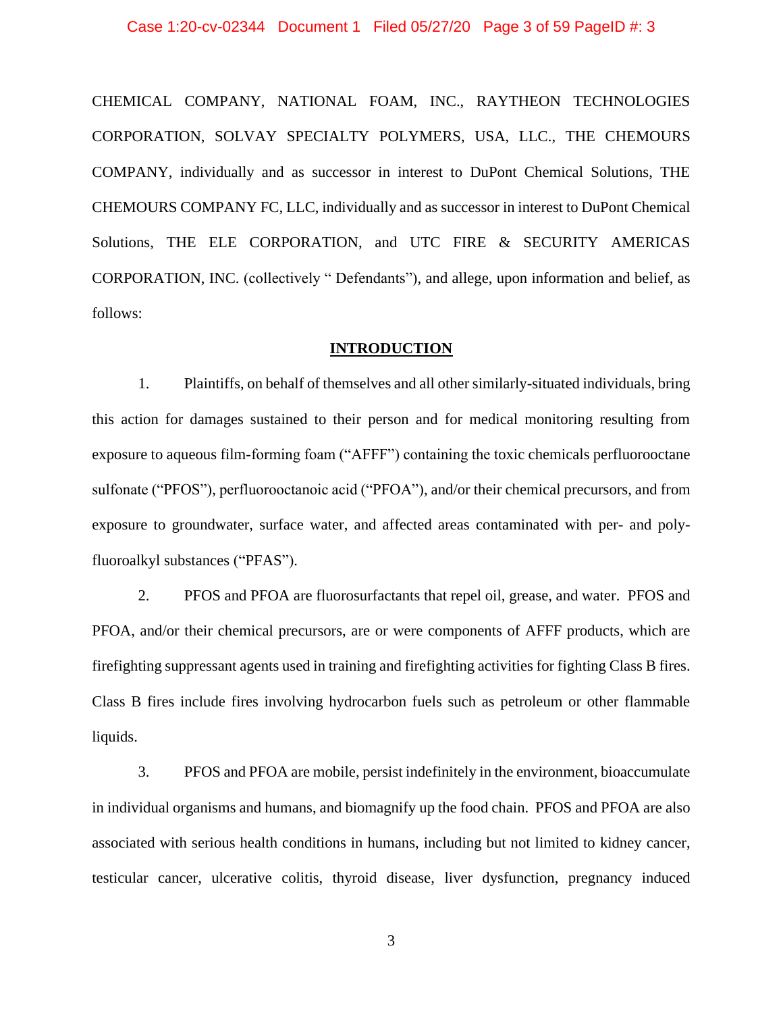#### Case 1:20-cv-02344 Document 1 Filed 05/27/20 Page 3 of 59 PageID #: 3

CHEMICAL COMPANY, NATIONAL FOAM, INC., RAYTHEON TECHNOLOGIES CORPORATION, SOLVAY SPECIALTY POLYMERS, USA, LLC., THE CHEMOURS COMPANY, individually and as successor in interest to DuPont Chemical Solutions, THE CHEMOURS COMPANY FC, LLC, individually and as successor in interest to DuPont Chemical Solutions, THE ELE CORPORATION, and UTC FIRE & SECURITY AMERICAS CORPORATION, INC. (collectively " Defendants"), and allege, upon information and belief, as follows:

## **INTRODUCTION**

1. Plaintiffs, on behalf of themselves and all other similarly-situated individuals, bring this action for damages sustained to their person and for medical monitoring resulting from exposure to aqueous film-forming foam ("AFFF") containing the toxic chemicals perfluorooctane sulfonate ("PFOS"), perfluorooctanoic acid ("PFOA"), and/or their chemical precursors, and from exposure to groundwater, surface water, and affected areas contaminated with per- and polyfluoroalkyl substances ("PFAS").

2. PFOS and PFOA are fluorosurfactants that repel oil, grease, and water. PFOS and PFOA, and/or their chemical precursors, are or were components of AFFF products, which are firefighting suppressant agents used in training and firefighting activities for fighting Class B fires. Class B fires include fires involving hydrocarbon fuels such as petroleum or other flammable liquids.

3. PFOS and PFOA are mobile, persist indefinitely in the environment, bioaccumulate in individual organisms and humans, and biomagnify up the food chain. PFOS and PFOA are also associated with serious health conditions in humans, including but not limited to kidney cancer, testicular cancer, ulcerative colitis, thyroid disease, liver dysfunction, pregnancy induced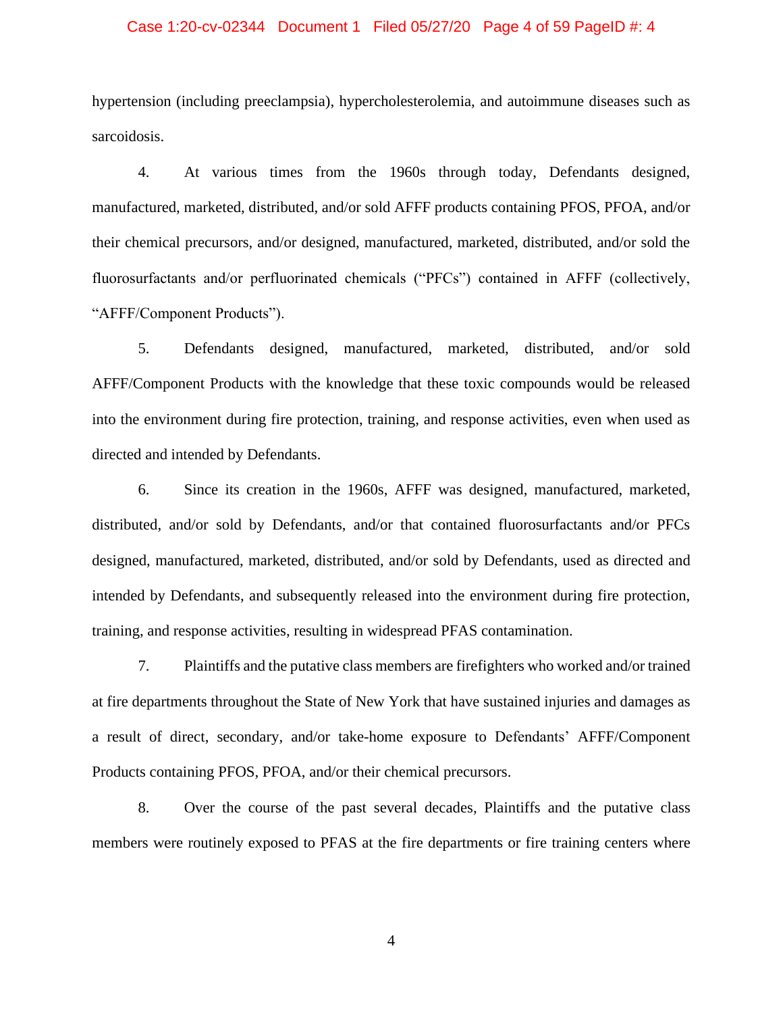## Case 1:20-cv-02344 Document 1 Filed 05/27/20 Page 4 of 59 PageID #: 4

hypertension (including preeclampsia), hypercholesterolemia, and autoimmune diseases such as sarcoidosis.

4. At various times from the 1960s through today, Defendants designed, manufactured, marketed, distributed, and/or sold AFFF products containing PFOS, PFOA, and/or their chemical precursors, and/or designed, manufactured, marketed, distributed, and/or sold the fluorosurfactants and/or perfluorinated chemicals ("PFCs") contained in AFFF (collectively, "AFFF/Component Products").

5. Defendants designed, manufactured, marketed, distributed, and/or sold AFFF/Component Products with the knowledge that these toxic compounds would be released into the environment during fire protection, training, and response activities, even when used as directed and intended by Defendants.

6. Since its creation in the 1960s, AFFF was designed, manufactured, marketed, distributed, and/or sold by Defendants, and/or that contained fluorosurfactants and/or PFCs designed, manufactured, marketed, distributed, and/or sold by Defendants, used as directed and intended by Defendants, and subsequently released into the environment during fire protection, training, and response activities, resulting in widespread PFAS contamination.

7. Plaintiffs and the putative class members are firefighters who worked and/or trained at fire departments throughout the State of New York that have sustained injuries and damages as a result of direct, secondary, and/or take-home exposure to Defendants' AFFF/Component Products containing PFOS, PFOA, and/or their chemical precursors.

8. Over the course of the past several decades, Plaintiffs and the putative class members were routinely exposed to PFAS at the fire departments or fire training centers where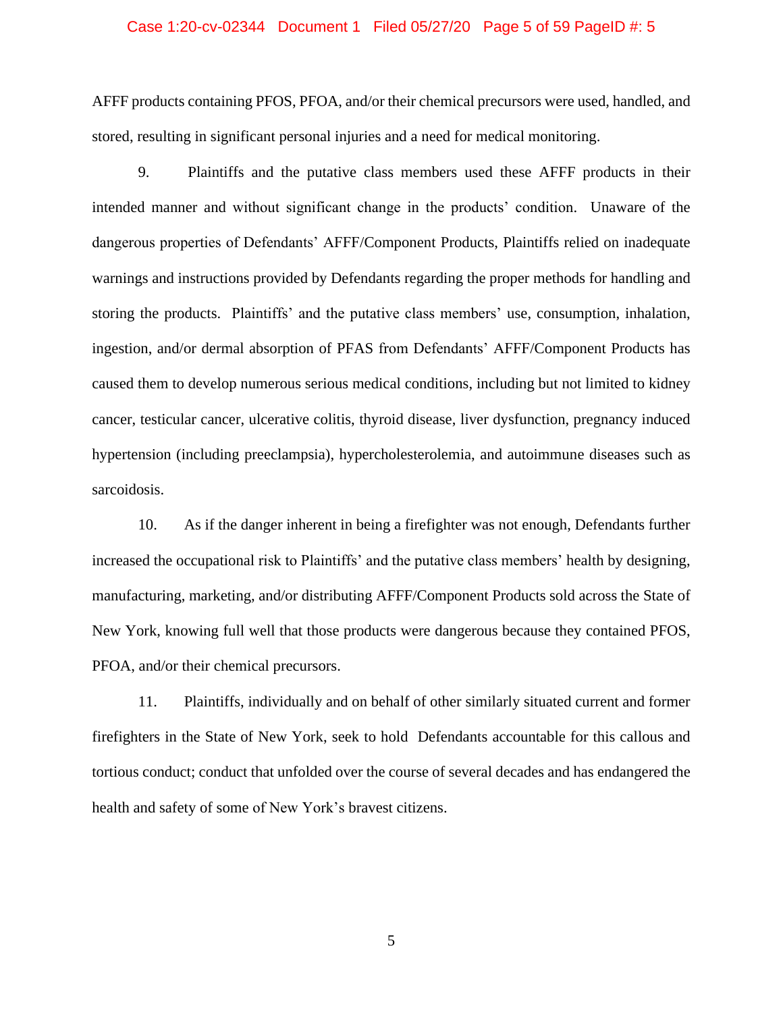## Case 1:20-cv-02344 Document 1 Filed 05/27/20 Page 5 of 59 PageID #: 5

AFFF products containing PFOS, PFOA, and/or their chemical precursors were used, handled, and stored, resulting in significant personal injuries and a need for medical monitoring.

9. Plaintiffs and the putative class members used these AFFF products in their intended manner and without significant change in the products' condition. Unaware of the dangerous properties of Defendants' AFFF/Component Products, Plaintiffs relied on inadequate warnings and instructions provided by Defendants regarding the proper methods for handling and storing the products. Plaintiffs' and the putative class members' use, consumption, inhalation, ingestion, and/or dermal absorption of PFAS from Defendants' AFFF/Component Products has caused them to develop numerous serious medical conditions, including but not limited to kidney cancer, testicular cancer, ulcerative colitis, thyroid disease, liver dysfunction, pregnancy induced hypertension (including preeclampsia), hypercholesterolemia, and autoimmune diseases such as sarcoidosis.

10. As if the danger inherent in being a firefighter was not enough, Defendants further increased the occupational risk to Plaintiffs' and the putative class members' health by designing, manufacturing, marketing, and/or distributing AFFF/Component Products sold across the State of New York, knowing full well that those products were dangerous because they contained PFOS, PFOA, and/or their chemical precursors.

11. Plaintiffs, individually and on behalf of other similarly situated current and former firefighters in the State of New York, seek to hold Defendants accountable for this callous and tortious conduct; conduct that unfolded over the course of several decades and has endangered the health and safety of some of New York's bravest citizens.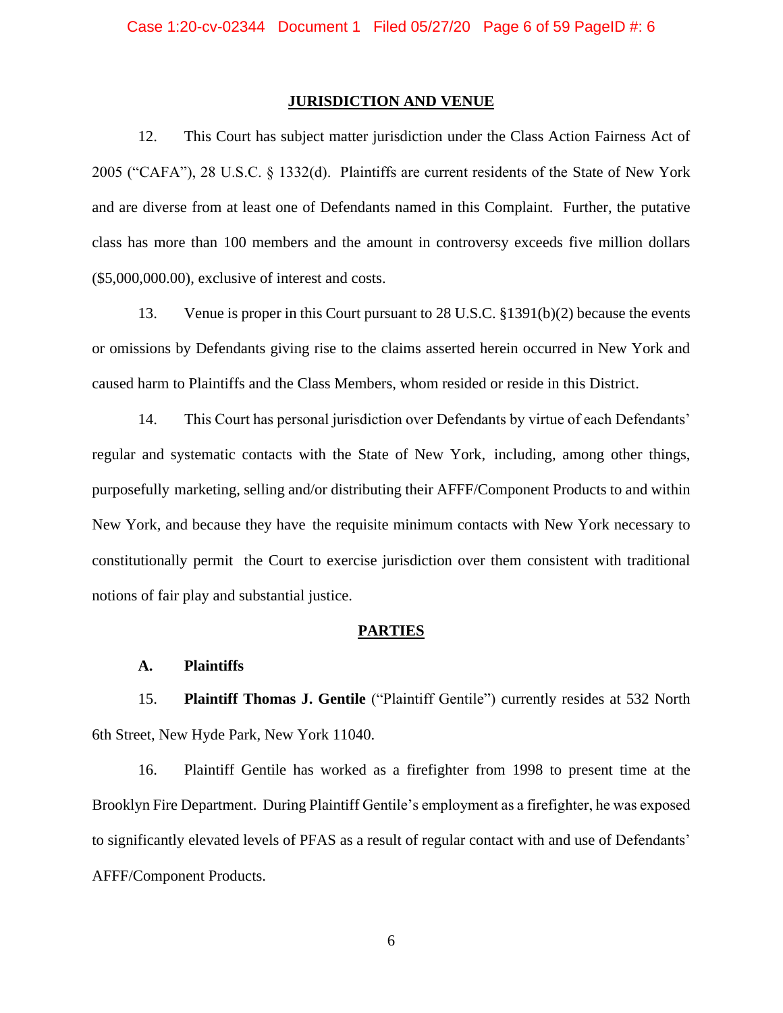#### **JURISDICTION AND VENUE**

12. This Court has subject matter jurisdiction under the Class Action Fairness Act of 2005 ("CAFA"), 28 U.S.C. § 1332(d). Plaintiffs are current residents of the State of New York and are diverse from at least one of Defendants named in this Complaint. Further, the putative class has more than 100 members and the amount in controversy exceeds five million dollars (\$5,000,000.00), exclusive of interest and costs.

13. Venue is proper in this Court pursuant to 28 U.S.C. §1391(b)(2) because the events or omissions by Defendants giving rise to the claims asserted herein occurred in New York and caused harm to Plaintiffs and the Class Members, whom resided or reside in this District.

14. This Court has personal jurisdiction over Defendants by virtue of each Defendants' regular and systematic contacts with the State of New York, including, among other things, purposefully marketing, selling and/or distributing their AFFF/Component Products to and within New York, and because they have the requisite minimum contacts with New York necessary to constitutionally permit the Court to exercise jurisdiction over them consistent with traditional notions of fair play and substantial justice.

#### **PARTIES**

#### **A. Plaintiffs**

15. **Plaintiff Thomas J. Gentile** ("Plaintiff Gentile") currently resides at 532 North 6th Street, New Hyde Park, New York 11040.

16. Plaintiff Gentile has worked as a firefighter from 1998 to present time at the Brooklyn Fire Department. During Plaintiff Gentile's employment as a firefighter, he was exposed to significantly elevated levels of PFAS as a result of regular contact with and use of Defendants' AFFF/Component Products.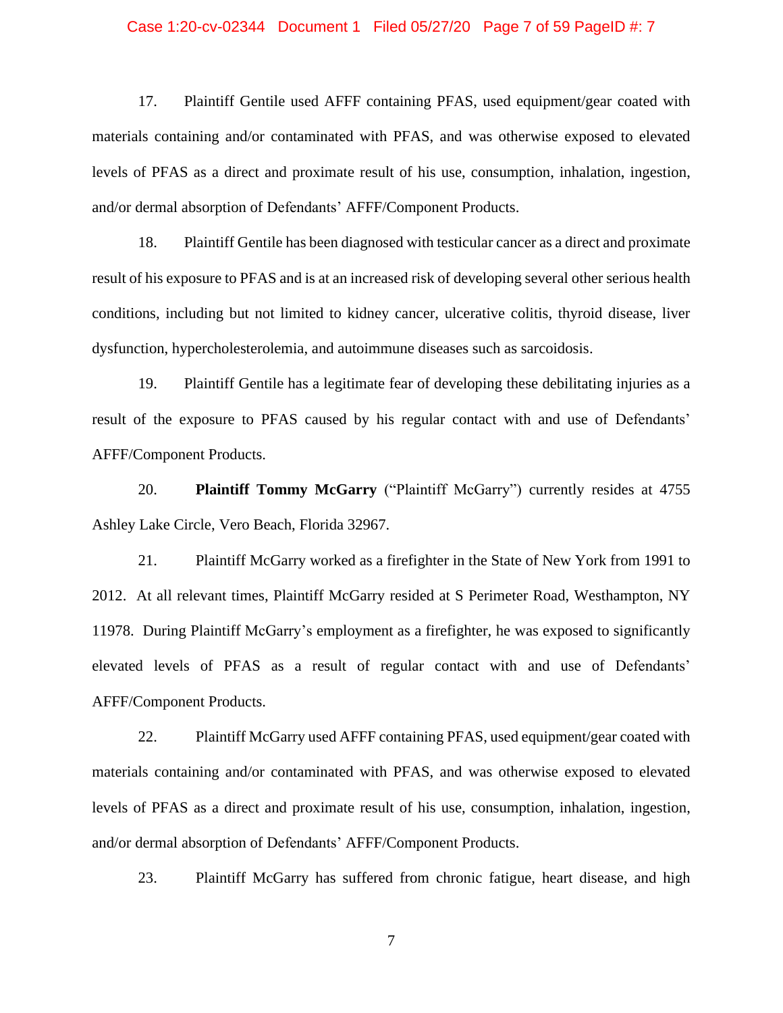## Case 1:20-cv-02344 Document 1 Filed 05/27/20 Page 7 of 59 PageID #: 7

17. Plaintiff Gentile used AFFF containing PFAS, used equipment/gear coated with materials containing and/or contaminated with PFAS, and was otherwise exposed to elevated levels of PFAS as a direct and proximate result of his use, consumption, inhalation, ingestion, and/or dermal absorption of Defendants' AFFF/Component Products.

18. Plaintiff Gentile has been diagnosed with testicular cancer as a direct and proximate result of his exposure to PFAS and is at an increased risk of developing several other serious health conditions, including but not limited to kidney cancer, ulcerative colitis, thyroid disease, liver dysfunction, hypercholesterolemia, and autoimmune diseases such as sarcoidosis.

19. Plaintiff Gentile has a legitimate fear of developing these debilitating injuries as a result of the exposure to PFAS caused by his regular contact with and use of Defendants' AFFF/Component Products.

20. **Plaintiff Tommy McGarry** ("Plaintiff McGarry") currently resides at 4755 Ashley Lake Circle, Vero Beach, Florida 32967.

21. Plaintiff McGarry worked as a firefighter in the State of New York from 1991 to 2012. At all relevant times, Plaintiff McGarry resided at S Perimeter Road, Westhampton, NY 11978. During Plaintiff McGarry's employment as a firefighter, he was exposed to significantly elevated levels of PFAS as a result of regular contact with and use of Defendants' AFFF/Component Products.

22. Plaintiff McGarry used AFFF containing PFAS, used equipment/gear coated with materials containing and/or contaminated with PFAS, and was otherwise exposed to elevated levels of PFAS as a direct and proximate result of his use, consumption, inhalation, ingestion, and/or dermal absorption of Defendants' AFFF/Component Products.

23. Plaintiff McGarry has suffered from chronic fatigue, heart disease, and high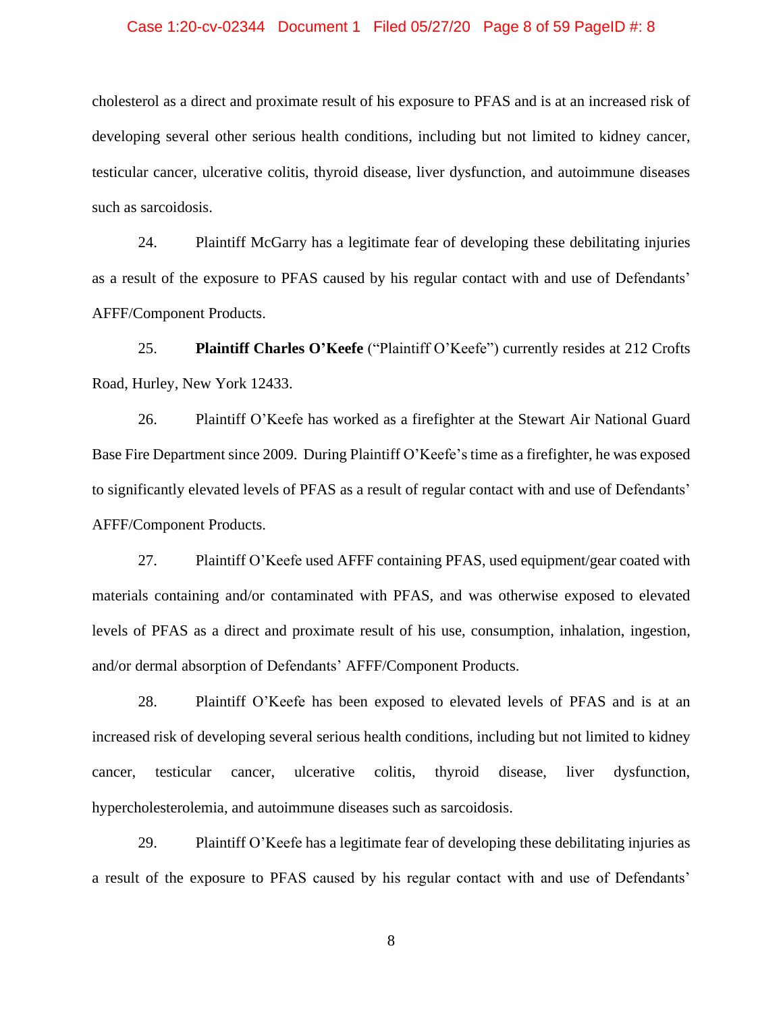## Case 1:20-cv-02344 Document 1 Filed 05/27/20 Page 8 of 59 PageID #: 8

cholesterol as a direct and proximate result of his exposure to PFAS and is at an increased risk of developing several other serious health conditions, including but not limited to kidney cancer, testicular cancer, ulcerative colitis, thyroid disease, liver dysfunction, and autoimmune diseases such as sarcoidosis.

24. Plaintiff McGarry has a legitimate fear of developing these debilitating injuries as a result of the exposure to PFAS caused by his regular contact with and use of Defendants' AFFF/Component Products.

25. **Plaintiff Charles O'Keefe** ("Plaintiff O'Keefe") currently resides at 212 Crofts Road, Hurley, New York 12433.

26. Plaintiff O'Keefe has worked as a firefighter at the Stewart Air National Guard Base Fire Department since 2009. During Plaintiff O'Keefe's time as a firefighter, he was exposed to significantly elevated levels of PFAS as a result of regular contact with and use of Defendants' AFFF/Component Products.

27. Plaintiff O'Keefe used AFFF containing PFAS, used equipment/gear coated with materials containing and/or contaminated with PFAS, and was otherwise exposed to elevated levels of PFAS as a direct and proximate result of his use, consumption, inhalation, ingestion, and/or dermal absorption of Defendants' AFFF/Component Products.

28. Plaintiff O'Keefe has been exposed to elevated levels of PFAS and is at an increased risk of developing several serious health conditions, including but not limited to kidney cancer, testicular cancer, ulcerative colitis, thyroid disease, liver dysfunction, hypercholesterolemia, and autoimmune diseases such as sarcoidosis.

29. Plaintiff O'Keefe has a legitimate fear of developing these debilitating injuries as a result of the exposure to PFAS caused by his regular contact with and use of Defendants'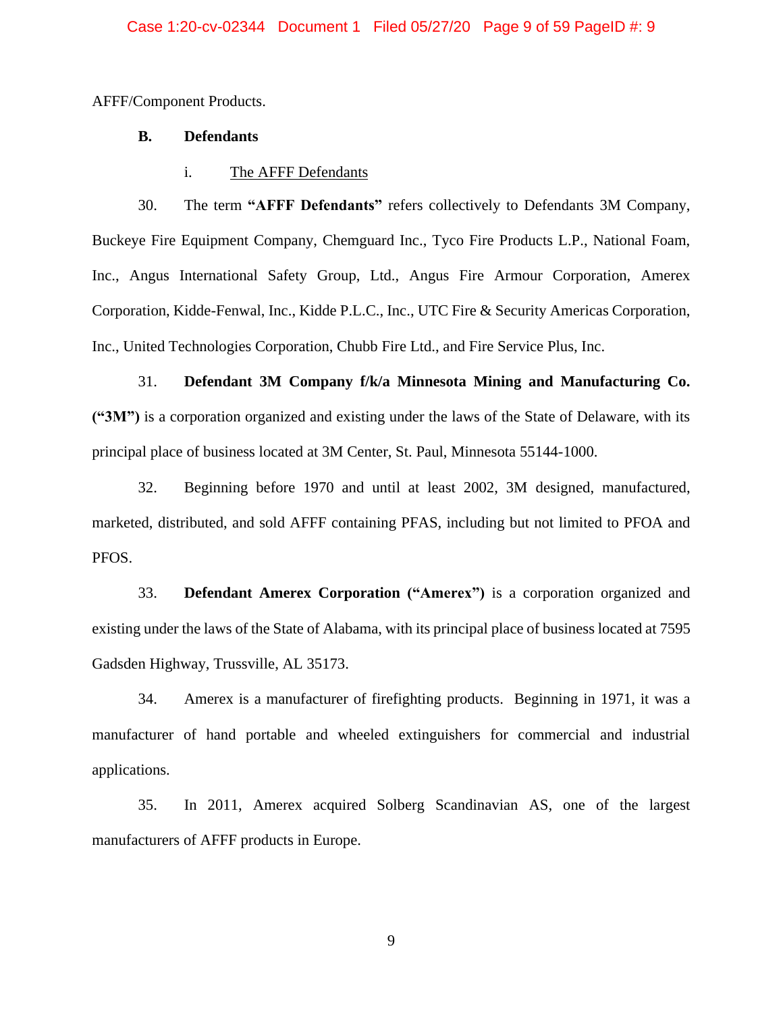AFFF/Component Products.

## **B. Defendants**

i. The AFFF Defendants

30. The term **"AFFF Defendants"** refers collectively to Defendants 3M Company, Buckeye Fire Equipment Company, Chemguard Inc., Tyco Fire Products L.P., National Foam, Inc., Angus International Safety Group, Ltd., Angus Fire Armour Corporation, Amerex Corporation, Kidde-Fenwal, Inc., Kidde P.L.C., Inc., UTC Fire & Security Americas Corporation, Inc., United Technologies Corporation, Chubb Fire Ltd., and Fire Service Plus, Inc.

31. **Defendant 3M Company f/k/a Minnesota Mining and Manufacturing Co. ("3M")** is a corporation organized and existing under the laws of the State of Delaware, with its principal place of business located at 3M Center, St. Paul, Minnesota 55144-1000.

32. Beginning before 1970 and until at least 2002, 3M designed, manufactured, marketed, distributed, and sold AFFF containing PFAS, including but not limited to PFOA and PFOS.

33. **Defendant Amerex Corporation ("Amerex")** is a corporation organized and existing under the laws of the State of Alabama, with its principal place of business located at 7595 Gadsden Highway, Trussville, AL 35173.

34. Amerex is a manufacturer of firefighting products. Beginning in 1971, it was a manufacturer of hand portable and wheeled extinguishers for commercial and industrial applications.

35. In 2011, Amerex acquired Solberg Scandinavian AS, one of the largest manufacturers of AFFF products in Europe.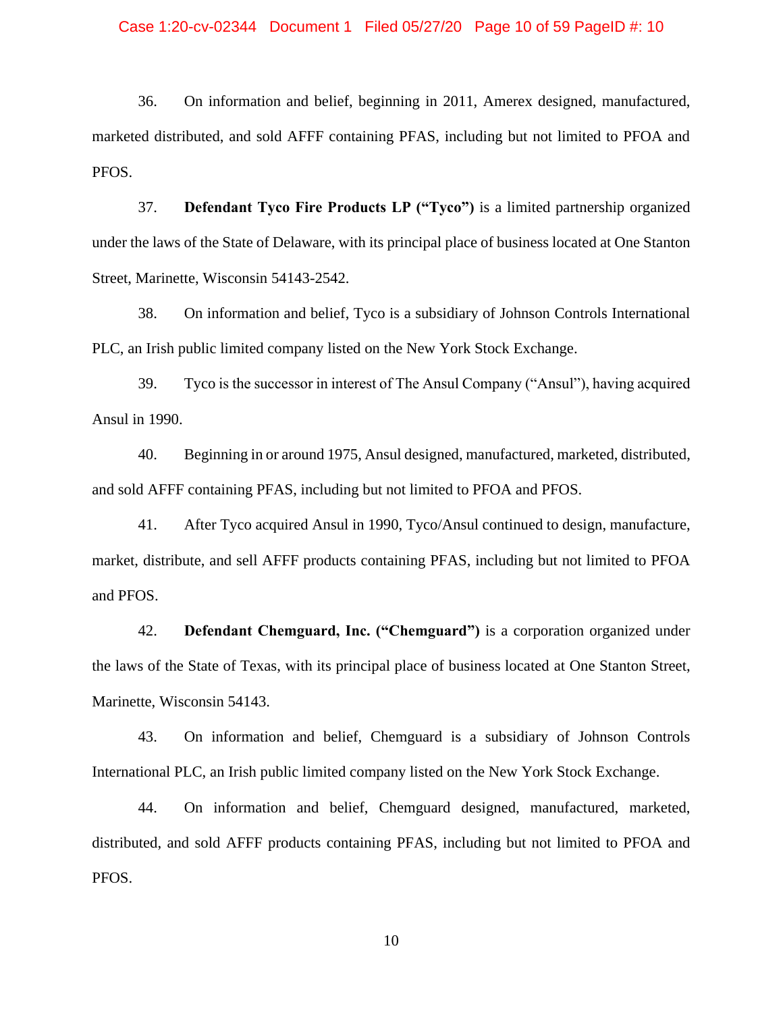#### Case 1:20-cv-02344 Document 1 Filed 05/27/20 Page 10 of 59 PageID #: 10

36. On information and belief, beginning in 2011, Amerex designed, manufactured, marketed distributed, and sold AFFF containing PFAS, including but not limited to PFOA and PFOS.

37. **Defendant Tyco Fire Products LP ("Tyco")** is a limited partnership organized under the laws of the State of Delaware, with its principal place of business located at One Stanton Street, Marinette, Wisconsin 54143-2542.

38. On information and belief, Tyco is a subsidiary of Johnson Controls International PLC, an Irish public limited company listed on the New York Stock Exchange.

39. Tyco is the successor in interest of The Ansul Company ("Ansul"), having acquired Ansul in 1990.

40. Beginning in or around 1975, Ansul designed, manufactured, marketed, distributed, and sold AFFF containing PFAS, including but not limited to PFOA and PFOS.

41. After Tyco acquired Ansul in 1990, Tyco/Ansul continued to design, manufacture, market, distribute, and sell AFFF products containing PFAS, including but not limited to PFOA and PFOS.

42. **Defendant Chemguard, Inc. ("Chemguard")** is a corporation organized under the laws of the State of Texas, with its principal place of business located at One Stanton Street, Marinette, Wisconsin 54143.

43. On information and belief, Chemguard is a subsidiary of Johnson Controls International PLC, an Irish public limited company listed on the New York Stock Exchange.

44. On information and belief, Chemguard designed, manufactured, marketed, distributed, and sold AFFF products containing PFAS, including but not limited to PFOA and PFOS.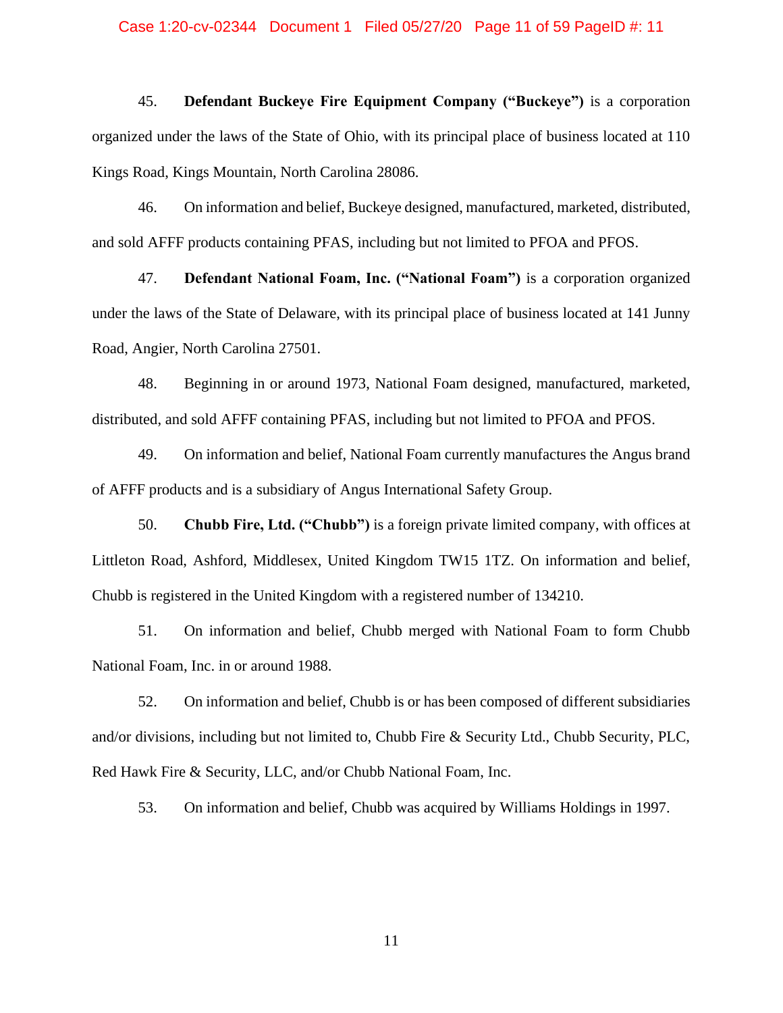#### Case 1:20-cv-02344 Document 1 Filed 05/27/20 Page 11 of 59 PageID #: 11

45. **Defendant Buckeye Fire Equipment Company ("Buckeye")** is a corporation organized under the laws of the State of Ohio, with its principal place of business located at 110 Kings Road, Kings Mountain, North Carolina 28086.

46. On information and belief, Buckeye designed, manufactured, marketed, distributed, and sold AFFF products containing PFAS, including but not limited to PFOA and PFOS.

47. **Defendant National Foam, Inc. ("National Foam")** is a corporation organized under the laws of the State of Delaware, with its principal place of business located at 141 Junny Road, Angier, North Carolina 27501.

48. Beginning in or around 1973, National Foam designed, manufactured, marketed, distributed, and sold AFFF containing PFAS, including but not limited to PFOA and PFOS.

49. On information and belief, National Foam currently manufactures the Angus brand of AFFF products and is a subsidiary of Angus International Safety Group.

50. **Chubb Fire, Ltd. ("Chubb")** is a foreign private limited company, with offices at Littleton Road, Ashford, Middlesex, United Kingdom TW15 1TZ. On information and belief, Chubb is registered in the United Kingdom with a registered number of 134210.

51. On information and belief, Chubb merged with National Foam to form Chubb National Foam, Inc. in or around 1988.

52. On information and belief, Chubb is or has been composed of different subsidiaries and/or divisions, including but not limited to, Chubb Fire & Security Ltd., Chubb Security, PLC, Red Hawk Fire & Security, LLC, and/or Chubb National Foam, Inc.

53. On information and belief, Chubb was acquired by Williams Holdings in 1997.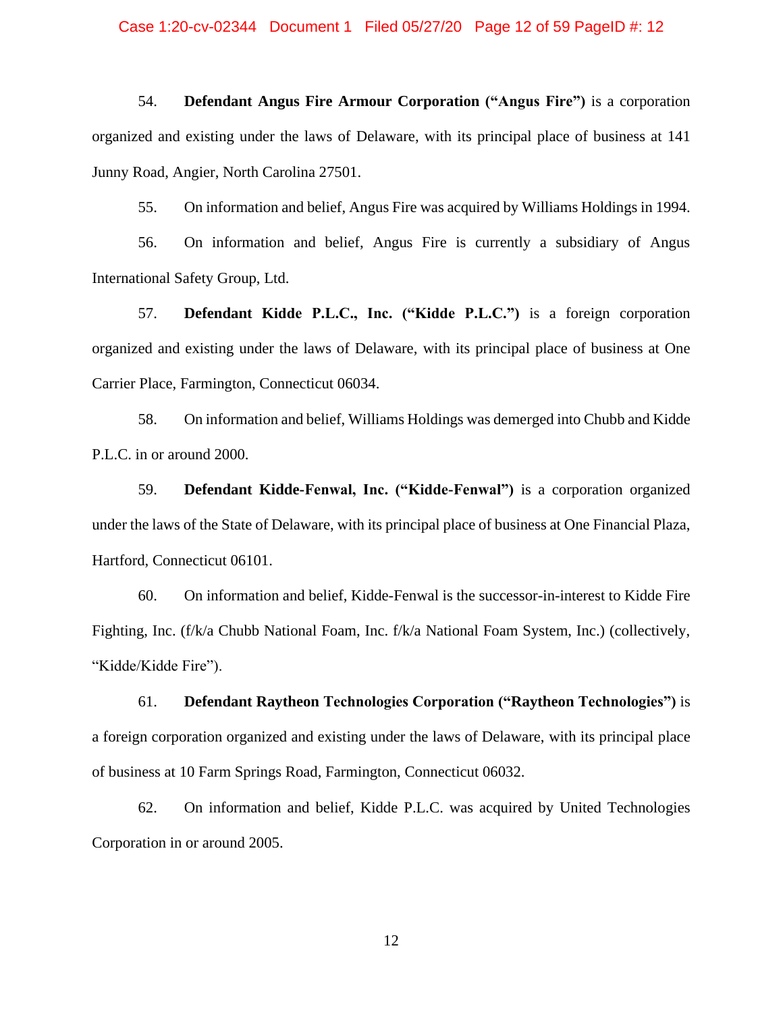54. **Defendant Angus Fire Armour Corporation ("Angus Fire")** is a corporation organized and existing under the laws of Delaware, with its principal place of business at 141 Junny Road, Angier, North Carolina 27501.

55. On information and belief, Angus Fire was acquired by Williams Holdings in 1994.

56. On information and belief, Angus Fire is currently a subsidiary of Angus International Safety Group, Ltd.

57. **Defendant Kidde P.L.C., Inc. ("Kidde P.L.C.")** is a foreign corporation organized and existing under the laws of Delaware, with its principal place of business at One Carrier Place, Farmington, Connecticut 06034.

58. On information and belief, Williams Holdings was demerged into Chubb and Kidde P.L.C. in or around 2000.

59. **Defendant Kidde-Fenwal, Inc. ("Kidde-Fenwal")** is a corporation organized under the laws of the State of Delaware, with its principal place of business at One Financial Plaza, Hartford, Connecticut 06101.

60. On information and belief, Kidde-Fenwal is the successor-in-interest to Kidde Fire Fighting, Inc. (f/k/a Chubb National Foam, Inc. f/k/a National Foam System, Inc.) (collectively, "Kidde/Kidde Fire").

61. **Defendant Raytheon Technologies Corporation ("Raytheon Technologies")** is a foreign corporation organized and existing under the laws of Delaware, with its principal place of business at 10 Farm Springs Road, Farmington, Connecticut 06032.

62. On information and belief, Kidde P.L.C. was acquired by United Technologies Corporation in or around 2005.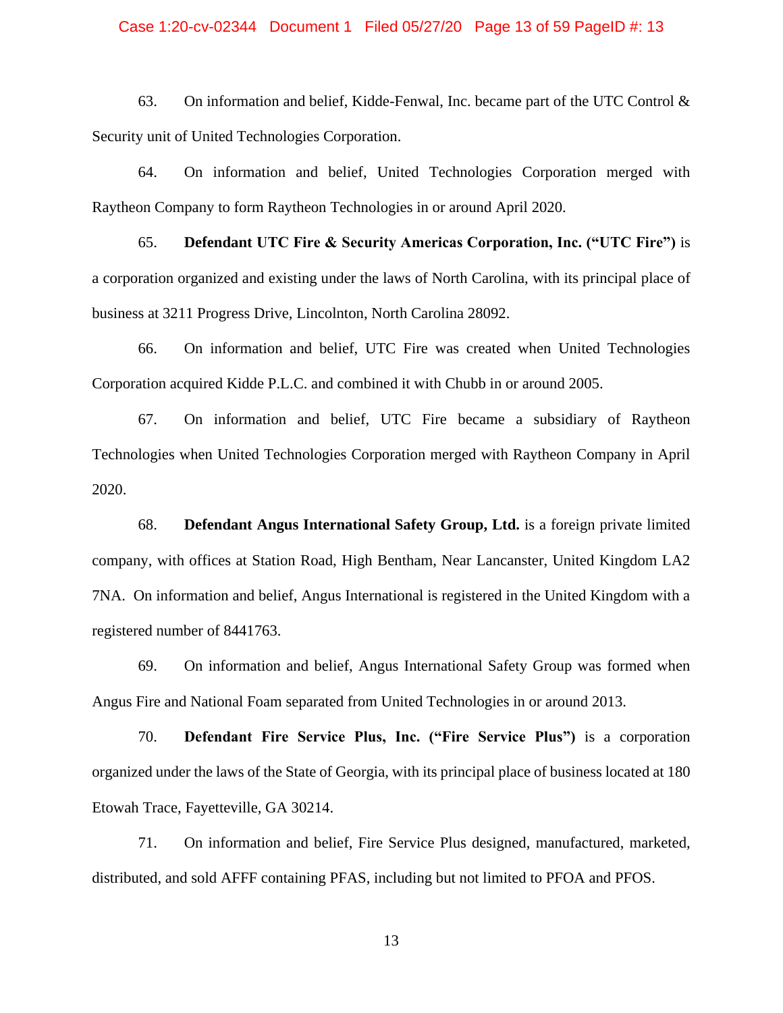#### Case 1:20-cv-02344 Document 1 Filed 05/27/20 Page 13 of 59 PageID #: 13

63. On information and belief, Kidde-Fenwal, Inc. became part of the UTC Control  $\&$ Security unit of United Technologies Corporation.

64. On information and belief, United Technologies Corporation merged with Raytheon Company to form Raytheon Technologies in or around April 2020.

65. **Defendant UTC Fire & Security Americas Corporation, Inc. ("UTC Fire")** is a corporation organized and existing under the laws of North Carolina, with its principal place of business at 3211 Progress Drive, Lincolnton, North Carolina 28092.

66. On information and belief, UTC Fire was created when United Technologies Corporation acquired Kidde P.L.C. and combined it with Chubb in or around 2005.

67. On information and belief, UTC Fire became a subsidiary of Raytheon Technologies when United Technologies Corporation merged with Raytheon Company in April 2020.

68. **Defendant Angus International Safety Group, Ltd.** is a foreign private limited company, with offices at Station Road, High Bentham, Near Lancanster, United Kingdom LA2 7NA. On information and belief, Angus International is registered in the United Kingdom with a registered number of 8441763.

69. On information and belief, Angus International Safety Group was formed when Angus Fire and National Foam separated from United Technologies in or around 2013.

70. **Defendant Fire Service Plus, Inc. ("Fire Service Plus")** is a corporation organized under the laws of the State of Georgia, with its principal place of business located at 180 Etowah Trace, Fayetteville, GA 30214.

71. On information and belief, Fire Service Plus designed, manufactured, marketed, distributed, and sold AFFF containing PFAS, including but not limited to PFOA and PFOS.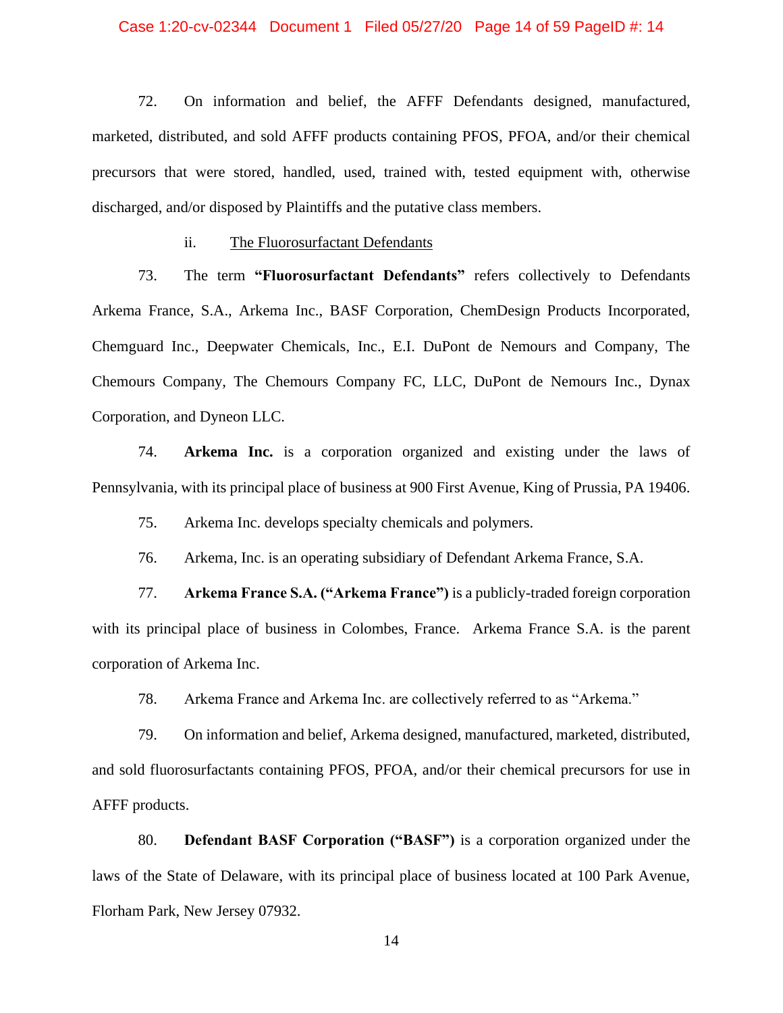#### Case 1:20-cv-02344 Document 1 Filed 05/27/20 Page 14 of 59 PageID #: 14

72. On information and belief, the AFFF Defendants designed, manufactured, marketed, distributed, and sold AFFF products containing PFOS, PFOA, and/or their chemical precursors that were stored, handled, used, trained with, tested equipment with, otherwise discharged, and/or disposed by Plaintiffs and the putative class members.

ii. The Fluorosurfactant Defendants

73. The term **"Fluorosurfactant Defendants"** refers collectively to Defendants Arkema France, S.A., Arkema Inc., BASF Corporation, ChemDesign Products Incorporated, Chemguard Inc., Deepwater Chemicals, Inc., E.I. DuPont de Nemours and Company, The Chemours Company, The Chemours Company FC, LLC, DuPont de Nemours Inc., Dynax Corporation, and Dyneon LLC.

74. **Arkema Inc.** is a corporation organized and existing under the laws of Pennsylvania, with its principal place of business at 900 First Avenue, King of Prussia, PA 19406.

75. Arkema Inc. develops specialty chemicals and polymers.

76. Arkema, Inc. is an operating subsidiary of Defendant Arkema France, S.A.

77. **Arkema France S.A. ("Arkema France")** is a publicly-traded foreign corporation with its principal place of business in Colombes, France. Arkema France S.A. is the parent corporation of Arkema Inc.

78. Arkema France and Arkema Inc. are collectively referred to as "Arkema."

79. On information and belief, Arkema designed, manufactured, marketed, distributed, and sold fluorosurfactants containing PFOS, PFOA, and/or their chemical precursors for use in AFFF products.

80. **Defendant BASF Corporation ("BASF")** is a corporation organized under the laws of the State of Delaware, with its principal place of business located at 100 Park Avenue, Florham Park, New Jersey 07932.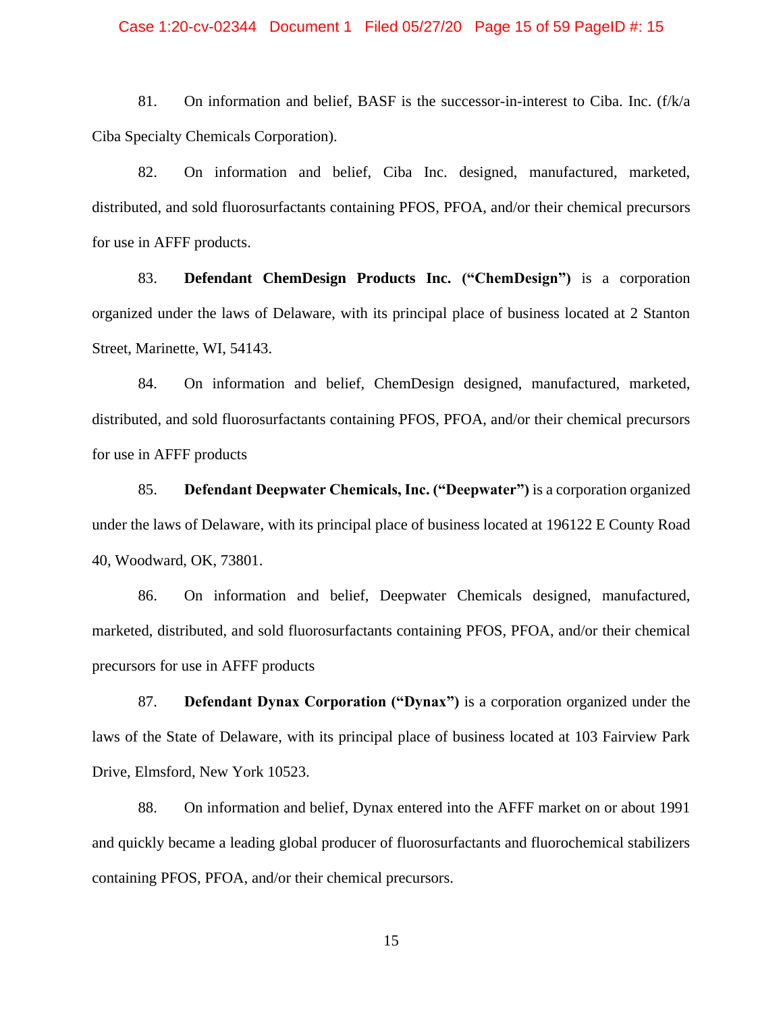#### Case 1:20-cv-02344 Document 1 Filed 05/27/20 Page 15 of 59 PageID #: 15

81. On information and belief, BASF is the successor-in-interest to Ciba. Inc. (f/k/a Ciba Specialty Chemicals Corporation).

82. On information and belief, Ciba Inc. designed, manufactured, marketed, distributed, and sold fluorosurfactants containing PFOS, PFOA, and/or their chemical precursors for use in AFFF products.

83. **Defendant ChemDesign Products Inc. ("ChemDesign")** is a corporation organized under the laws of Delaware, with its principal place of business located at 2 Stanton Street, Marinette, WI, 54143.

84. On information and belief, ChemDesign designed, manufactured, marketed, distributed, and sold fluorosurfactants containing PFOS, PFOA, and/or their chemical precursors for use in AFFF products

85. **Defendant Deepwater Chemicals, Inc. ("Deepwater")** is a corporation organized under the laws of Delaware, with its principal place of business located at 196122 E County Road 40, Woodward, OK, 73801.

86. On information and belief, Deepwater Chemicals designed, manufactured, marketed, distributed, and sold fluorosurfactants containing PFOS, PFOA, and/or their chemical precursors for use in AFFF products

87. **Defendant Dynax Corporation ("Dynax")** is a corporation organized under the laws of the State of Delaware, with its principal place of business located at 103 Fairview Park Drive, Elmsford, New York 10523.

88. On information and belief, Dynax entered into the AFFF market on or about 1991 and quickly became a leading global producer of fluorosurfactants and fluorochemical stabilizers containing PFOS, PFOA, and/or their chemical precursors.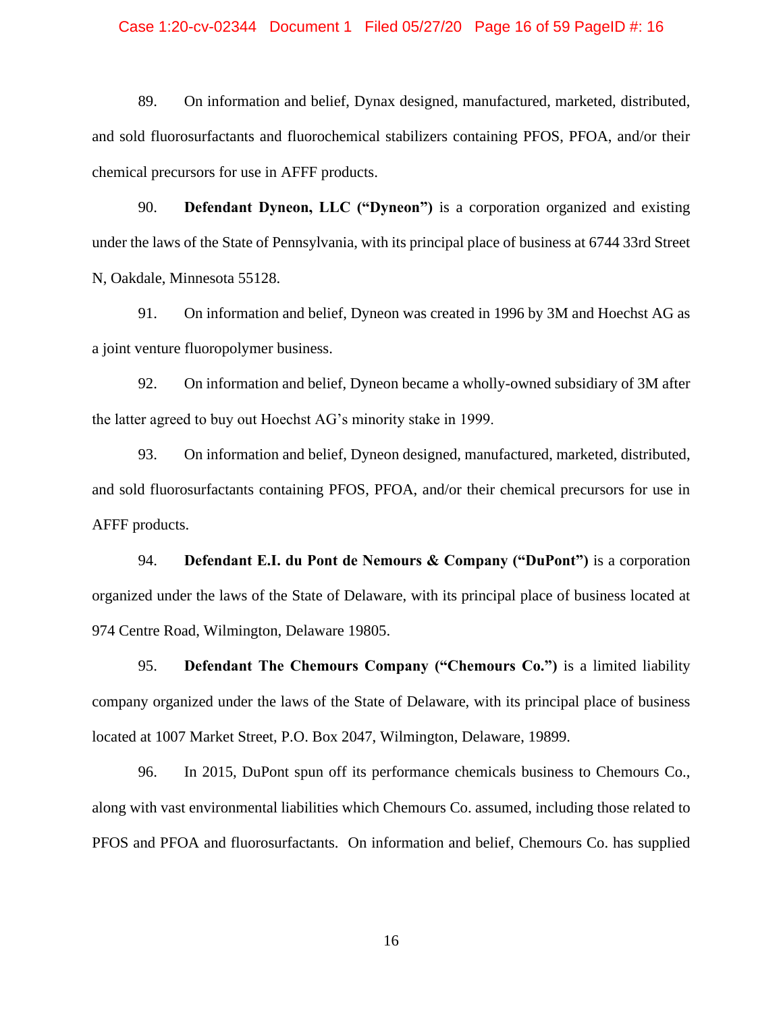#### Case 1:20-cv-02344 Document 1 Filed 05/27/20 Page 16 of 59 PageID #: 16

89. On information and belief, Dynax designed, manufactured, marketed, distributed, and sold fluorosurfactants and fluorochemical stabilizers containing PFOS, PFOA, and/or their chemical precursors for use in AFFF products.

90. **Defendant Dyneon, LLC ("Dyneon")** is a corporation organized and existing under the laws of the State of Pennsylvania, with its principal place of business at 6744 33rd Street N, Oakdale, Minnesota 55128.

91. On information and belief, Dyneon was created in 1996 by 3M and Hoechst AG as a joint venture fluoropolymer business.

92. On information and belief, Dyneon became a wholly-owned subsidiary of 3M after the latter agreed to buy out Hoechst AG's minority stake in 1999.

93. On information and belief, Dyneon designed, manufactured, marketed, distributed, and sold fluorosurfactants containing PFOS, PFOA, and/or their chemical precursors for use in AFFF products.

94. **Defendant E.I. du Pont de Nemours & Company ("DuPont")** is a corporation organized under the laws of the State of Delaware, with its principal place of business located at 974 Centre Road, Wilmington, Delaware 19805.

95. **Defendant The Chemours Company ("Chemours Co.")** is a limited liability company organized under the laws of the State of Delaware, with its principal place of business located at 1007 Market Street, P.O. Box 2047, Wilmington, Delaware, 19899.

96. In 2015, DuPont spun off its performance chemicals business to Chemours Co., along with vast environmental liabilities which Chemours Co. assumed, including those related to PFOS and PFOA and fluorosurfactants. On information and belief, Chemours Co. has supplied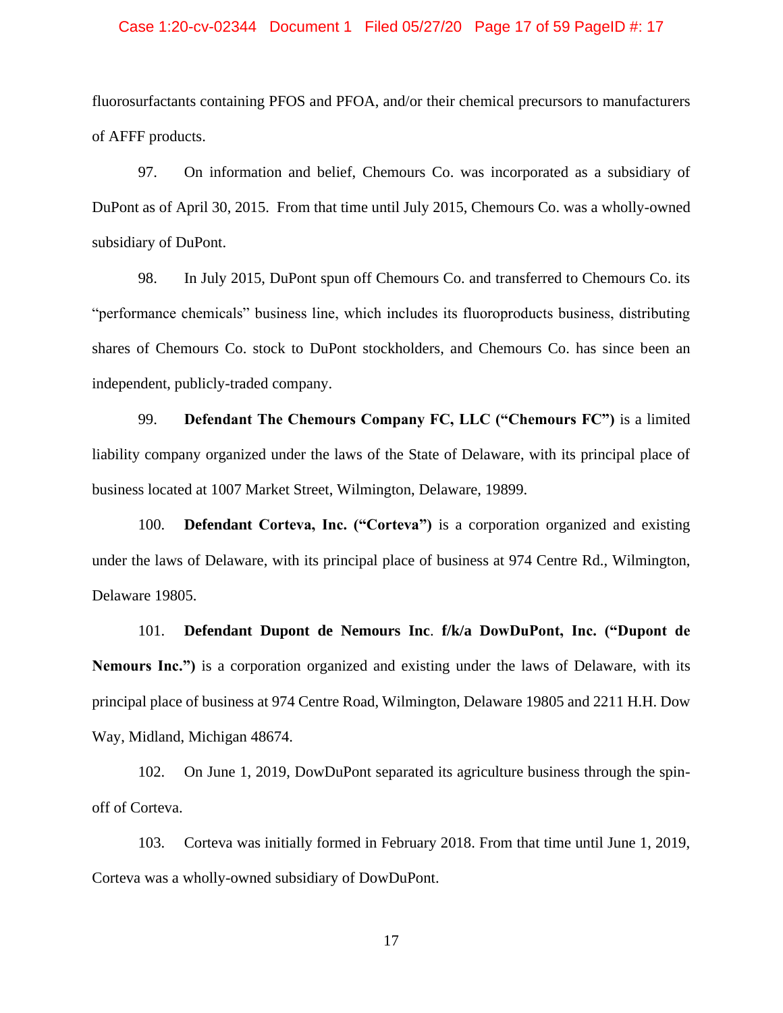#### Case 1:20-cv-02344 Document 1 Filed 05/27/20 Page 17 of 59 PageID #: 17

fluorosurfactants containing PFOS and PFOA, and/or their chemical precursors to manufacturers of AFFF products.

97. On information and belief, Chemours Co. was incorporated as a subsidiary of DuPont as of April 30, 2015. From that time until July 2015, Chemours Co. was a wholly-owned subsidiary of DuPont.

98. In July 2015, DuPont spun off Chemours Co. and transferred to Chemours Co. its "performance chemicals" business line, which includes its fluoroproducts business, distributing shares of Chemours Co. stock to DuPont stockholders, and Chemours Co. has since been an independent, publicly-traded company.

99. **Defendant The Chemours Company FC, LLC ("Chemours FC")** is a limited liability company organized under the laws of the State of Delaware, with its principal place of business located at 1007 Market Street, Wilmington, Delaware, 19899.

100. **Defendant Corteva, Inc. ("Corteva")** is a corporation organized and existing under the laws of Delaware, with its principal place of business at 974 Centre Rd., Wilmington, Delaware 19805.

101. **Defendant Dupont de Nemours Inc**. **f/k/a DowDuPont, Inc. ("Dupont de Nemours Inc.")** is a corporation organized and existing under the laws of Delaware, with its principal place of business at 974 Centre Road, Wilmington, Delaware 19805 and 2211 H.H. Dow Way, Midland, Michigan 48674.

102. On June 1, 2019, DowDuPont separated its agriculture business through the spinoff of Corteva.

103. Corteva was initially formed in February 2018. From that time until June 1, 2019, Corteva was a wholly-owned subsidiary of DowDuPont.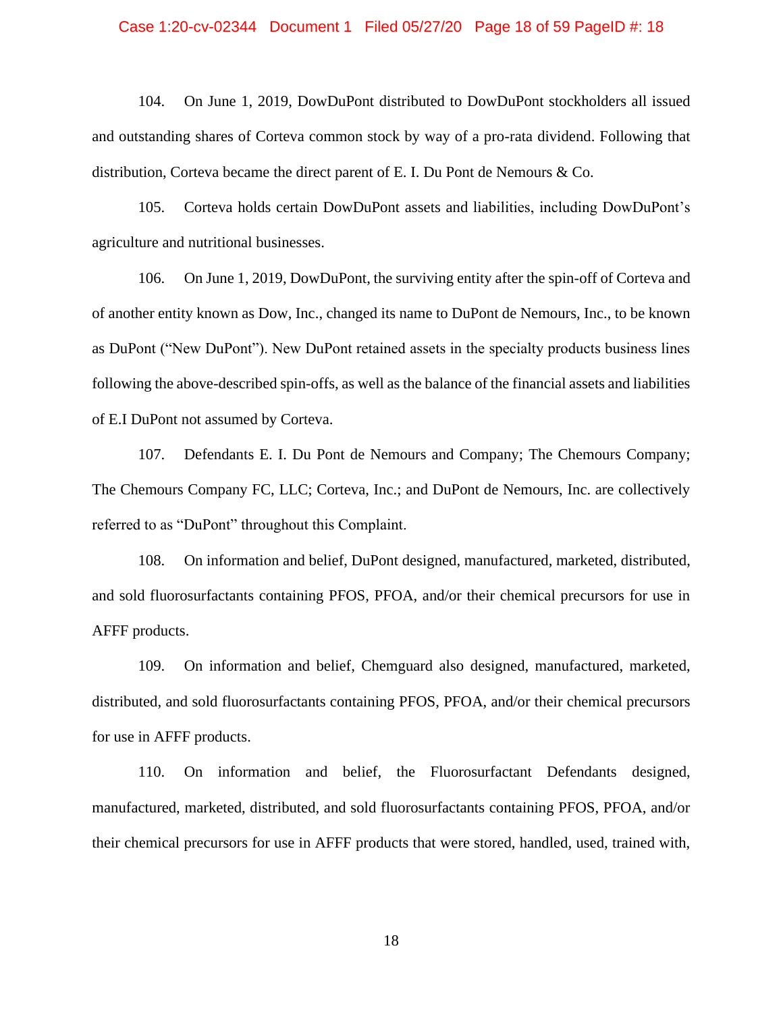#### Case 1:20-cv-02344 Document 1 Filed 05/27/20 Page 18 of 59 PageID #: 18

104. On June 1, 2019, DowDuPont distributed to DowDuPont stockholders all issued and outstanding shares of Corteva common stock by way of a pro-rata dividend. Following that distribution, Corteva became the direct parent of E. I. Du Pont de Nemours & Co.

105. Corteva holds certain DowDuPont assets and liabilities, including DowDuPont's agriculture and nutritional businesses.

106. On June 1, 2019, DowDuPont, the surviving entity after the spin-off of Corteva and of another entity known as Dow, Inc., changed its name to DuPont de Nemours, Inc., to be known as DuPont ("New DuPont"). New DuPont retained assets in the specialty products business lines following the above-described spin-offs, as well as the balance of the financial assets and liabilities of E.I DuPont not assumed by Corteva.

107. Defendants E. I. Du Pont de Nemours and Company; The Chemours Company; The Chemours Company FC, LLC; Corteva, Inc.; and DuPont de Nemours, Inc. are collectively referred to as "DuPont" throughout this Complaint.

108. On information and belief, DuPont designed, manufactured, marketed, distributed, and sold fluorosurfactants containing PFOS, PFOA, and/or their chemical precursors for use in AFFF products.

109. On information and belief, Chemguard also designed, manufactured, marketed, distributed, and sold fluorosurfactants containing PFOS, PFOA, and/or their chemical precursors for use in AFFF products.

110. On information and belief, the Fluorosurfactant Defendants designed, manufactured, marketed, distributed, and sold fluorosurfactants containing PFOS, PFOA, and/or their chemical precursors for use in AFFF products that were stored, handled, used, trained with,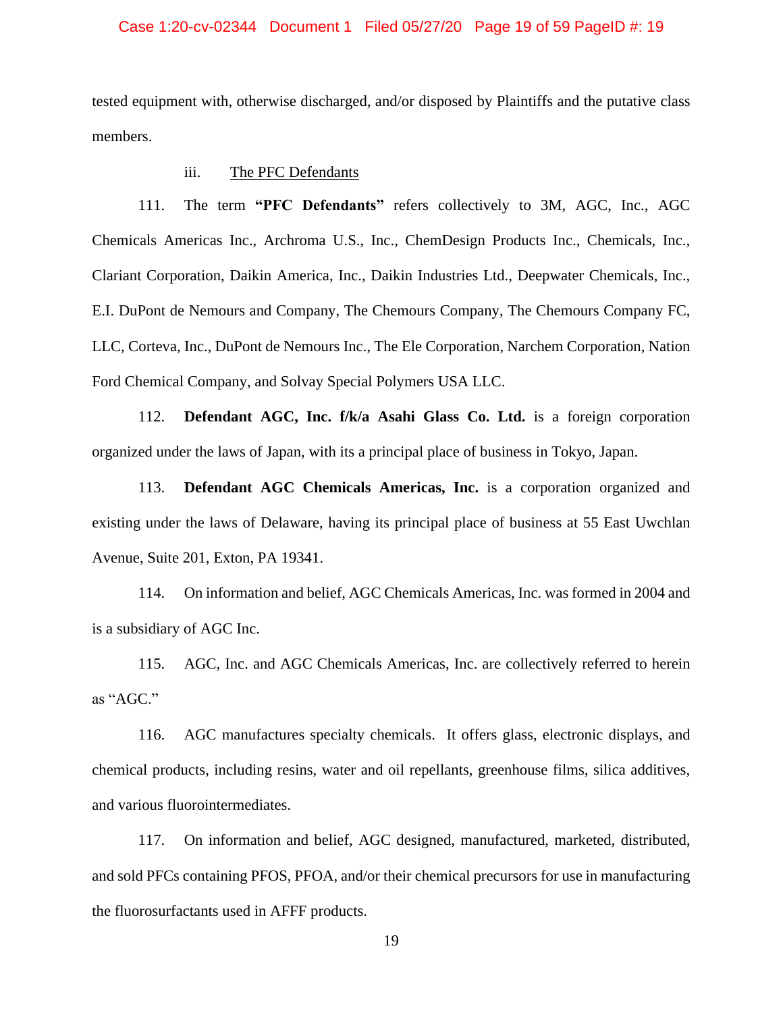### Case 1:20-cv-02344 Document 1 Filed 05/27/20 Page 19 of 59 PageID #: 19

tested equipment with, otherwise discharged, and/or disposed by Plaintiffs and the putative class members.

### iii. The PFC Defendants

111. The term **"PFC Defendants"** refers collectively to 3M, AGC, Inc., AGC Chemicals Americas Inc., Archroma U.S., Inc., ChemDesign Products Inc., Chemicals, Inc., Clariant Corporation, Daikin America, Inc., Daikin Industries Ltd., Deepwater Chemicals, Inc., E.I. DuPont de Nemours and Company, The Chemours Company, The Chemours Company FC, LLC, Corteva, Inc., DuPont de Nemours Inc., The Ele Corporation, Narchem Corporation, Nation Ford Chemical Company, and Solvay Special Polymers USA LLC.

112. **Defendant AGC, Inc. f/k/a Asahi Glass Co. Ltd.** is a foreign corporation organized under the laws of Japan, with its a principal place of business in Tokyo, Japan.

113. **Defendant AGC Chemicals Americas, Inc.** is a corporation organized and existing under the laws of Delaware, having its principal place of business at 55 East Uwchlan Avenue, Suite 201, Exton, PA 19341.

114. On information and belief, AGC Chemicals Americas, Inc. was formed in 2004 and is a subsidiary of AGC Inc.

115. AGC, Inc. and AGC Chemicals Americas, Inc. are collectively referred to herein as "AGC."

116. AGC manufactures specialty chemicals. It offers glass, electronic displays, and chemical products, including resins, water and oil repellants, greenhouse films, silica additives, and various fluorointermediates.

117. On information and belief, AGC designed, manufactured, marketed, distributed, and sold PFCs containing PFOS, PFOA, and/or their chemical precursors for use in manufacturing the fluorosurfactants used in AFFF products.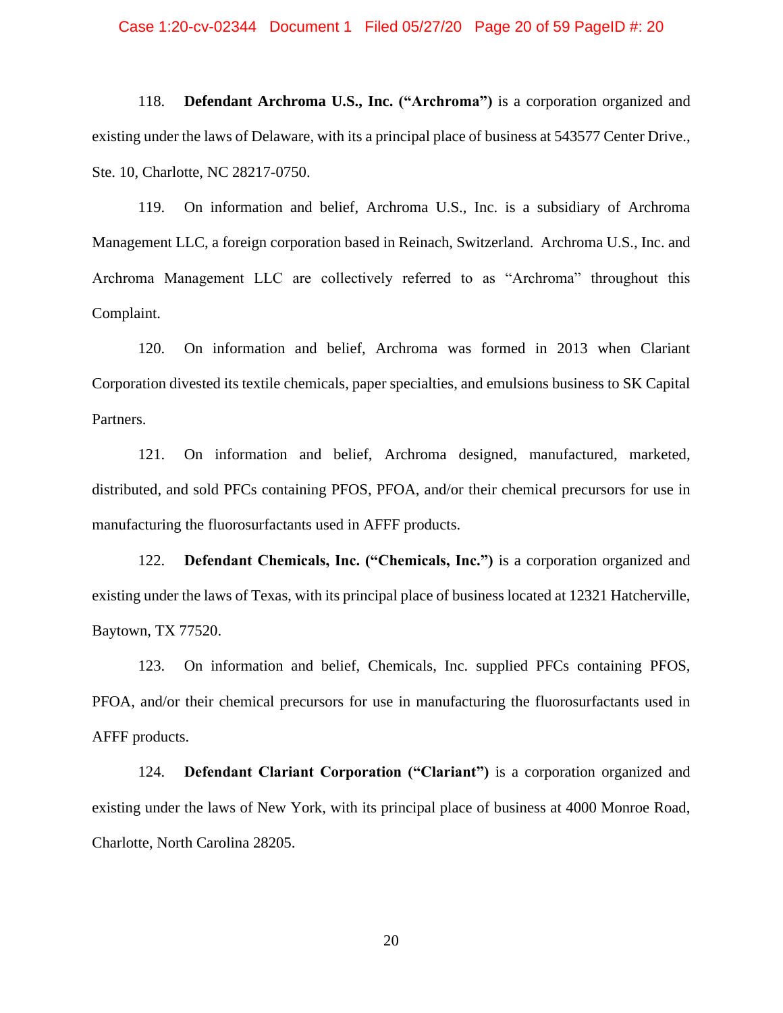#### Case 1:20-cv-02344 Document 1 Filed 05/27/20 Page 20 of 59 PageID #: 20

118. **Defendant Archroma U.S., Inc. ("Archroma")** is a corporation organized and existing under the laws of Delaware, with its a principal place of business at 543577 Center Drive., Ste. 10, Charlotte, NC 28217-0750.

119. On information and belief, Archroma U.S., Inc. is a subsidiary of Archroma Management LLC, a foreign corporation based in Reinach, Switzerland. Archroma U.S., Inc. and Archroma Management LLC are collectively referred to as "Archroma" throughout this Complaint.

120. On information and belief, Archroma was formed in 2013 when Clariant Corporation divested its textile chemicals, paper specialties, and emulsions business to SK Capital Partners.

121. On information and belief, Archroma designed, manufactured, marketed, distributed, and sold PFCs containing PFOS, PFOA, and/or their chemical precursors for use in manufacturing the fluorosurfactants used in AFFF products.

122. **Defendant Chemicals, Inc. ("Chemicals, Inc.")** is a corporation organized and existing under the laws of Texas, with its principal place of business located at 12321 Hatcherville, Baytown, TX 77520.

123. On information and belief, Chemicals, Inc. supplied PFCs containing PFOS, PFOA, and/or their chemical precursors for use in manufacturing the fluorosurfactants used in AFFF products.

124. **Defendant Clariant Corporation ("Clariant")** is a corporation organized and existing under the laws of New York, with its principal place of business at 4000 Monroe Road, Charlotte, North Carolina 28205.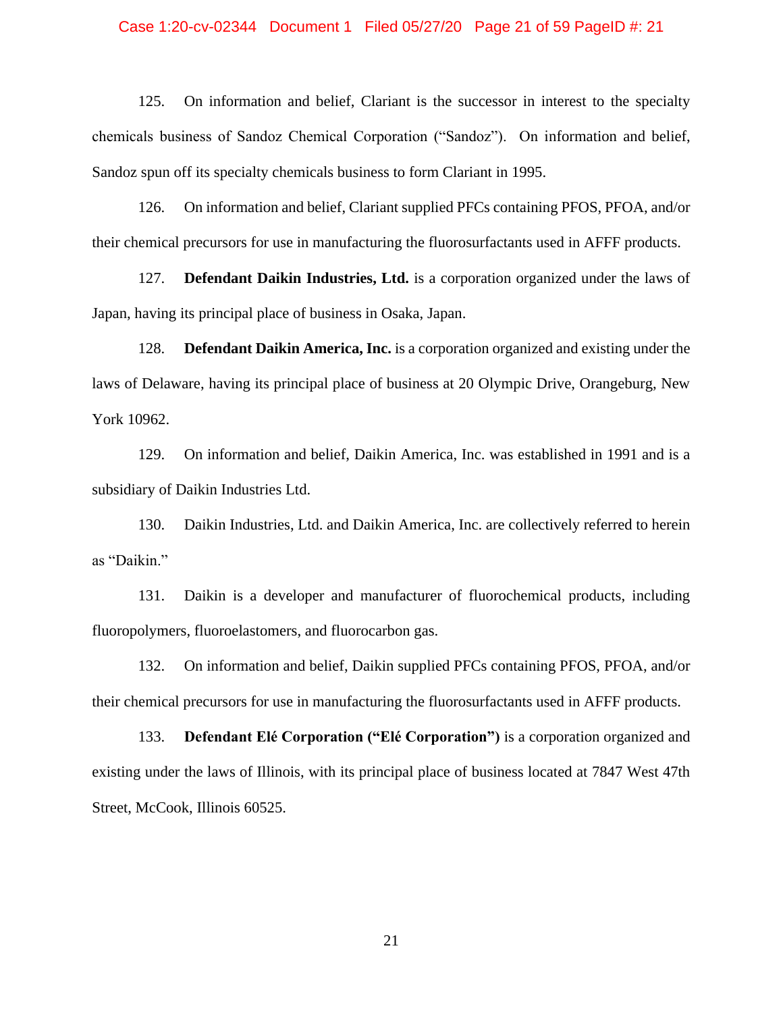#### Case 1:20-cv-02344 Document 1 Filed 05/27/20 Page 21 of 59 PageID #: 21

125. On information and belief, Clariant is the successor in interest to the specialty chemicals business of Sandoz Chemical Corporation ("Sandoz"). On information and belief, Sandoz spun off its specialty chemicals business to form Clariant in 1995.

126. On information and belief, Clariant supplied PFCs containing PFOS, PFOA, and/or their chemical precursors for use in manufacturing the fluorosurfactants used in AFFF products.

127. **Defendant Daikin Industries, Ltd.** is a corporation organized under the laws of Japan, having its principal place of business in Osaka, Japan.

128. **Defendant Daikin America, Inc.** is a corporation organized and existing under the laws of Delaware, having its principal place of business at 20 Olympic Drive, Orangeburg, New York 10962.

129. On information and belief, Daikin America, Inc. was established in 1991 and is a subsidiary of Daikin Industries Ltd.

130. Daikin Industries, Ltd. and Daikin America, Inc. are collectively referred to herein as "Daikin."

131. Daikin is a developer and manufacturer of fluorochemical products, including fluoropolymers, fluoroelastomers, and fluorocarbon gas.

132. On information and belief, Daikin supplied PFCs containing PFOS, PFOA, and/or their chemical precursors for use in manufacturing the fluorosurfactants used in AFFF products.

133. **Defendant Elé Corporation ("Elé Corporation")** is a corporation organized and existing under the laws of Illinois, with its principal place of business located at 7847 West 47th Street, McCook, Illinois 60525.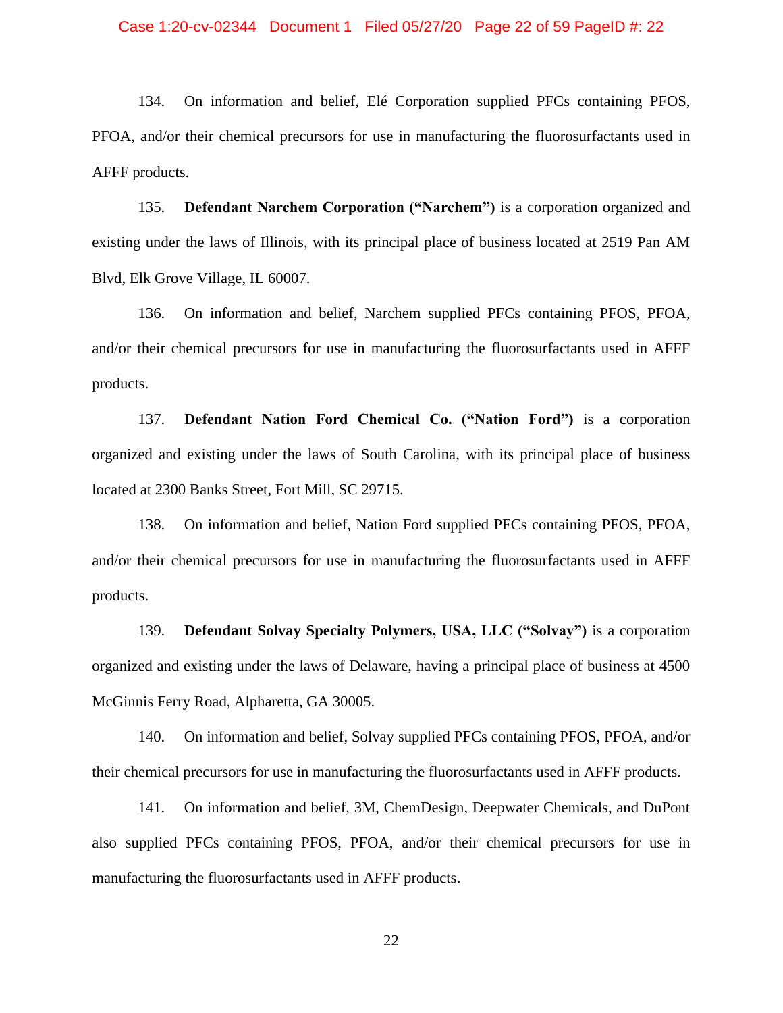#### Case 1:20-cv-02344 Document 1 Filed 05/27/20 Page 22 of 59 PageID #: 22

134. On information and belief, Elé Corporation supplied PFCs containing PFOS, PFOA, and/or their chemical precursors for use in manufacturing the fluorosurfactants used in AFFF products.

135. **Defendant Narchem Corporation ("Narchem")** is a corporation organized and existing under the laws of Illinois, with its principal place of business located at 2519 Pan AM Blvd, Elk Grove Village, IL 60007.

136. On information and belief, Narchem supplied PFCs containing PFOS, PFOA, and/or their chemical precursors for use in manufacturing the fluorosurfactants used in AFFF products.

137. **Defendant Nation Ford Chemical Co. ("Nation Ford")** is a corporation organized and existing under the laws of South Carolina, with its principal place of business located at 2300 Banks Street, Fort Mill, SC 29715.

138. On information and belief, Nation Ford supplied PFCs containing PFOS, PFOA, and/or their chemical precursors for use in manufacturing the fluorosurfactants used in AFFF products.

139. **Defendant Solvay Specialty Polymers, USA, LLC ("Solvay")** is a corporation organized and existing under the laws of Delaware, having a principal place of business at 4500 McGinnis Ferry Road, Alpharetta, GA 30005.

140. On information and belief, Solvay supplied PFCs containing PFOS, PFOA, and/or their chemical precursors for use in manufacturing the fluorosurfactants used in AFFF products.

141. On information and belief, 3M, ChemDesign, Deepwater Chemicals, and DuPont also supplied PFCs containing PFOS, PFOA, and/or their chemical precursors for use in manufacturing the fluorosurfactants used in AFFF products.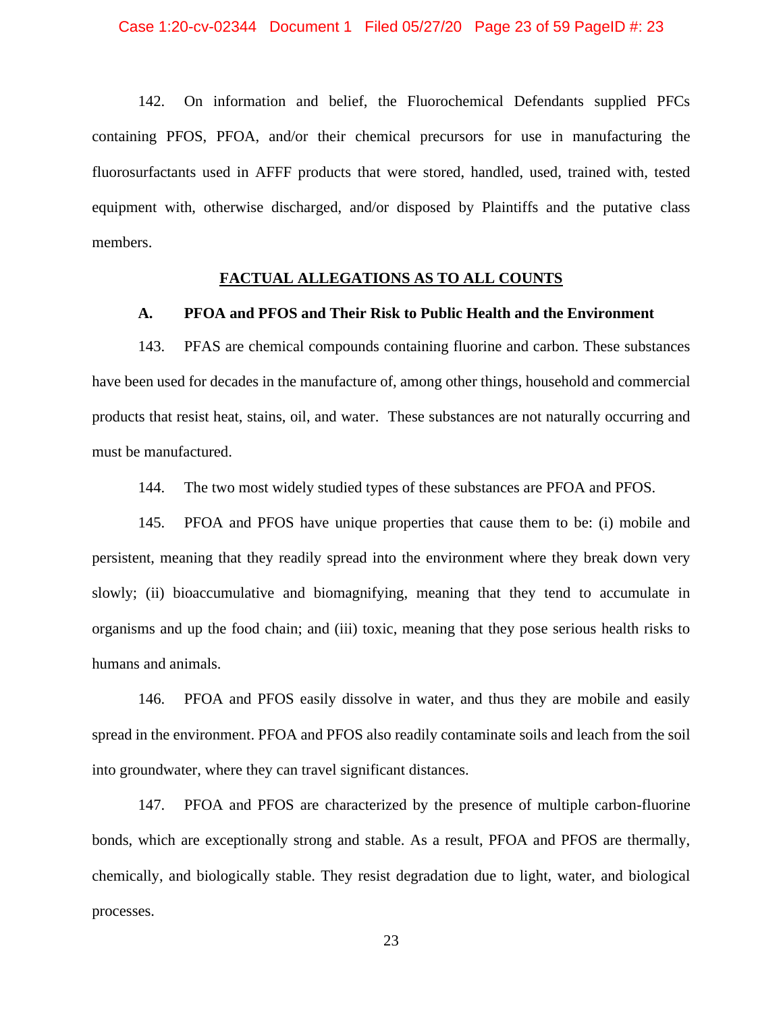142. On information and belief, the Fluorochemical Defendants supplied PFCs containing PFOS, PFOA, and/or their chemical precursors for use in manufacturing the fluorosurfactants used in AFFF products that were stored, handled, used, trained with, tested equipment with, otherwise discharged, and/or disposed by Plaintiffs and the putative class members.

## **FACTUAL ALLEGATIONS AS TO ALL COUNTS**

## **A. PFOA and PFOS and Their Risk to Public Health and the Environment**

143. PFAS are chemical compounds containing fluorine and carbon. These substances have been used for decades in the manufacture of, among other things, household and commercial products that resist heat, stains, oil, and water. These substances are not naturally occurring and must be manufactured.

144. The two most widely studied types of these substances are PFOA and PFOS.

145. PFOA and PFOS have unique properties that cause them to be: (i) mobile and persistent, meaning that they readily spread into the environment where they break down very slowly; (ii) bioaccumulative and biomagnifying, meaning that they tend to accumulate in organisms and up the food chain; and (iii) toxic, meaning that they pose serious health risks to humans and animals.

146. PFOA and PFOS easily dissolve in water, and thus they are mobile and easily spread in the environment. PFOA and PFOS also readily contaminate soils and leach from the soil into groundwater, where they can travel significant distances.

147. PFOA and PFOS are characterized by the presence of multiple carbon-fluorine bonds, which are exceptionally strong and stable. As a result, PFOA and PFOS are thermally, chemically, and biologically stable. They resist degradation due to light, water, and biological processes.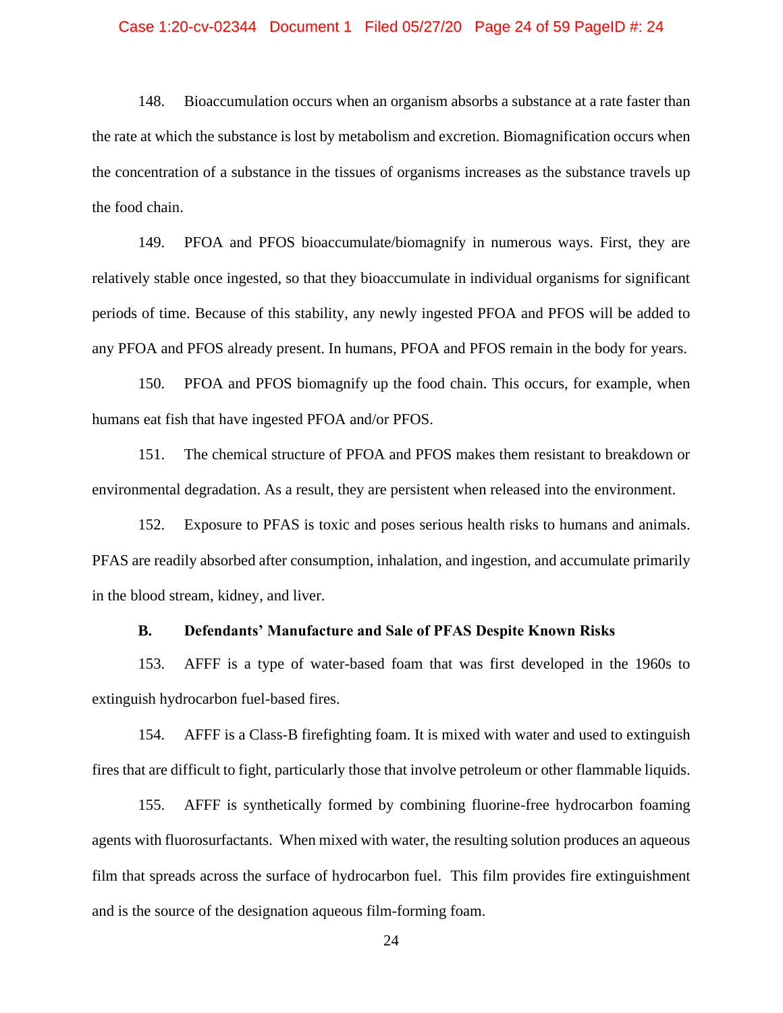#### Case 1:20-cv-02344 Document 1 Filed 05/27/20 Page 24 of 59 PageID #: 24

148. Bioaccumulation occurs when an organism absorbs a substance at a rate faster than the rate at which the substance is lost by metabolism and excretion. Biomagnification occurs when the concentration of a substance in the tissues of organisms increases as the substance travels up the food chain.

149. PFOA and PFOS bioaccumulate/biomagnify in numerous ways. First, they are relatively stable once ingested, so that they bioaccumulate in individual organisms for significant periods of time. Because of this stability, any newly ingested PFOA and PFOS will be added to any PFOA and PFOS already present. In humans, PFOA and PFOS remain in the body for years.

150. PFOA and PFOS biomagnify up the food chain. This occurs, for example, when humans eat fish that have ingested PFOA and/or PFOS.

151. The chemical structure of PFOA and PFOS makes them resistant to breakdown or environmental degradation. As a result, they are persistent when released into the environment.

152. Exposure to PFAS is toxic and poses serious health risks to humans and animals. PFAS are readily absorbed after consumption, inhalation, and ingestion, and accumulate primarily in the blood stream, kidney, and liver.

### **B. Defendants' Manufacture and Sale of PFAS Despite Known Risks**

153. AFFF is a type of water-based foam that was first developed in the 1960s to extinguish hydrocarbon fuel-based fires.

154. AFFF is a Class-B firefighting foam. It is mixed with water and used to extinguish fires that are difficult to fight, particularly those that involve petroleum or other flammable liquids.

155. AFFF is synthetically formed by combining fluorine-free hydrocarbon foaming agents with fluorosurfactants. When mixed with water, the resulting solution produces an aqueous film that spreads across the surface of hydrocarbon fuel. This film provides fire extinguishment and is the source of the designation aqueous film-forming foam.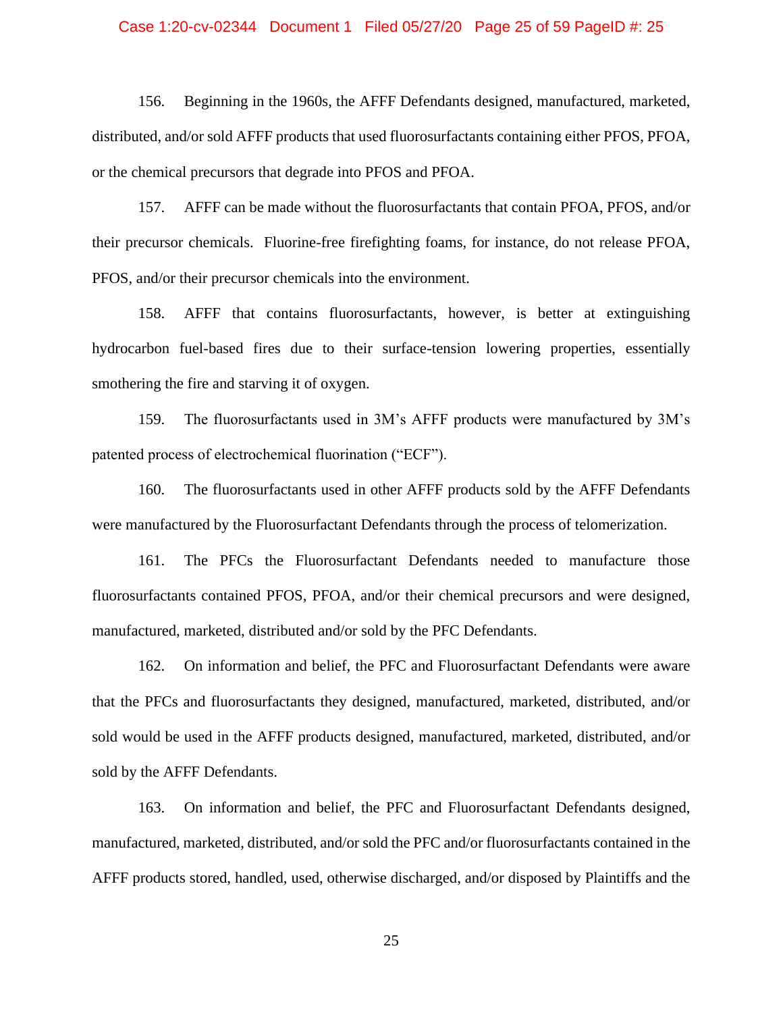#### Case 1:20-cv-02344 Document 1 Filed 05/27/20 Page 25 of 59 PageID #: 25

156. Beginning in the 1960s, the AFFF Defendants designed, manufactured, marketed, distributed, and/or sold AFFF products that used fluorosurfactants containing either PFOS, PFOA, or the chemical precursors that degrade into PFOS and PFOA.

157. AFFF can be made without the fluorosurfactants that contain PFOA, PFOS, and/or their precursor chemicals. Fluorine-free firefighting foams, for instance, do not release PFOA, PFOS, and/or their precursor chemicals into the environment.

158. AFFF that contains fluorosurfactants, however, is better at extinguishing hydrocarbon fuel-based fires due to their surface-tension lowering properties, essentially smothering the fire and starving it of oxygen.

159. The fluorosurfactants used in 3M's AFFF products were manufactured by 3M's patented process of electrochemical fluorination ("ECF").

160. The fluorosurfactants used in other AFFF products sold by the AFFF Defendants were manufactured by the Fluorosurfactant Defendants through the process of telomerization.

161. The PFCs the Fluorosurfactant Defendants needed to manufacture those fluorosurfactants contained PFOS, PFOA, and/or their chemical precursors and were designed, manufactured, marketed, distributed and/or sold by the PFC Defendants.

162. On information and belief, the PFC and Fluorosurfactant Defendants were aware that the PFCs and fluorosurfactants they designed, manufactured, marketed, distributed, and/or sold would be used in the AFFF products designed, manufactured, marketed, distributed, and/or sold by the AFFF Defendants.

163. On information and belief, the PFC and Fluorosurfactant Defendants designed, manufactured, marketed, distributed, and/or sold the PFC and/or fluorosurfactants contained in the AFFF products stored, handled, used, otherwise discharged, and/or disposed by Plaintiffs and the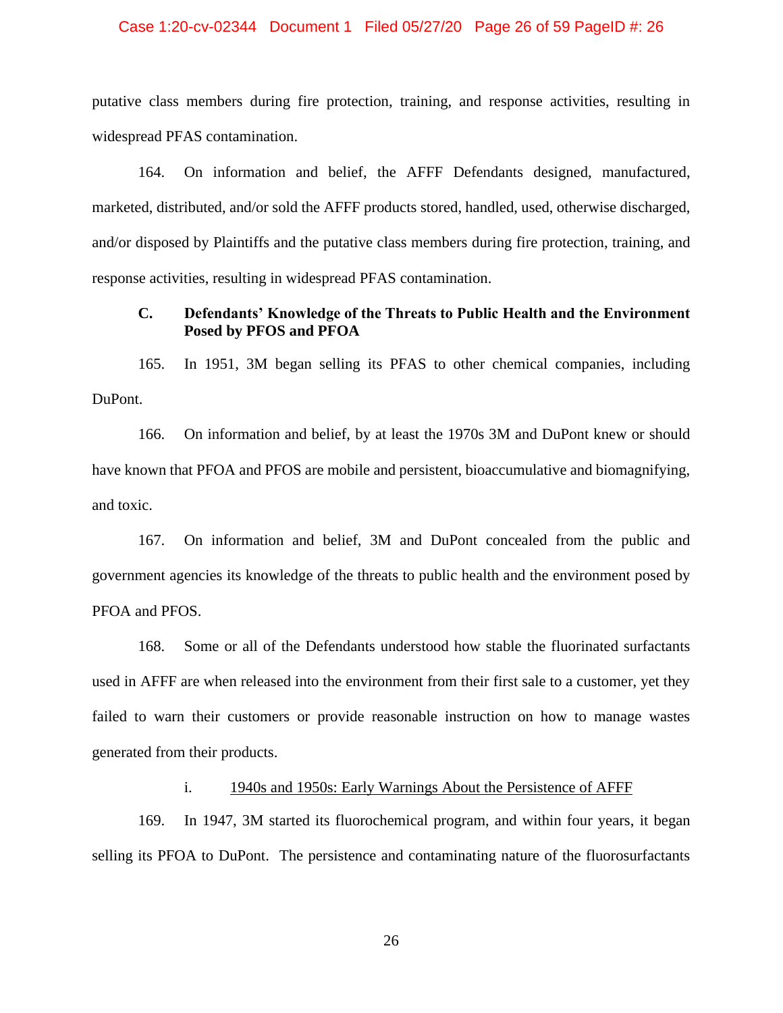#### Case 1:20-cv-02344 Document 1 Filed 05/27/20 Page 26 of 59 PageID #: 26

putative class members during fire protection, training, and response activities, resulting in widespread PFAS contamination.

164. On information and belief, the AFFF Defendants designed, manufactured, marketed, distributed, and/or sold the AFFF products stored, handled, used, otherwise discharged, and/or disposed by Plaintiffs and the putative class members during fire protection, training, and response activities, resulting in widespread PFAS contamination.

## **C. Defendants' Knowledge of the Threats to Public Health and the Environment Posed by PFOS and PFOA**

165. In 1951, 3M began selling its PFAS to other chemical companies, including DuPont.

166. On information and belief, by at least the 1970s 3M and DuPont knew or should have known that PFOA and PFOS are mobile and persistent, bioaccumulative and biomagnifying, and toxic.

167. On information and belief, 3M and DuPont concealed from the public and government agencies its knowledge of the threats to public health and the environment posed by PFOA and PFOS.

168. Some or all of the Defendants understood how stable the fluorinated surfactants used in AFFF are when released into the environment from their first sale to a customer, yet they failed to warn their customers or provide reasonable instruction on how to manage wastes generated from their products.

## i. 1940s and 1950s: Early Warnings About the Persistence of AFFF

169. In 1947, 3M started its fluorochemical program, and within four years, it began selling its PFOA to DuPont. The persistence and contaminating nature of the fluorosurfactants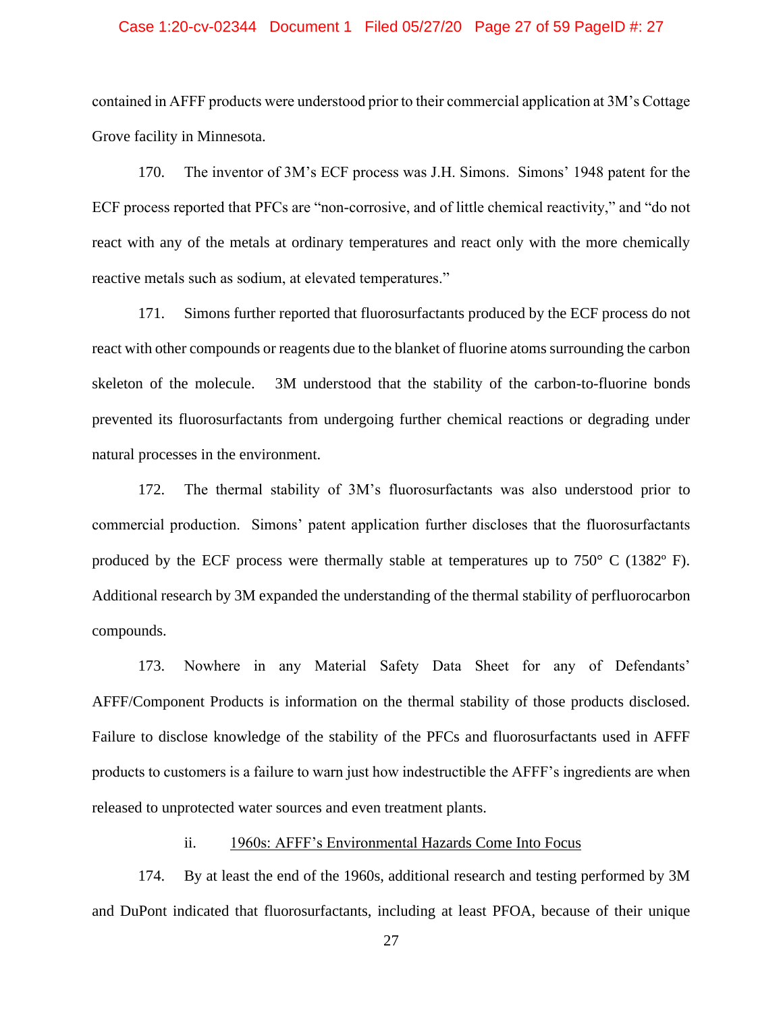#### Case 1:20-cv-02344 Document 1 Filed 05/27/20 Page 27 of 59 PageID #: 27

contained in AFFF products were understood prior to their commercial application at 3M's Cottage Grove facility in Minnesota.

170. The inventor of 3M's ECF process was J.H. Simons. Simons' 1948 patent for the ECF process reported that PFCs are "non-corrosive, and of little chemical reactivity," and "do not react with any of the metals at ordinary temperatures and react only with the more chemically reactive metals such as sodium, at elevated temperatures."

171. Simons further reported that fluorosurfactants produced by the ECF process do not react with other compounds or reagents due to the blanket of fluorine atoms surrounding the carbon skeleton of the molecule. 3M understood that the stability of the carbon-to-fluorine bonds prevented its fluorosurfactants from undergoing further chemical reactions or degrading under natural processes in the environment.

172. The thermal stability of 3M's fluorosurfactants was also understood prior to commercial production. Simons' patent application further discloses that the fluorosurfactants produced by the ECF process were thermally stable at temperatures up to  $750^{\circ}$  C (1382 $^{\circ}$  F). Additional research by 3M expanded the understanding of the thermal stability of perfluorocarbon compounds.

173. Nowhere in any Material Safety Data Sheet for any of Defendants' AFFF/Component Products is information on the thermal stability of those products disclosed. Failure to disclose knowledge of the stability of the PFCs and fluorosurfactants used in AFFF products to customers is a failure to warn just how indestructible the AFFF's ingredients are when released to unprotected water sources and even treatment plants.

# ii. 1960s: AFFF's Environmental Hazards Come Into Focus

174. By at least the end of the 1960s, additional research and testing performed by 3M and DuPont indicated that fluorosurfactants, including at least PFOA, because of their unique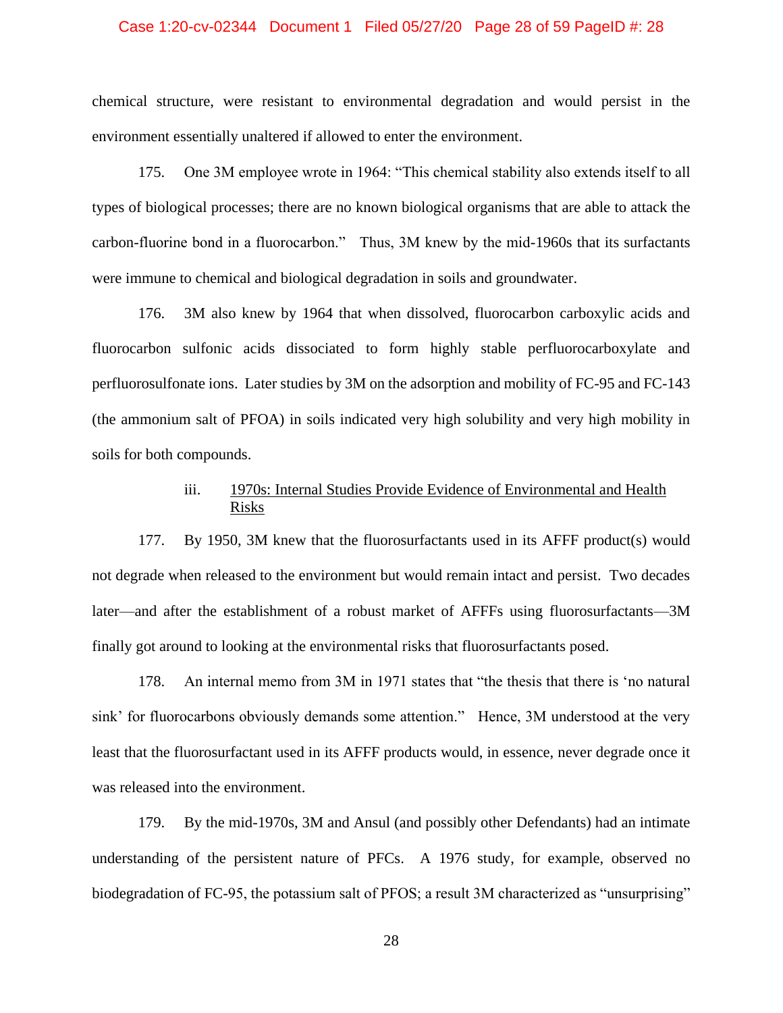#### Case 1:20-cv-02344 Document 1 Filed 05/27/20 Page 28 of 59 PageID #: 28

chemical structure, were resistant to environmental degradation and would persist in the environment essentially unaltered if allowed to enter the environment.

175. One 3M employee wrote in 1964: "This chemical stability also extends itself to all types of biological processes; there are no known biological organisms that are able to attack the carbon-fluorine bond in a fluorocarbon." Thus, 3M knew by the mid-1960s that its surfactants were immune to chemical and biological degradation in soils and groundwater.

176. 3M also knew by 1964 that when dissolved, fluorocarbon carboxylic acids and fluorocarbon sulfonic acids dissociated to form highly stable perfluorocarboxylate and perfluorosulfonate ions. Later studies by 3M on the adsorption and mobility of FC-95 and FC-143 (the ammonium salt of PFOA) in soils indicated very high solubility and very high mobility in soils for both compounds.

# iii. 1970s: Internal Studies Provide Evidence of Environmental and Health Risks

177. By 1950, 3M knew that the fluorosurfactants used in its AFFF product(s) would not degrade when released to the environment but would remain intact and persist. Two decades later—and after the establishment of a robust market of AFFFs using fluorosurfactants—3M finally got around to looking at the environmental risks that fluorosurfactants posed.

178. An internal memo from 3M in 1971 states that "the thesis that there is 'no natural sink' for fluorocarbons obviously demands some attention." Hence, 3M understood at the very least that the fluorosurfactant used in its AFFF products would, in essence, never degrade once it was released into the environment.

179. By the mid-1970s, 3M and Ansul (and possibly other Defendants) had an intimate understanding of the persistent nature of PFCs. A 1976 study, for example, observed no biodegradation of FC-95, the potassium salt of PFOS; a result 3M characterized as "unsurprising"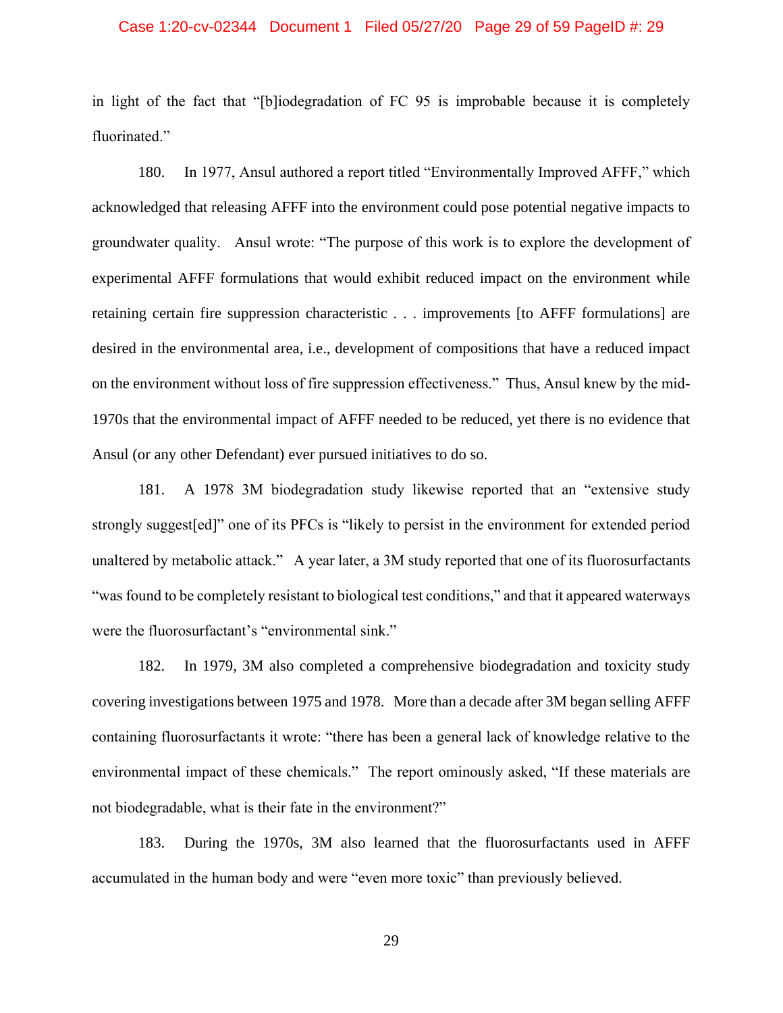#### Case 1:20-cv-02344 Document 1 Filed 05/27/20 Page 29 of 59 PageID #: 29

in light of the fact that "[b]iodegradation of FC 95 is improbable because it is completely fluorinated."

180. In 1977, Ansul authored a report titled "Environmentally Improved AFFF," which acknowledged that releasing AFFF into the environment could pose potential negative impacts to groundwater quality. Ansul wrote: "The purpose of this work is to explore the development of experimental AFFF formulations that would exhibit reduced impact on the environment while retaining certain fire suppression characteristic . . . improvements [to AFFF formulations] are desired in the environmental area, i.e., development of compositions that have a reduced impact on the environment without loss of fire suppression effectiveness." Thus, Ansul knew by the mid-1970s that the environmental impact of AFFF needed to be reduced, yet there is no evidence that Ansul (or any other Defendant) ever pursued initiatives to do so.

181. A 1978 3M biodegradation study likewise reported that an "extensive study strongly suggest[ed]" one of its PFCs is "likely to persist in the environment for extended period unaltered by metabolic attack." A year later, a 3M study reported that one of its fluorosurfactants "was found to be completely resistant to biological test conditions," and that it appeared waterways were the fluorosurfactant's "environmental sink."

182. In 1979, 3M also completed a comprehensive biodegradation and toxicity study covering investigations between 1975 and 1978. More than a decade after 3M began selling AFFF containing fluorosurfactants it wrote: "there has been a general lack of knowledge relative to the environmental impact of these chemicals." The report ominously asked, "If these materials are not biodegradable, what is their fate in the environment?"

183. During the 1970s, 3M also learned that the fluorosurfactants used in AFFF accumulated in the human body and were "even more toxic" than previously believed.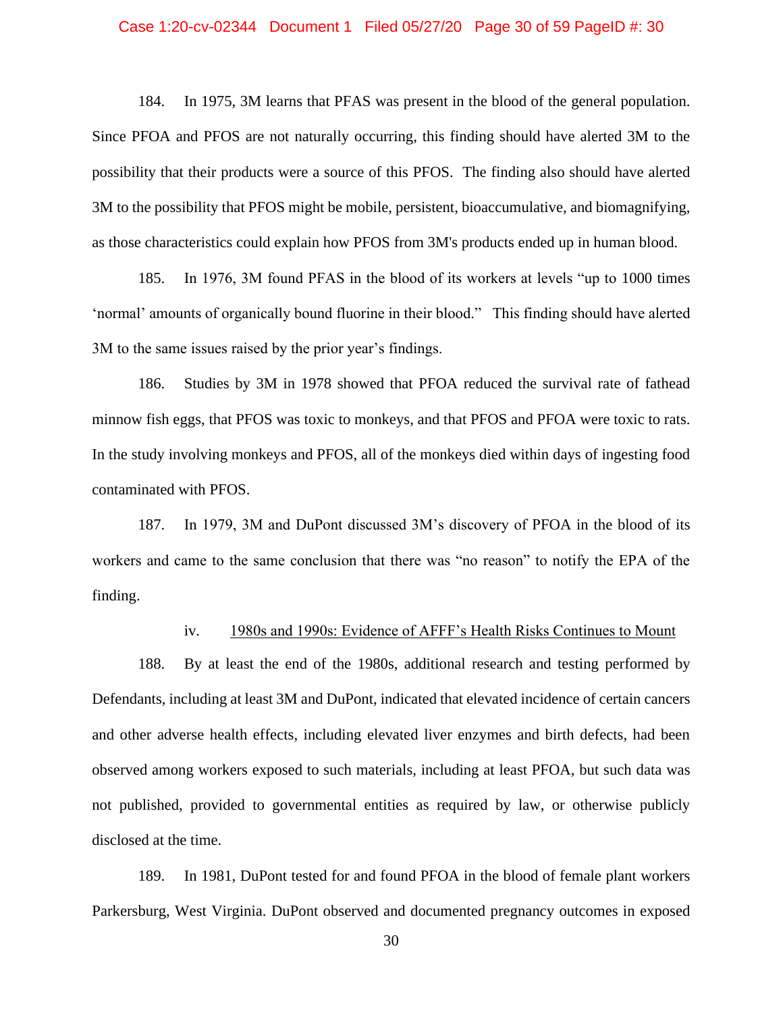#### Case 1:20-cv-02344 Document 1 Filed 05/27/20 Page 30 of 59 PageID #: 30

184. In 1975, 3M learns that PFAS was present in the blood of the general population. Since PFOA and PFOS are not naturally occurring, this finding should have alerted 3M to the possibility that their products were a source of this PFOS. The finding also should have alerted 3M to the possibility that PFOS might be mobile, persistent, bioaccumulative, and biomagnifying, as those characteristics could explain how PFOS from 3M's products ended up in human blood.

185. In 1976, 3M found PFAS in the blood of its workers at levels "up to 1000 times 'normal' amounts of organically bound fluorine in their blood." This finding should have alerted 3M to the same issues raised by the prior year's findings.

186. Studies by 3M in 1978 showed that PFOA reduced the survival rate of fathead minnow fish eggs, that PFOS was toxic to monkeys, and that PFOS and PFOA were toxic to rats. In the study involving monkeys and PFOS, all of the monkeys died within days of ingesting food contaminated with PFOS.

187. In 1979, 3M and DuPont discussed 3M's discovery of PFOA in the blood of its workers and came to the same conclusion that there was "no reason" to notify the EPA of the finding.

## iv. 1980s and 1990s: Evidence of AFFF's Health Risks Continues to Mount

188. By at least the end of the 1980s, additional research and testing performed by Defendants, including at least 3M and DuPont, indicated that elevated incidence of certain cancers and other adverse health effects, including elevated liver enzymes and birth defects, had been observed among workers exposed to such materials, including at least PFOA, but such data was not published, provided to governmental entities as required by law, or otherwise publicly disclosed at the time.

189. In 1981, DuPont tested for and found PFOA in the blood of female plant workers Parkersburg, West Virginia. DuPont observed and documented pregnancy outcomes in exposed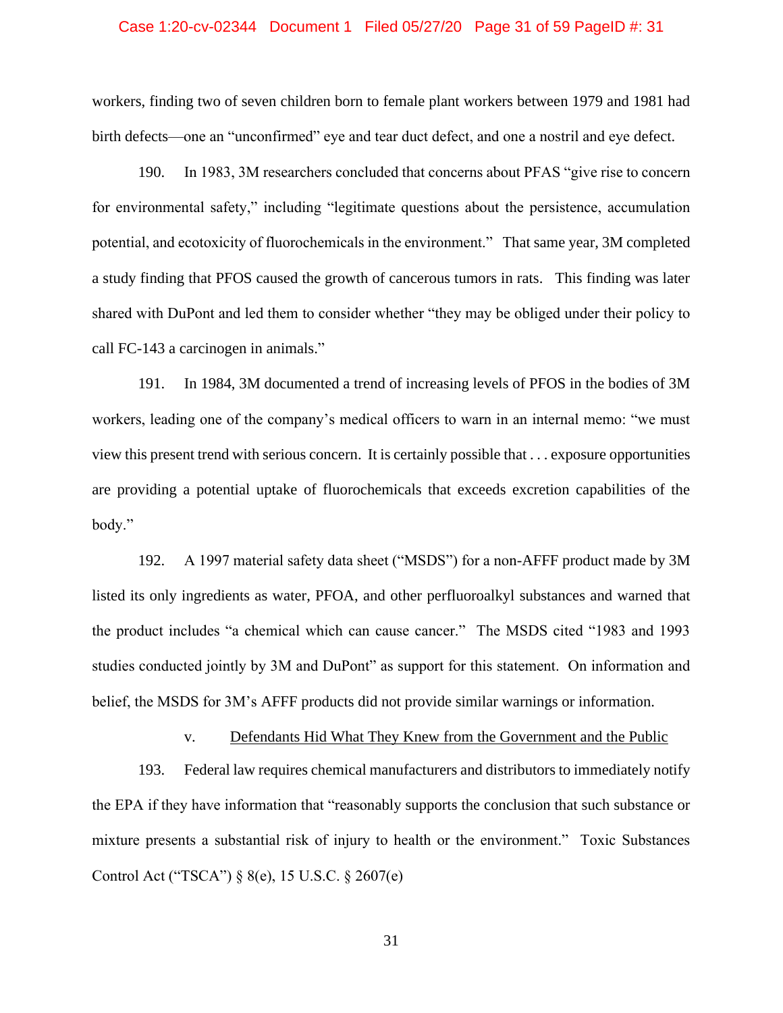## Case 1:20-cv-02344 Document 1 Filed 05/27/20 Page 31 of 59 PageID #: 31

workers, finding two of seven children born to female plant workers between 1979 and 1981 had birth defects—one an "unconfirmed" eye and tear duct defect, and one a nostril and eye defect.

190. In 1983, 3M researchers concluded that concerns about PFAS "give rise to concern for environmental safety," including "legitimate questions about the persistence, accumulation potential, and ecotoxicity of fluorochemicals in the environment." That same year, 3M completed a study finding that PFOS caused the growth of cancerous tumors in rats. This finding was later shared with DuPont and led them to consider whether "they may be obliged under their policy to call FC-143 a carcinogen in animals."

191. In 1984, 3M documented a trend of increasing levels of PFOS in the bodies of 3M workers, leading one of the company's medical officers to warn in an internal memo: "we must view this present trend with serious concern. It is certainly possible that . . . exposure opportunities are providing a potential uptake of fluorochemicals that exceeds excretion capabilities of the body."

192. A 1997 material safety data sheet ("MSDS") for a non-AFFF product made by 3M listed its only ingredients as water, PFOA, and other perfluoroalkyl substances and warned that the product includes "a chemical which can cause cancer." The MSDS cited "1983 and 1993 studies conducted jointly by 3M and DuPont" as support for this statement. On information and belief, the MSDS for 3M's AFFF products did not provide similar warnings or information.

v. Defendants Hid What They Knew from the Government and the Public

193. Federal law requires chemical manufacturers and distributors to immediately notify the EPA if they have information that "reasonably supports the conclusion that such substance or mixture presents a substantial risk of injury to health or the environment." Toxic Substances Control Act ("TSCA") § 8(e), 15 U.S.C. § 2607(e)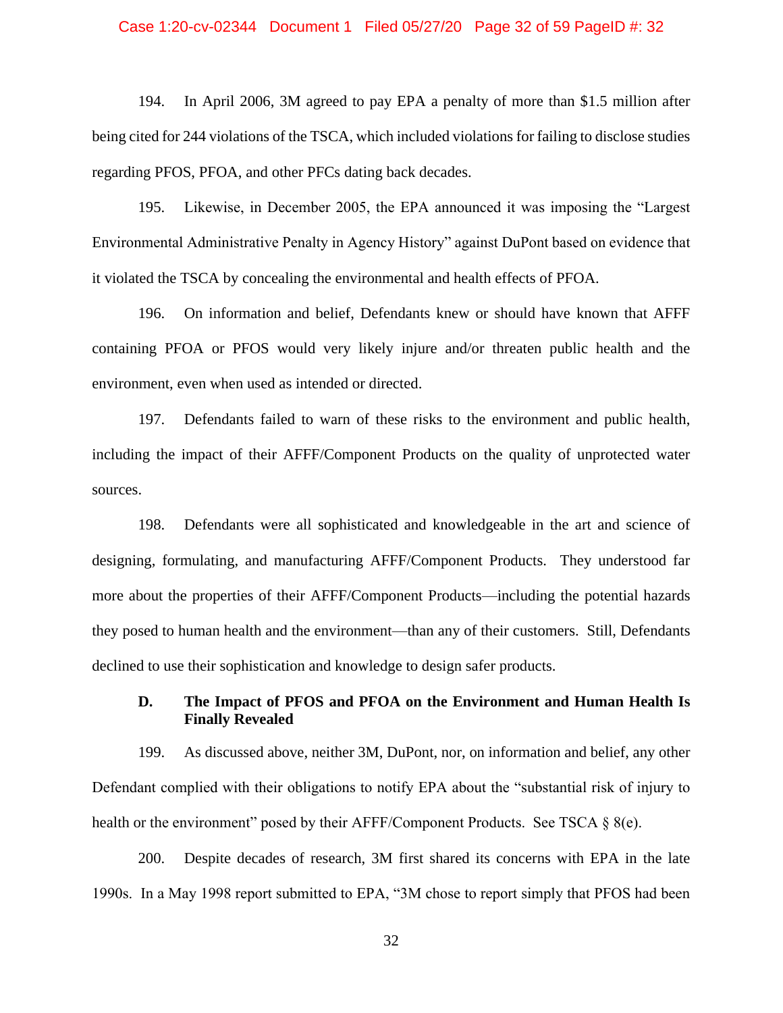#### Case 1:20-cv-02344 Document 1 Filed 05/27/20 Page 32 of 59 PageID #: 32

194. In April 2006, 3M agreed to pay EPA a penalty of more than \$1.5 million after being cited for 244 violations of the TSCA, which included violations for failing to disclose studies regarding PFOS, PFOA, and other PFCs dating back decades.

195. Likewise, in December 2005, the EPA announced it was imposing the "Largest Environmental Administrative Penalty in Agency History" against DuPont based on evidence that it violated the TSCA by concealing the environmental and health effects of PFOA.

196. On information and belief, Defendants knew or should have known that AFFF containing PFOA or PFOS would very likely injure and/or threaten public health and the environment, even when used as intended or directed.

197. Defendants failed to warn of these risks to the environment and public health, including the impact of their AFFF/Component Products on the quality of unprotected water sources.

198. Defendants were all sophisticated and knowledgeable in the art and science of designing, formulating, and manufacturing AFFF/Component Products. They understood far more about the properties of their AFFF/Component Products—including the potential hazards they posed to human health and the environment—than any of their customers. Still, Defendants declined to use their sophistication and knowledge to design safer products.

## **D. The Impact of PFOS and PFOA on the Environment and Human Health Is Finally Revealed**

199. As discussed above, neither 3M, DuPont, nor, on information and belief, any other Defendant complied with their obligations to notify EPA about the "substantial risk of injury to health or the environment" posed by their AFFF/Component Products. See TSCA § 8(e).

200. Despite decades of research, 3M first shared its concerns with EPA in the late 1990s. In a May 1998 report submitted to EPA, "3M chose to report simply that PFOS had been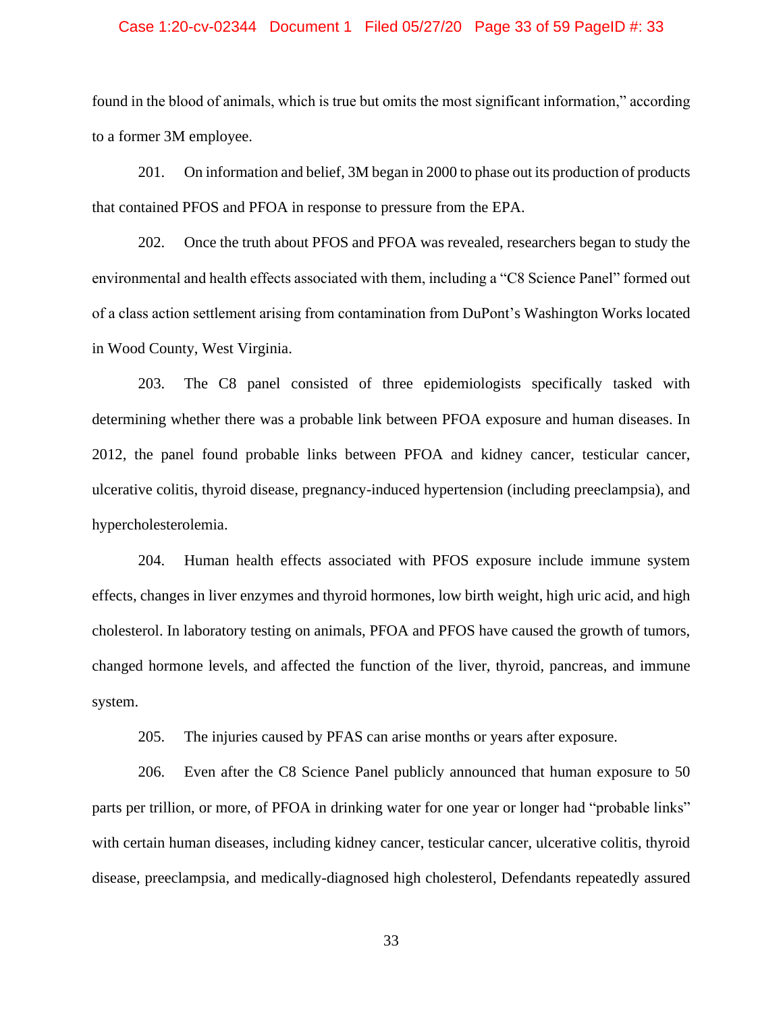#### Case 1:20-cv-02344 Document 1 Filed 05/27/20 Page 33 of 59 PageID #: 33

found in the blood of animals, which is true but omits the most significant information," according to a former 3M employee.

201. On information and belief, 3M began in 2000 to phase out its production of products that contained PFOS and PFOA in response to pressure from the EPA.

202. Once the truth about PFOS and PFOA was revealed, researchers began to study the environmental and health effects associated with them, including a "C8 Science Panel" formed out of a class action settlement arising from contamination from DuPont's Washington Works located in Wood County, West Virginia.

203. The C8 panel consisted of three epidemiologists specifically tasked with determining whether there was a probable link between PFOA exposure and human diseases. In 2012, the panel found probable links between PFOA and kidney cancer, testicular cancer, ulcerative colitis, thyroid disease, pregnancy-induced hypertension (including preeclampsia), and hypercholesterolemia.

204. Human health effects associated with PFOS exposure include immune system effects, changes in liver enzymes and thyroid hormones, low birth weight, high uric acid, and high cholesterol. In laboratory testing on animals, PFOA and PFOS have caused the growth of tumors, changed hormone levels, and affected the function of the liver, thyroid, pancreas, and immune system.

205. The injuries caused by PFAS can arise months or years after exposure.

206. Even after the C8 Science Panel publicly announced that human exposure to 50 parts per trillion, or more, of PFOA in drinking water for one year or longer had "probable links" with certain human diseases, including kidney cancer, testicular cancer, ulcerative colitis, thyroid disease, preeclampsia, and medically-diagnosed high cholesterol, Defendants repeatedly assured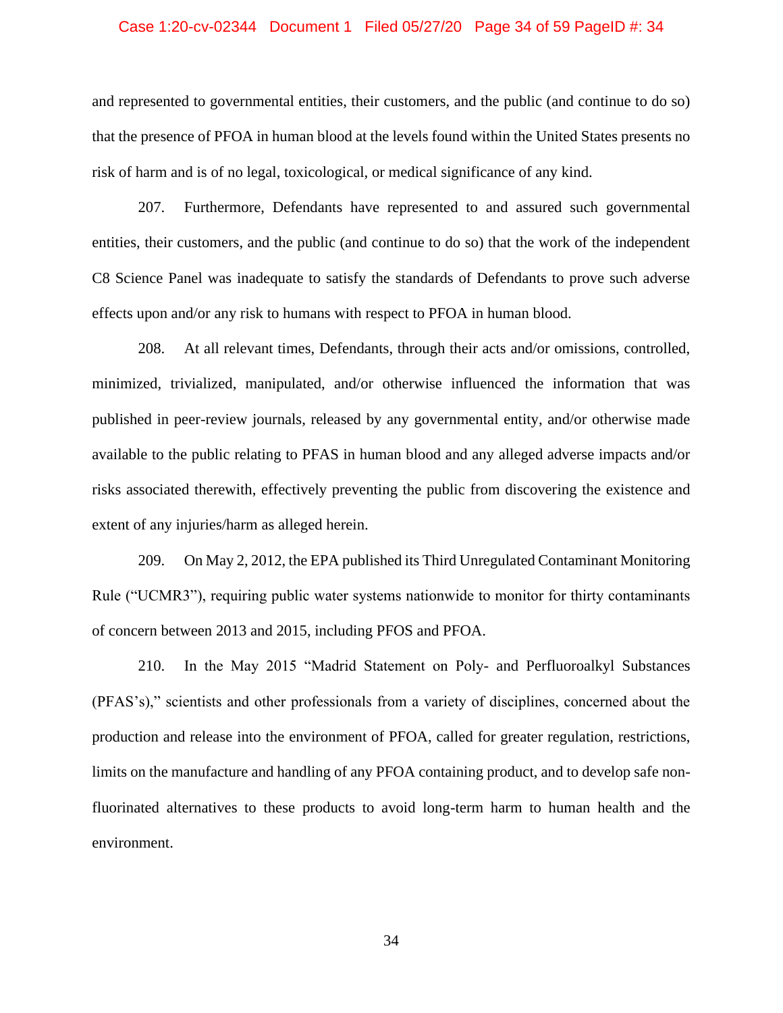#### Case 1:20-cv-02344 Document 1 Filed 05/27/20 Page 34 of 59 PageID #: 34

and represented to governmental entities, their customers, and the public (and continue to do so) that the presence of PFOA in human blood at the levels found within the United States presents no risk of harm and is of no legal, toxicological, or medical significance of any kind.

207. Furthermore, Defendants have represented to and assured such governmental entities, their customers, and the public (and continue to do so) that the work of the independent C8 Science Panel was inadequate to satisfy the standards of Defendants to prove such adverse effects upon and/or any risk to humans with respect to PFOA in human blood.

208. At all relevant times, Defendants, through their acts and/or omissions, controlled, minimized, trivialized, manipulated, and/or otherwise influenced the information that was published in peer-review journals, released by any governmental entity, and/or otherwise made available to the public relating to PFAS in human blood and any alleged adverse impacts and/or risks associated therewith, effectively preventing the public from discovering the existence and extent of any injuries/harm as alleged herein.

209. On May 2, 2012, the EPA published its Third Unregulated Contaminant Monitoring Rule ("UCMR3"), requiring public water systems nationwide to monitor for thirty contaminants of concern between 2013 and 2015, including PFOS and PFOA.

210. In the May 2015 "Madrid Statement on Poly- and Perfluoroalkyl Substances (PFAS's)," scientists and other professionals from a variety of disciplines, concerned about the production and release into the environment of PFOA, called for greater regulation, restrictions, limits on the manufacture and handling of any PFOA containing product, and to develop safe nonfluorinated alternatives to these products to avoid long-term harm to human health and the environment.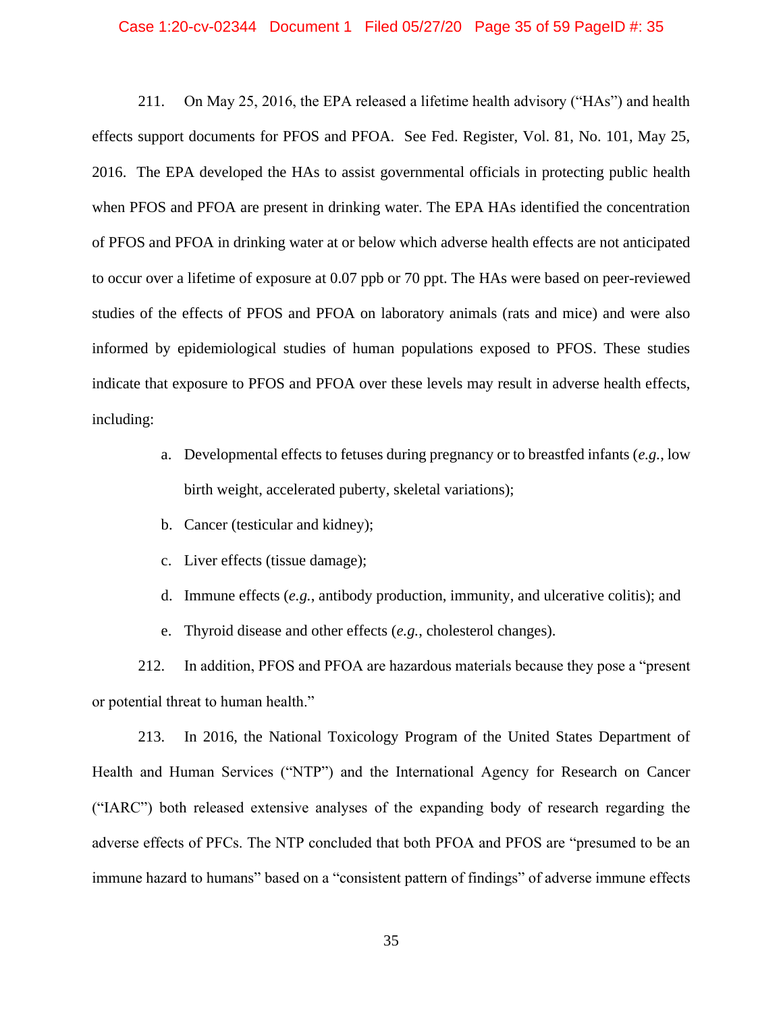#### Case 1:20-cv-02344 Document 1 Filed 05/27/20 Page 35 of 59 PageID #: 35

211. On May 25, 2016, the EPA released a lifetime health advisory ("HAs") and health effects support documents for PFOS and PFOA. See Fed. Register, Vol. 81, No. 101, May 25, 2016. The EPA developed the HAs to assist governmental officials in protecting public health when PFOS and PFOA are present in drinking water. The EPA HAs identified the concentration of PFOS and PFOA in drinking water at or below which adverse health effects are not anticipated to occur over a lifetime of exposure at 0.07 ppb or 70 ppt. The HAs were based on peer-reviewed studies of the effects of PFOS and PFOA on laboratory animals (rats and mice) and were also informed by epidemiological studies of human populations exposed to PFOS. These studies indicate that exposure to PFOS and PFOA over these levels may result in adverse health effects, including:

- a. Developmental effects to fetuses during pregnancy or to breastfed infants (*e.g.*, low birth weight, accelerated puberty, skeletal variations);
- b. Cancer (testicular and kidney);
- c. Liver effects (tissue damage);
- d. Immune effects (*e.g.*, antibody production, immunity, and ulcerative colitis); and

e. Thyroid disease and other effects (*e.g.*, cholesterol changes).

212. In addition, PFOS and PFOA are hazardous materials because they pose a "present or potential threat to human health."

213. In 2016, the National Toxicology Program of the United States Department of Health and Human Services ("NTP") and the International Agency for Research on Cancer ("IARC") both released extensive analyses of the expanding body of research regarding the adverse effects of PFCs. The NTP concluded that both PFOA and PFOS are "presumed to be an immune hazard to humans" based on a "consistent pattern of findings" of adverse immune effects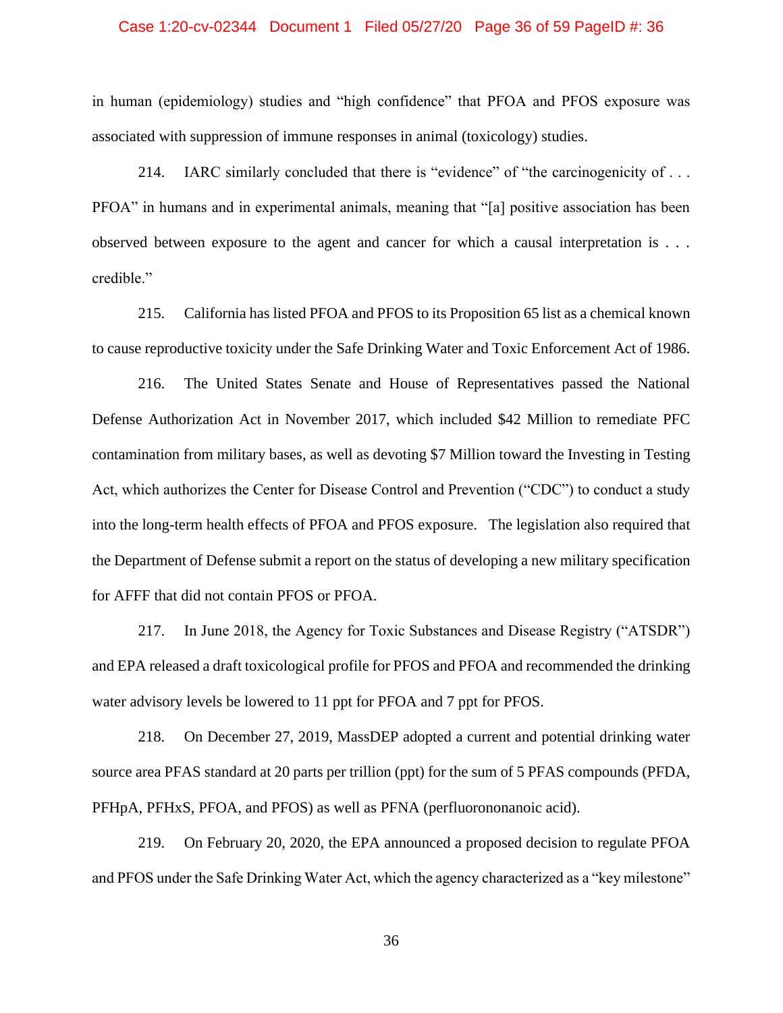#### Case 1:20-cv-02344 Document 1 Filed 05/27/20 Page 36 of 59 PageID #: 36

in human (epidemiology) studies and "high confidence" that PFOA and PFOS exposure was associated with suppression of immune responses in animal (toxicology) studies.

214. IARC similarly concluded that there is "evidence" of "the carcinogenicity of . . . PFOA" in humans and in experimental animals, meaning that "[a] positive association has been observed between exposure to the agent and cancer for which a causal interpretation is . . . credible."

215. California has listed PFOA and PFOS to its Proposition 65 list as a chemical known to cause reproductive toxicity under the Safe Drinking Water and Toxic Enforcement Act of 1986.

216. The United States Senate and House of Representatives passed the National Defense Authorization Act in November 2017, which included \$42 Million to remediate PFC contamination from military bases, as well as devoting \$7 Million toward the Investing in Testing Act, which authorizes the Center for Disease Control and Prevention ("CDC") to conduct a study into the long-term health effects of PFOA and PFOS exposure. The legislation also required that the Department of Defense submit a report on the status of developing a new military specification for AFFF that did not contain PFOS or PFOA.

217. In June 2018, the Agency for Toxic Substances and Disease Registry ("ATSDR") and EPA released a draft toxicological profile for PFOS and PFOA and recommended the drinking water advisory levels be lowered to 11 ppt for PFOA and 7 ppt for PFOS.

218. On December 27, 2019, MassDEP adopted a current and potential drinking water source area PFAS standard at 20 parts per trillion (ppt) for the sum of 5 PFAS compounds (PFDA, PFHpA, PFHxS, PFOA, and PFOS) as well as PFNA (perfluorononanoic acid).

219. On February 20, 2020, the EPA announced a proposed decision to regulate PFOA and PFOS under the Safe Drinking Water Act, which the agency characterized as a "key milestone"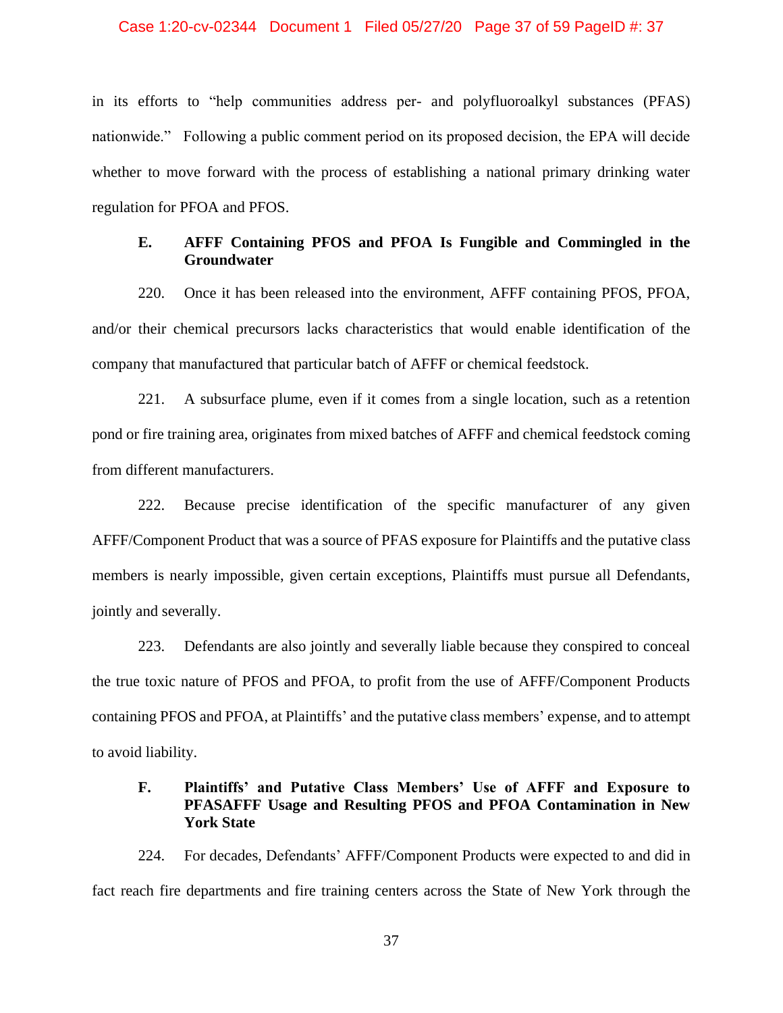#### Case 1:20-cv-02344 Document 1 Filed 05/27/20 Page 37 of 59 PageID #: 37

in its efforts to "help communities address per- and polyfluoroalkyl substances (PFAS) nationwide." Following a public comment period on its proposed decision, the EPA will decide whether to move forward with the process of establishing a national primary drinking water regulation for PFOA and PFOS.

# **E. AFFF Containing PFOS and PFOA Is Fungible and Commingled in the Groundwater**

220. Once it has been released into the environment, AFFF containing PFOS, PFOA, and/or their chemical precursors lacks characteristics that would enable identification of the company that manufactured that particular batch of AFFF or chemical feedstock.

221. A subsurface plume, even if it comes from a single location, such as a retention pond or fire training area, originates from mixed batches of AFFF and chemical feedstock coming from different manufacturers.

222. Because precise identification of the specific manufacturer of any given AFFF/Component Product that was a source of PFAS exposure for Plaintiffs and the putative class members is nearly impossible, given certain exceptions, Plaintiffs must pursue all Defendants, jointly and severally.

223. Defendants are also jointly and severally liable because they conspired to conceal the true toxic nature of PFOS and PFOA, to profit from the use of AFFF/Component Products containing PFOS and PFOA, at Plaintiffs' and the putative class members' expense, and to attempt to avoid liability.

# **F. Plaintiffs' and Putative Class Members' Use of AFFF and Exposure to PFASAFFF Usage and Resulting PFOS and PFOA Contamination in New York State**

224. For decades, Defendants' AFFF/Component Products were expected to and did in fact reach fire departments and fire training centers across the State of New York through the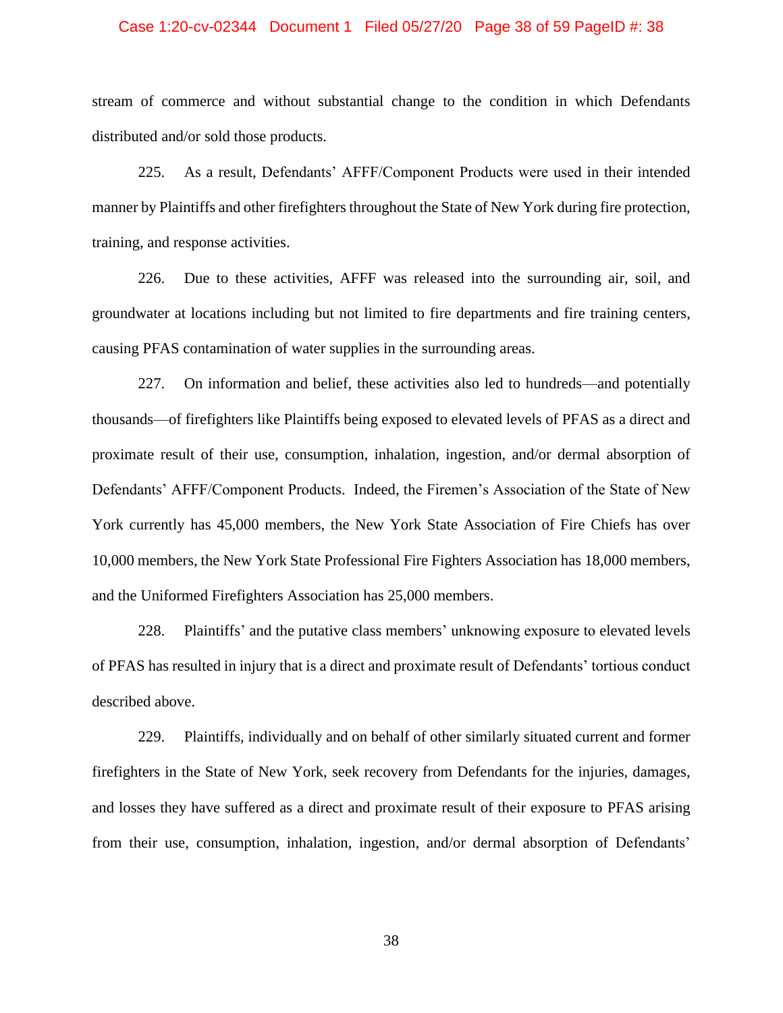#### Case 1:20-cv-02344 Document 1 Filed 05/27/20 Page 38 of 59 PageID #: 38

stream of commerce and without substantial change to the condition in which Defendants distributed and/or sold those products.

225. As a result, Defendants' AFFF/Component Products were used in their intended manner by Plaintiffs and other firefighters throughout the State of New York during fire protection, training, and response activities.

226. Due to these activities, AFFF was released into the surrounding air, soil, and groundwater at locations including but not limited to fire departments and fire training centers, causing PFAS contamination of water supplies in the surrounding areas.

227. On information and belief, these activities also led to hundreds—and potentially thousands—of firefighters like Plaintiffs being exposed to elevated levels of PFAS as a direct and proximate result of their use, consumption, inhalation, ingestion, and/or dermal absorption of Defendants' AFFF/Component Products. Indeed, the Firemen's Association of the State of New York currently has 45,000 members, the New York State Association of Fire Chiefs has over 10,000 members, the New York State Professional Fire Fighters Association has 18,000 members, and the Uniformed Firefighters Association has 25,000 members.

228. Plaintiffs' and the putative class members' unknowing exposure to elevated levels of PFAS has resulted in injury that is a direct and proximate result of Defendants' tortious conduct described above.

229. Plaintiffs, individually and on behalf of other similarly situated current and former firefighters in the State of New York, seek recovery from Defendants for the injuries, damages, and losses they have suffered as a direct and proximate result of their exposure to PFAS arising from their use, consumption, inhalation, ingestion, and/or dermal absorption of Defendants'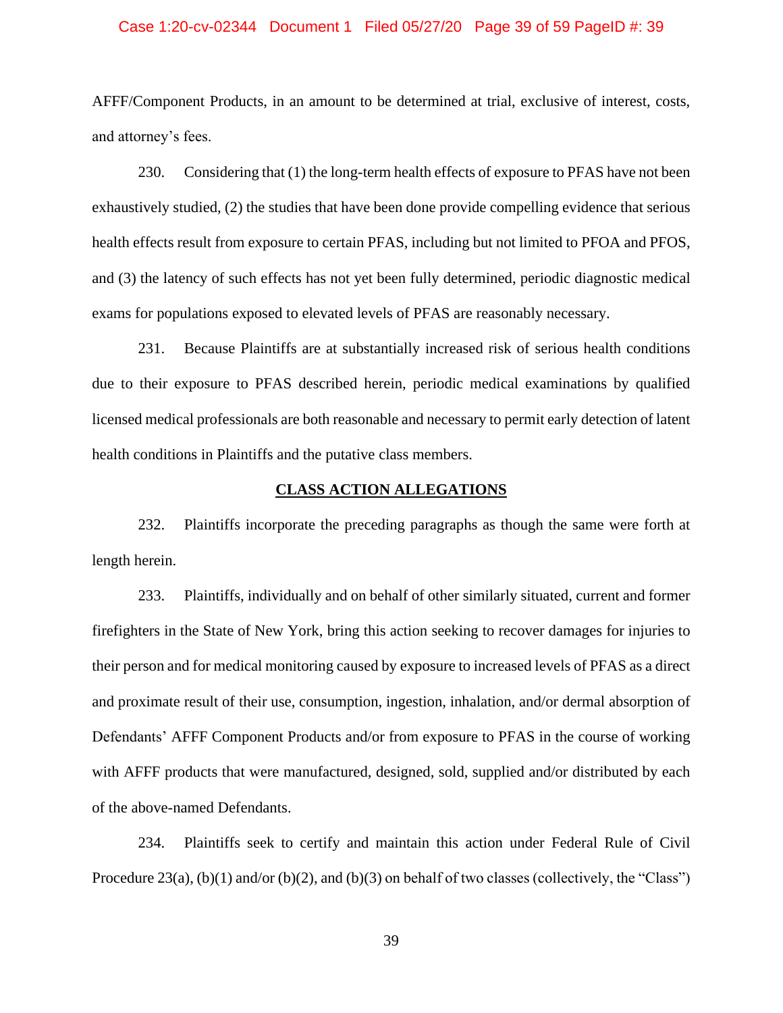#### Case 1:20-cv-02344 Document 1 Filed 05/27/20 Page 39 of 59 PageID #: 39

AFFF/Component Products, in an amount to be determined at trial, exclusive of interest, costs, and attorney's fees.

230. Considering that (1) the long-term health effects of exposure to PFAS have not been exhaustively studied, (2) the studies that have been done provide compelling evidence that serious health effects result from exposure to certain PFAS, including but not limited to PFOA and PFOS, and (3) the latency of such effects has not yet been fully determined, periodic diagnostic medical exams for populations exposed to elevated levels of PFAS are reasonably necessary.

231. Because Plaintiffs are at substantially increased risk of serious health conditions due to their exposure to PFAS described herein, periodic medical examinations by qualified licensed medical professionals are both reasonable and necessary to permit early detection of latent health conditions in Plaintiffs and the putative class members.

## **CLASS ACTION ALLEGATIONS**

232. Plaintiffs incorporate the preceding paragraphs as though the same were forth at length herein.

233. Plaintiffs, individually and on behalf of other similarly situated, current and former firefighters in the State of New York, bring this action seeking to recover damages for injuries to their person and for medical monitoring caused by exposure to increased levels of PFAS as a direct and proximate result of their use, consumption, ingestion, inhalation, and/or dermal absorption of Defendants' AFFF Component Products and/or from exposure to PFAS in the course of working with AFFF products that were manufactured, designed, sold, supplied and/or distributed by each of the above-named Defendants.

234. Plaintiffs seek to certify and maintain this action under Federal Rule of Civil Procedure 23(a), (b)(1) and/or (b)(2), and (b)(3) on behalf of two classes (collectively, the "Class")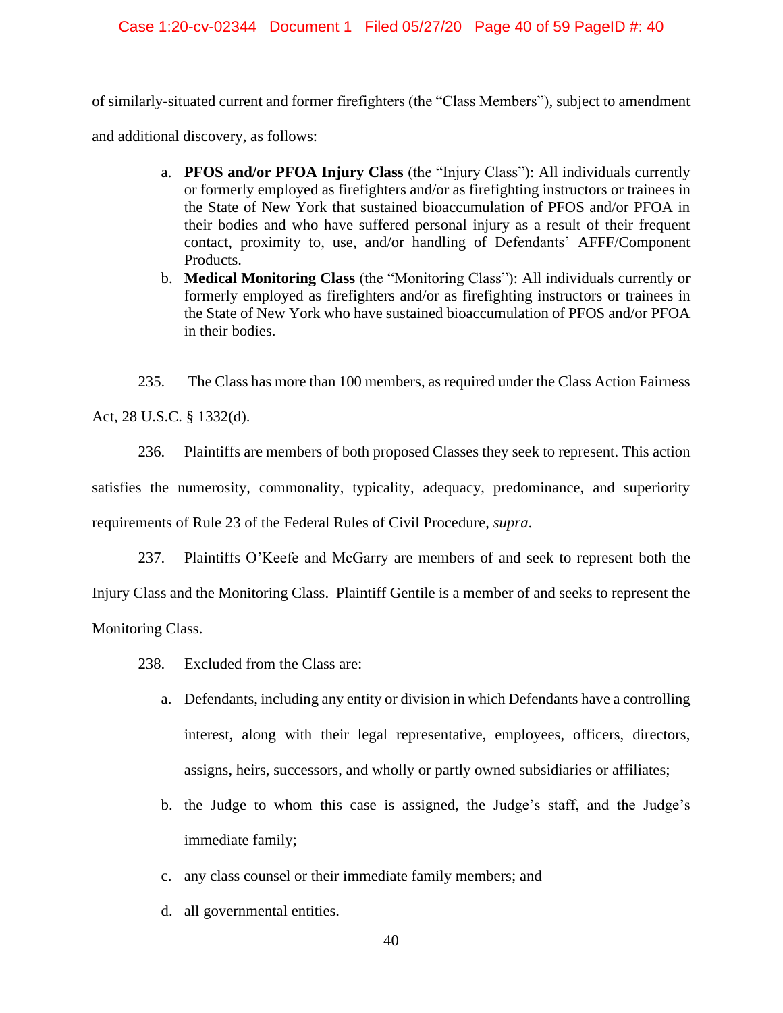## Case 1:20-cv-02344 Document 1 Filed 05/27/20 Page 40 of 59 PageID #: 40

of similarly-situated current and former firefighters (the "Class Members"), subject to amendment

and additional discovery, as follows:

- a. **PFOS and/or PFOA Injury Class** (the "Injury Class"): All individuals currently or formerly employed as firefighters and/or as firefighting instructors or trainees in the State of New York that sustained bioaccumulation of PFOS and/or PFOA in their bodies and who have suffered personal injury as a result of their frequent contact, proximity to, use, and/or handling of Defendants' AFFF/Component Products.
- b. **Medical Monitoring Class** (the "Monitoring Class"): All individuals currently or formerly employed as firefighters and/or as firefighting instructors or trainees in the State of New York who have sustained bioaccumulation of PFOS and/or PFOA in their bodies.

235. The Class has more than 100 members, as required under the Class Action Fairness

Act, 28 U.S.C. § 1332(d).

236. Plaintiffs are members of both proposed Classes they seek to represent. This action satisfies the numerosity, commonality, typicality, adequacy, predominance, and superiority requirements of Rule 23 of the Federal Rules of Civil Procedure, *supra*.

237. Plaintiffs O'Keefe and McGarry are members of and seek to represent both the Injury Class and the Monitoring Class. Plaintiff Gentile is a member of and seeks to represent the Monitoring Class.

- 238. Excluded from the Class are:
	- a. Defendants, including any entity or division in which Defendants have a controlling interest, along with their legal representative, employees, officers, directors, assigns, heirs, successors, and wholly or partly owned subsidiaries or affiliates;
	- b. the Judge to whom this case is assigned, the Judge's staff, and the Judge's immediate family;
	- c. any class counsel or their immediate family members; and
	- d. all governmental entities.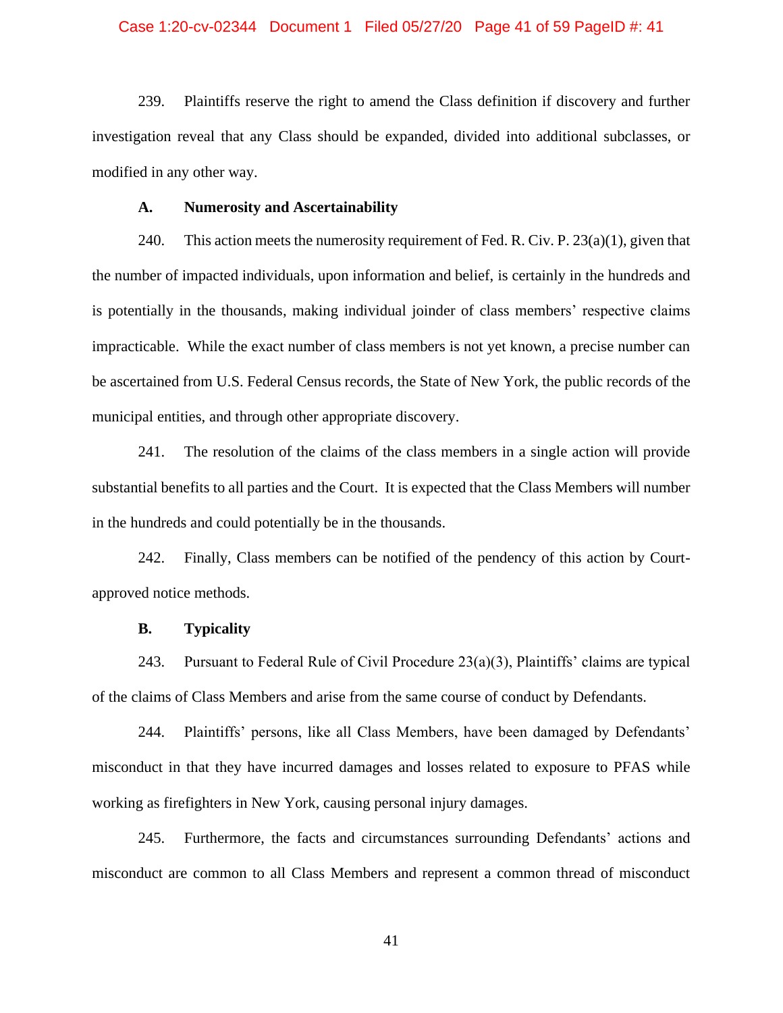## Case 1:20-cv-02344 Document 1 Filed 05/27/20 Page 41 of 59 PageID #: 41

239. Plaintiffs reserve the right to amend the Class definition if discovery and further investigation reveal that any Class should be expanded, divided into additional subclasses, or modified in any other way.

## **A. Numerosity and Ascertainability**

240. This action meets the numerosity requirement of Fed. R. Civ. P.  $23(a)(1)$ , given that the number of impacted individuals, upon information and belief, is certainly in the hundreds and is potentially in the thousands, making individual joinder of class members' respective claims impracticable. While the exact number of class members is not yet known, a precise number can be ascertained from U.S. Federal Census records, the State of New York, the public records of the municipal entities, and through other appropriate discovery.

241. The resolution of the claims of the class members in a single action will provide substantial benefits to all parties and the Court. It is expected that the Class Members will number in the hundreds and could potentially be in the thousands.

242. Finally, Class members can be notified of the pendency of this action by Courtapproved notice methods.

## **B. Typicality**

243. Pursuant to Federal Rule of Civil Procedure  $23(a)(3)$ , Plaintiffs' claims are typical of the claims of Class Members and arise from the same course of conduct by Defendants.

244. Plaintiffs' persons, like all Class Members, have been damaged by Defendants' misconduct in that they have incurred damages and losses related to exposure to PFAS while working as firefighters in New York, causing personal injury damages.

245. Furthermore, the facts and circumstances surrounding Defendants' actions and misconduct are common to all Class Members and represent a common thread of misconduct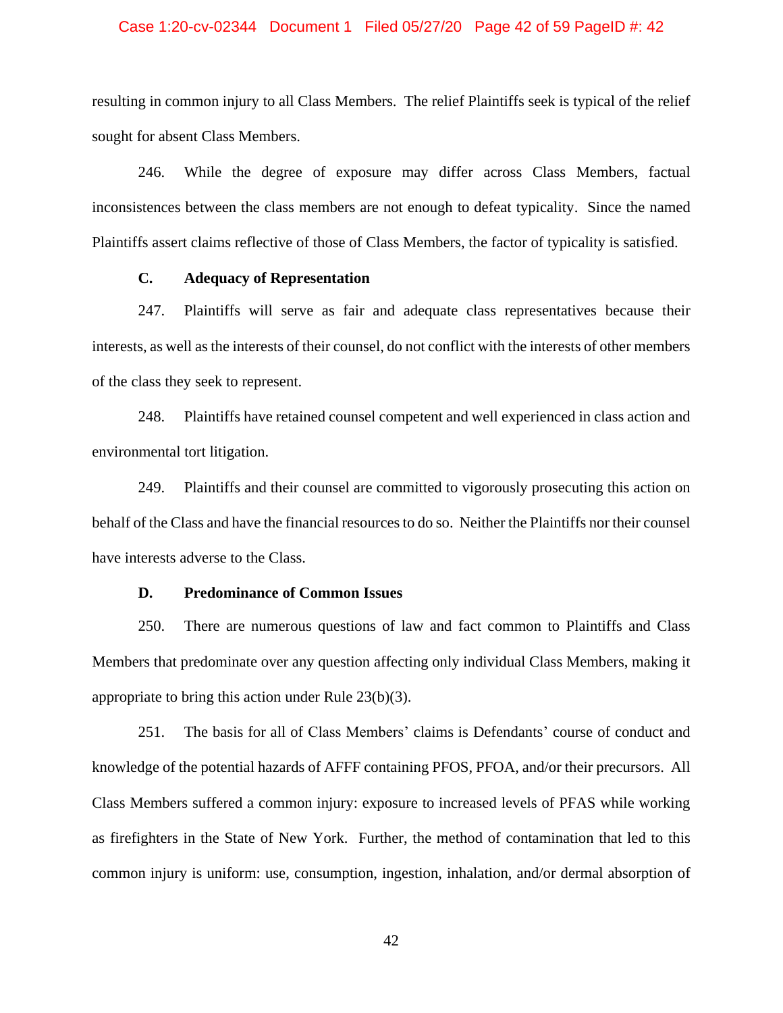## Case 1:20-cv-02344 Document 1 Filed 05/27/20 Page 42 of 59 PageID #: 42

resulting in common injury to all Class Members. The relief Plaintiffs seek is typical of the relief sought for absent Class Members.

246. While the degree of exposure may differ across Class Members, factual inconsistences between the class members are not enough to defeat typicality. Since the named Plaintiffs assert claims reflective of those of Class Members, the factor of typicality is satisfied.

# **C. Adequacy of Representation**

247. Plaintiffs will serve as fair and adequate class representatives because their interests, as well as the interests of their counsel, do not conflict with the interests of other members of the class they seek to represent.

248. Plaintiffs have retained counsel competent and well experienced in class action and environmental tort litigation.

249. Plaintiffs and their counsel are committed to vigorously prosecuting this action on behalf of the Class and have the financial resources to do so. Neither the Plaintiffs nor their counsel have interests adverse to the Class.

## **D. Predominance of Common Issues**

250. There are numerous questions of law and fact common to Plaintiffs and Class Members that predominate over any question affecting only individual Class Members, making it appropriate to bring this action under Rule 23(b)(3).

251. The basis for all of Class Members' claims is Defendants' course of conduct and knowledge of the potential hazards of AFFF containing PFOS, PFOA, and/or their precursors. All Class Members suffered a common injury: exposure to increased levels of PFAS while working as firefighters in the State of New York. Further, the method of contamination that led to this common injury is uniform: use, consumption, ingestion, inhalation, and/or dermal absorption of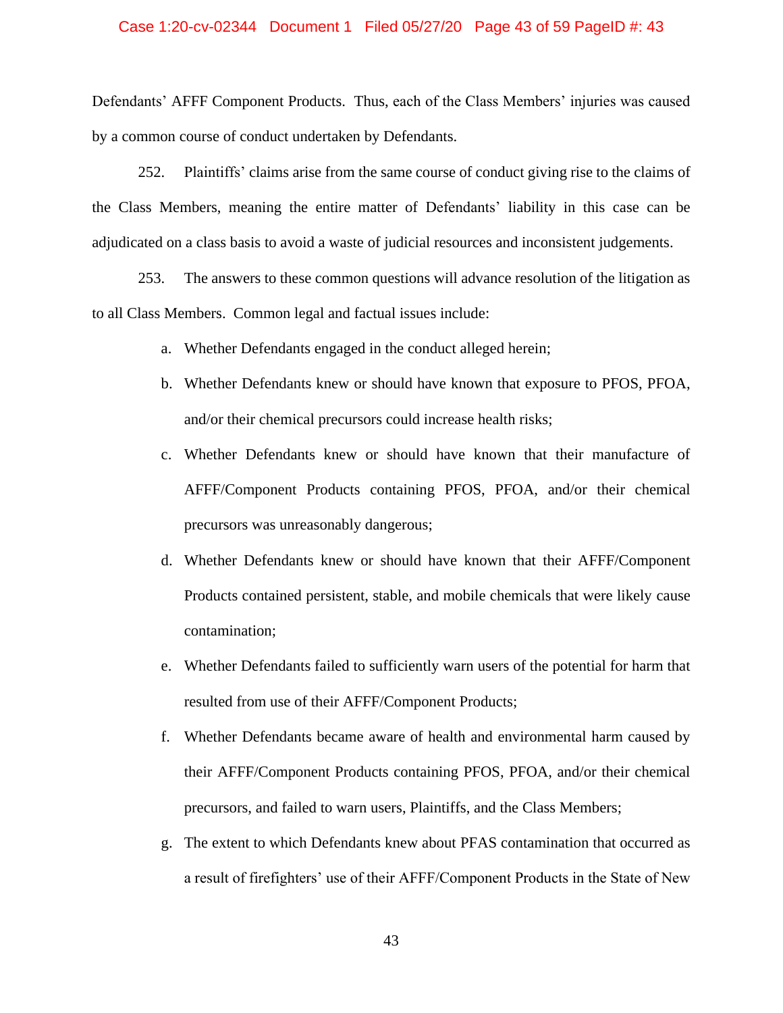### Case 1:20-cv-02344 Document 1 Filed 05/27/20 Page 43 of 59 PageID #: 43

Defendants' AFFF Component Products. Thus, each of the Class Members' injuries was caused by a common course of conduct undertaken by Defendants.

252. Plaintiffs' claims arise from the same course of conduct giving rise to the claims of the Class Members, meaning the entire matter of Defendants' liability in this case can be adjudicated on a class basis to avoid a waste of judicial resources and inconsistent judgements.

253. The answers to these common questions will advance resolution of the litigation as to all Class Members. Common legal and factual issues include:

- a. Whether Defendants engaged in the conduct alleged herein;
- b. Whether Defendants knew or should have known that exposure to PFOS, PFOA, and/or their chemical precursors could increase health risks;
- c. Whether Defendants knew or should have known that their manufacture of AFFF/Component Products containing PFOS, PFOA, and/or their chemical precursors was unreasonably dangerous;
- d. Whether Defendants knew or should have known that their AFFF/Component Products contained persistent, stable, and mobile chemicals that were likely cause contamination;
- e. Whether Defendants failed to sufficiently warn users of the potential for harm that resulted from use of their AFFF/Component Products;
- f. Whether Defendants became aware of health and environmental harm caused by their AFFF/Component Products containing PFOS, PFOA, and/or their chemical precursors, and failed to warn users, Plaintiffs, and the Class Members;
- g. The extent to which Defendants knew about PFAS contamination that occurred as a result of firefighters' use of their AFFF/Component Products in the State of New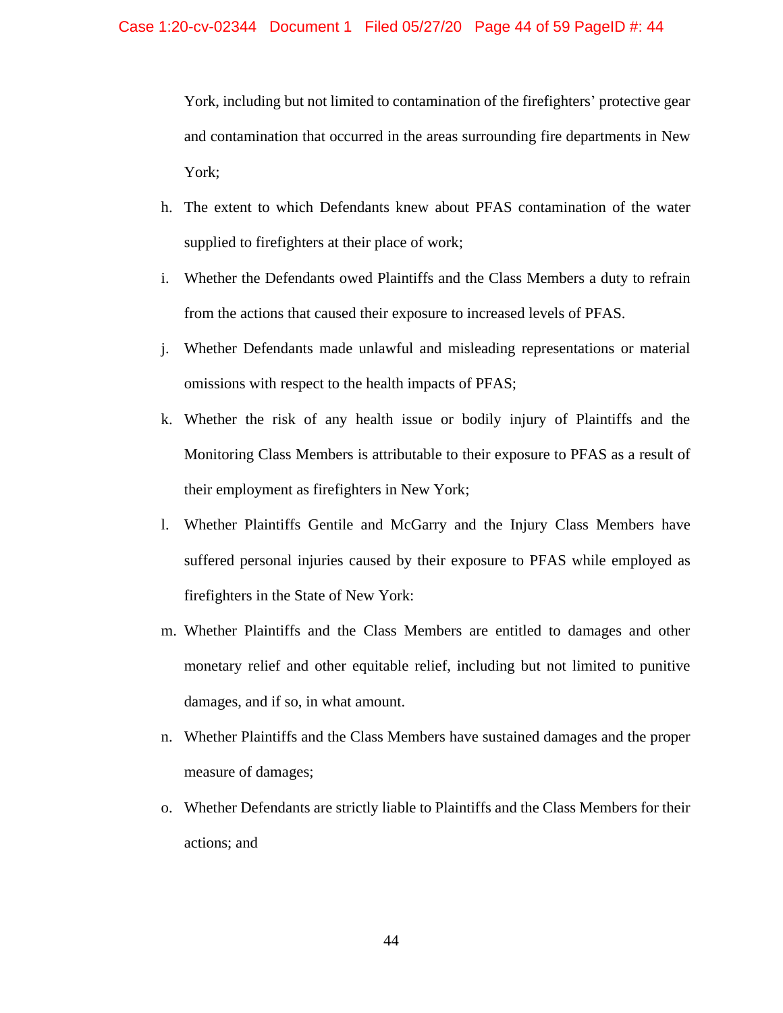York, including but not limited to contamination of the firefighters' protective gear and contamination that occurred in the areas surrounding fire departments in New York;

- h. The extent to which Defendants knew about PFAS contamination of the water supplied to firefighters at their place of work;
- i. Whether the Defendants owed Plaintiffs and the Class Members a duty to refrain from the actions that caused their exposure to increased levels of PFAS.
- j. Whether Defendants made unlawful and misleading representations or material omissions with respect to the health impacts of PFAS;
- k. Whether the risk of any health issue or bodily injury of Plaintiffs and the Monitoring Class Members is attributable to their exposure to PFAS as a result of their employment as firefighters in New York;
- l. Whether Plaintiffs Gentile and McGarry and the Injury Class Members have suffered personal injuries caused by their exposure to PFAS while employed as firefighters in the State of New York:
- m. Whether Plaintiffs and the Class Members are entitled to damages and other monetary relief and other equitable relief, including but not limited to punitive damages, and if so, in what amount.
- n. Whether Plaintiffs and the Class Members have sustained damages and the proper measure of damages;
- o. Whether Defendants are strictly liable to Plaintiffs and the Class Members for their actions; and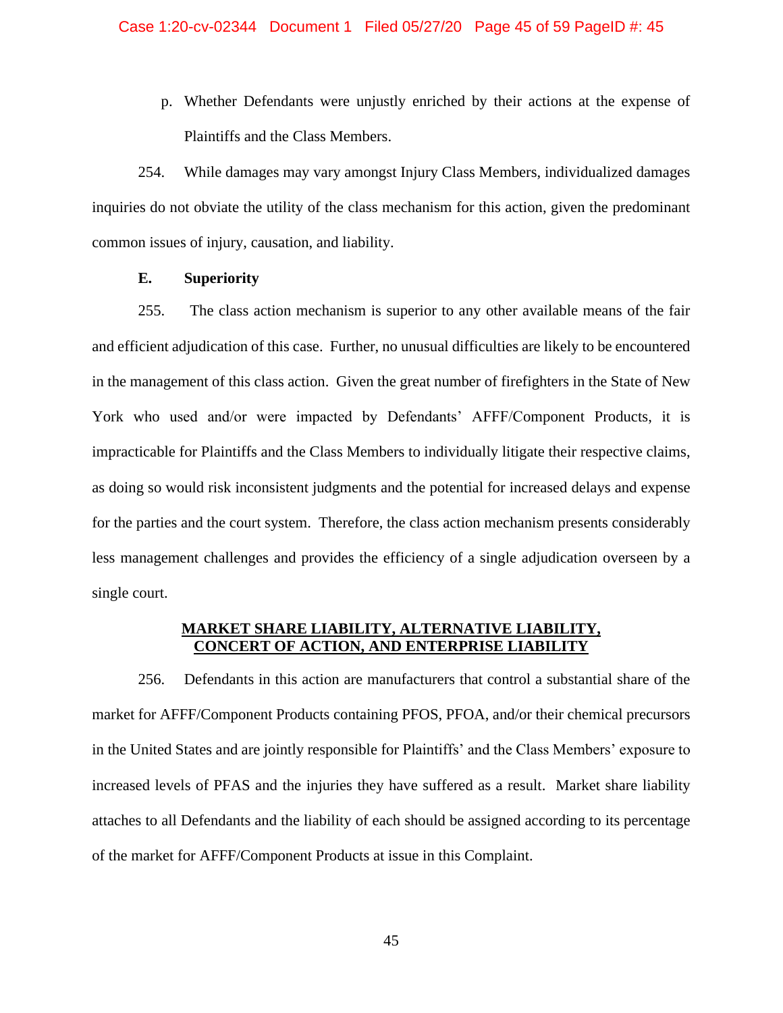p. Whether Defendants were unjustly enriched by their actions at the expense of Plaintiffs and the Class Members.

254. While damages may vary amongst Injury Class Members, individualized damages inquiries do not obviate the utility of the class mechanism for this action, given the predominant common issues of injury, causation, and liability.

# **E. Superiority**

255. The class action mechanism is superior to any other available means of the fair and efficient adjudication of this case. Further, no unusual difficulties are likely to be encountered in the management of this class action. Given the great number of firefighters in the State of New York who used and/or were impacted by Defendants' AFFF/Component Products, it is impracticable for Plaintiffs and the Class Members to individually litigate their respective claims, as doing so would risk inconsistent judgments and the potential for increased delays and expense for the parties and the court system. Therefore, the class action mechanism presents considerably less management challenges and provides the efficiency of a single adjudication overseen by a single court.

# **MARKET SHARE LIABILITY, ALTERNATIVE LIABILITY, CONCERT OF ACTION, AND ENTERPRISE LIABILITY**

256. Defendants in this action are manufacturers that control a substantial share of the market for AFFF/Component Products containing PFOS, PFOA, and/or their chemical precursors in the United States and are jointly responsible for Plaintiffs' and the Class Members' exposure to increased levels of PFAS and the injuries they have suffered as a result. Market share liability attaches to all Defendants and the liability of each should be assigned according to its percentage of the market for AFFF/Component Products at issue in this Complaint.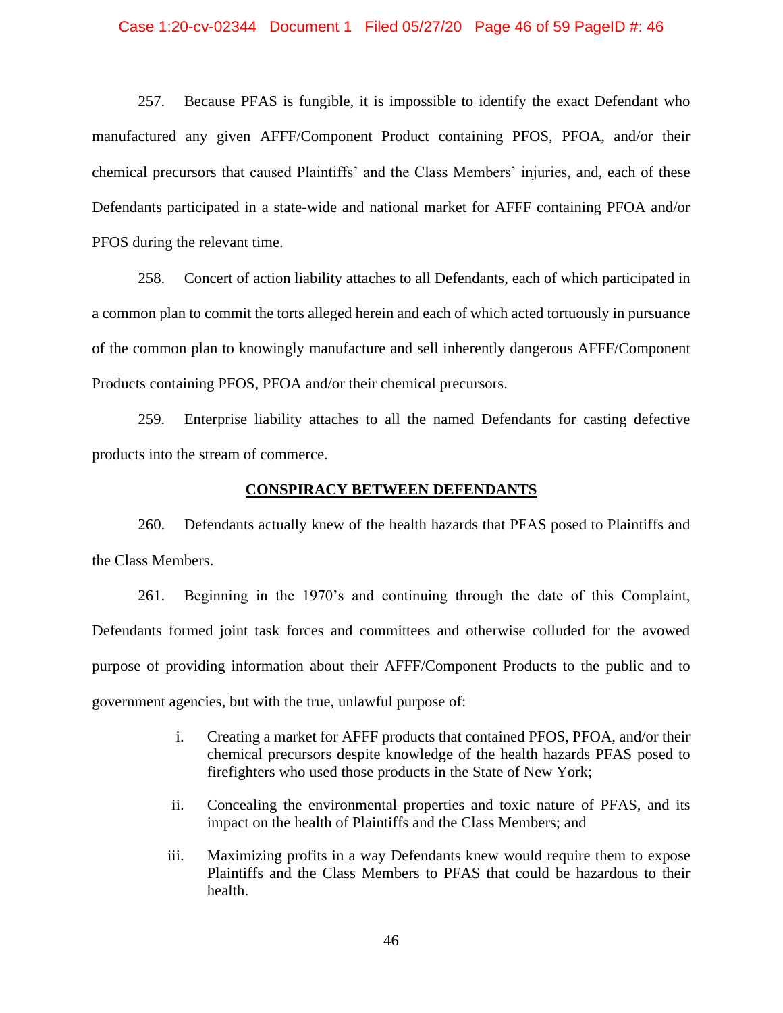#### Case 1:20-cv-02344 Document 1 Filed 05/27/20 Page 46 of 59 PageID #: 46

257. Because PFAS is fungible, it is impossible to identify the exact Defendant who manufactured any given AFFF/Component Product containing PFOS, PFOA, and/or their chemical precursors that caused Plaintiffs' and the Class Members' injuries, and, each of these Defendants participated in a state-wide and national market for AFFF containing PFOA and/or PFOS during the relevant time.

258. Concert of action liability attaches to all Defendants, each of which participated in a common plan to commit the torts alleged herein and each of which acted tortuously in pursuance of the common plan to knowingly manufacture and sell inherently dangerous AFFF/Component Products containing PFOS, PFOA and/or their chemical precursors.

259. Enterprise liability attaches to all the named Defendants for casting defective products into the stream of commerce.

### **CONSPIRACY BETWEEN DEFENDANTS**

260. Defendants actually knew of the health hazards that PFAS posed to Plaintiffs and the Class Members.

261. Beginning in the 1970's and continuing through the date of this Complaint, Defendants formed joint task forces and committees and otherwise colluded for the avowed purpose of providing information about their AFFF/Component Products to the public and to government agencies, but with the true, unlawful purpose of:

- i. Creating a market for AFFF products that contained PFOS, PFOA, and/or their chemical precursors despite knowledge of the health hazards PFAS posed to firefighters who used those products in the State of New York;
- ii. Concealing the environmental properties and toxic nature of PFAS, and its impact on the health of Plaintiffs and the Class Members; and
- iii. Maximizing profits in a way Defendants knew would require them to expose Plaintiffs and the Class Members to PFAS that could be hazardous to their health.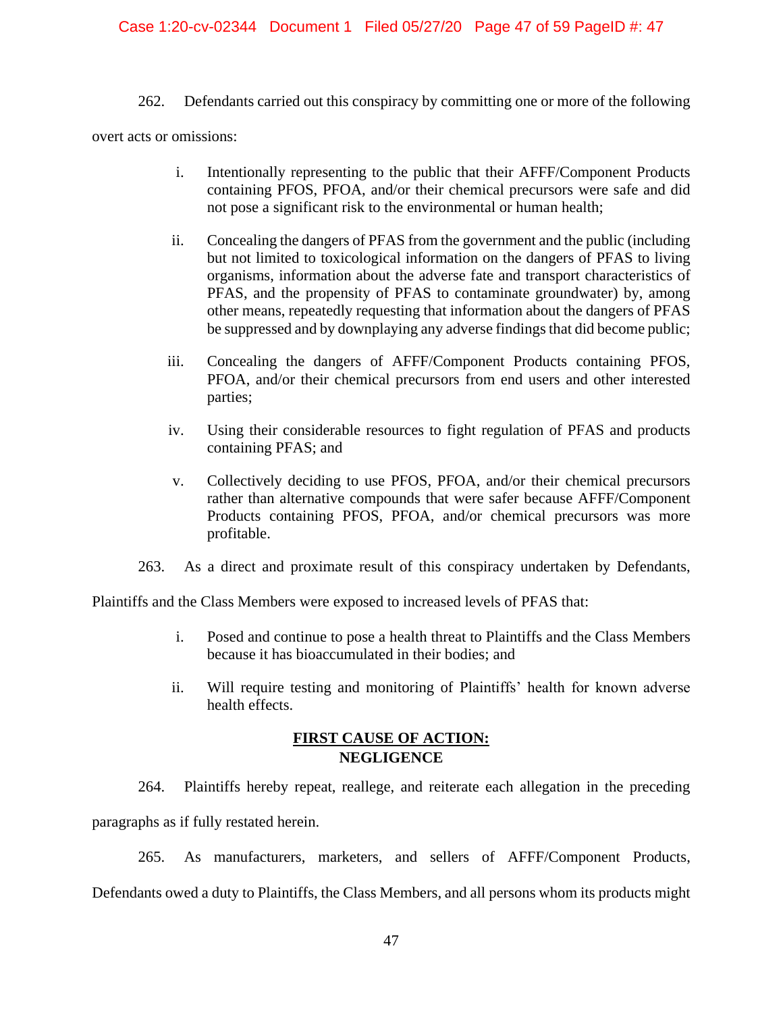# Case 1:20-cv-02344 Document 1 Filed 05/27/20 Page 47 of 59 PageID #: 47

262. Defendants carried out this conspiracy by committing one or more of the following

overt acts or omissions:

- i. Intentionally representing to the public that their AFFF/Component Products containing PFOS, PFOA, and/or their chemical precursors were safe and did not pose a significant risk to the environmental or human health;
- ii. Concealing the dangers of PFAS from the government and the public (including but not limited to toxicological information on the dangers of PFAS to living organisms, information about the adverse fate and transport characteristics of PFAS, and the propensity of PFAS to contaminate groundwater) by, among other means, repeatedly requesting that information about the dangers of PFAS be suppressed and by downplaying any adverse findings that did become public;
- iii. Concealing the dangers of AFFF/Component Products containing PFOS, PFOA, and/or their chemical precursors from end users and other interested parties;
- iv. Using their considerable resources to fight regulation of PFAS and products containing PFAS; and
- v. Collectively deciding to use PFOS, PFOA, and/or their chemical precursors rather than alternative compounds that were safer because AFFF/Component Products containing PFOS, PFOA, and/or chemical precursors was more profitable.
- 263. As a direct and proximate result of this conspiracy undertaken by Defendants,

Plaintiffs and the Class Members were exposed to increased levels of PFAS that:

- i. Posed and continue to pose a health threat to Plaintiffs and the Class Members because it has bioaccumulated in their bodies; and
- ii. Will require testing and monitoring of Plaintiffs' health for known adverse health effects.

# **FIRST CAUSE OF ACTION: NEGLIGENCE**

264. Plaintiffs hereby repeat, reallege, and reiterate each allegation in the preceding paragraphs as if fully restated herein.

265. As manufacturers, marketers, and sellers of AFFF/Component Products, Defendants owed a duty to Plaintiffs, the Class Members, and all persons whom its products might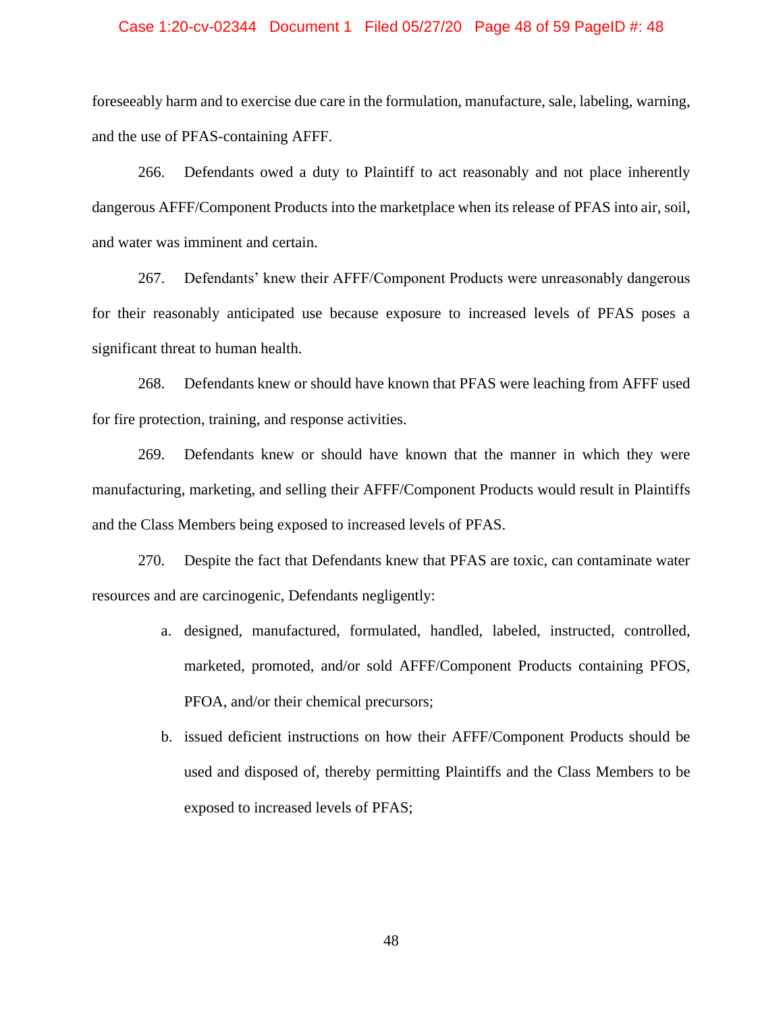#### Case 1:20-cv-02344 Document 1 Filed 05/27/20 Page 48 of 59 PageID #: 48

foreseeably harm and to exercise due care in the formulation, manufacture, sale, labeling, warning, and the use of PFAS-containing AFFF.

266. Defendants owed a duty to Plaintiff to act reasonably and not place inherently dangerous AFFF/Component Products into the marketplace when its release of PFAS into air, soil, and water was imminent and certain.

267. Defendants' knew their AFFF/Component Products were unreasonably dangerous for their reasonably anticipated use because exposure to increased levels of PFAS poses a significant threat to human health.

268. Defendants knew or should have known that PFAS were leaching from AFFF used for fire protection, training, and response activities.

269. Defendants knew or should have known that the manner in which they were manufacturing, marketing, and selling their AFFF/Component Products would result in Plaintiffs and the Class Members being exposed to increased levels of PFAS.

270. Despite the fact that Defendants knew that PFAS are toxic, can contaminate water resources and are carcinogenic, Defendants negligently:

- a. designed, manufactured, formulated, handled, labeled, instructed, controlled, marketed, promoted, and/or sold AFFF/Component Products containing PFOS, PFOA, and/or their chemical precursors;
- b. issued deficient instructions on how their AFFF/Component Products should be used and disposed of, thereby permitting Plaintiffs and the Class Members to be exposed to increased levels of PFAS;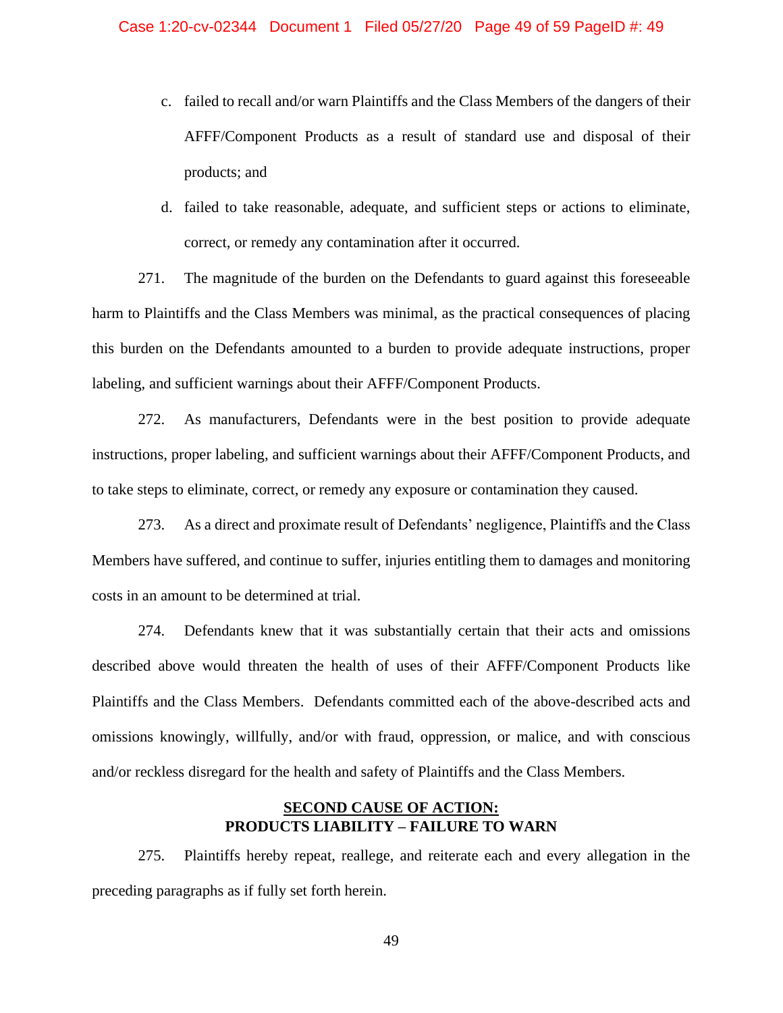- c. failed to recall and/or warn Plaintiffs and the Class Members of the dangers of their AFFF/Component Products as a result of standard use and disposal of their products; and
- d. failed to take reasonable, adequate, and sufficient steps or actions to eliminate, correct, or remedy any contamination after it occurred.

271. The magnitude of the burden on the Defendants to guard against this foreseeable harm to Plaintiffs and the Class Members was minimal, as the practical consequences of placing this burden on the Defendants amounted to a burden to provide adequate instructions, proper labeling, and sufficient warnings about their AFFF/Component Products.

272. As manufacturers, Defendants were in the best position to provide adequate instructions, proper labeling, and sufficient warnings about their AFFF/Component Products, and to take steps to eliminate, correct, or remedy any exposure or contamination they caused.

273. As a direct and proximate result of Defendants' negligence, Plaintiffs and the Class Members have suffered, and continue to suffer, injuries entitling them to damages and monitoring costs in an amount to be determined at trial.

274. Defendants knew that it was substantially certain that their acts and omissions described above would threaten the health of uses of their AFFF/Component Products like Plaintiffs and the Class Members. Defendants committed each of the above-described acts and omissions knowingly, willfully, and/or with fraud, oppression, or malice, and with conscious and/or reckless disregard for the health and safety of Plaintiffs and the Class Members.

# **SECOND CAUSE OF ACTION: PRODUCTS LIABILITY – FAILURE TO WARN**

275. Plaintiffs hereby repeat, reallege, and reiterate each and every allegation in the preceding paragraphs as if fully set forth herein.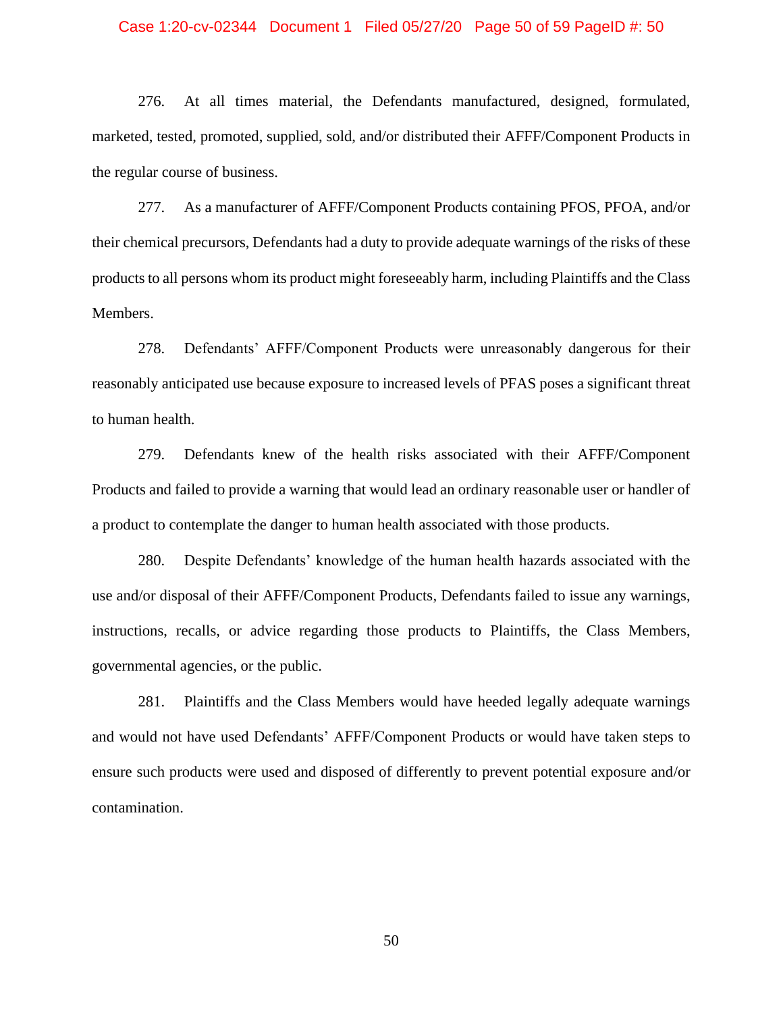## Case 1:20-cv-02344 Document 1 Filed 05/27/20 Page 50 of 59 PageID #: 50

276. At all times material, the Defendants manufactured, designed, formulated, marketed, tested, promoted, supplied, sold, and/or distributed their AFFF/Component Products in the regular course of business.

277. As a manufacturer of AFFF/Component Products containing PFOS, PFOA, and/or their chemical precursors, Defendants had a duty to provide adequate warnings of the risks of these products to all persons whom its product might foreseeably harm, including Plaintiffs and the Class Members.

278. Defendants' AFFF/Component Products were unreasonably dangerous for their reasonably anticipated use because exposure to increased levels of PFAS poses a significant threat to human health.

279. Defendants knew of the health risks associated with their AFFF/Component Products and failed to provide a warning that would lead an ordinary reasonable user or handler of a product to contemplate the danger to human health associated with those products.

280. Despite Defendants' knowledge of the human health hazards associated with the use and/or disposal of their AFFF/Component Products, Defendants failed to issue any warnings, instructions, recalls, or advice regarding those products to Plaintiffs, the Class Members, governmental agencies, or the public.

281. Plaintiffs and the Class Members would have heeded legally adequate warnings and would not have used Defendants' AFFF/Component Products or would have taken steps to ensure such products were used and disposed of differently to prevent potential exposure and/or contamination.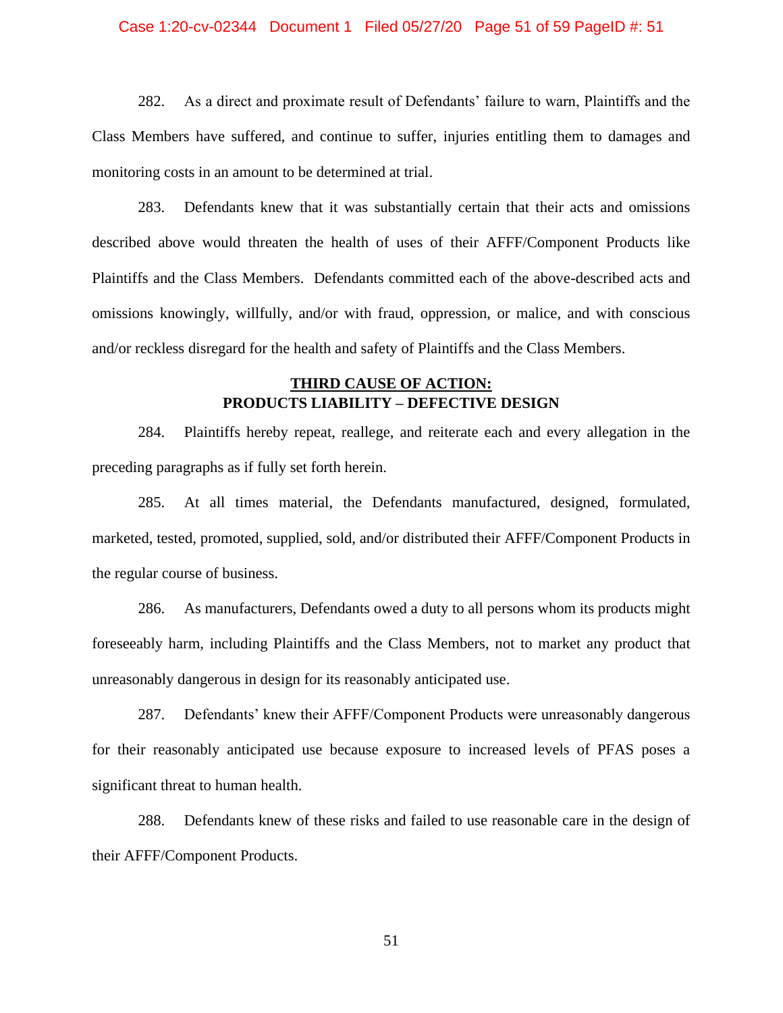#### Case 1:20-cv-02344 Document 1 Filed 05/27/20 Page 51 of 59 PageID #: 51

282. As a direct and proximate result of Defendants' failure to warn, Plaintiffs and the Class Members have suffered, and continue to suffer, injuries entitling them to damages and monitoring costs in an amount to be determined at trial.

283. Defendants knew that it was substantially certain that their acts and omissions described above would threaten the health of uses of their AFFF/Component Products like Plaintiffs and the Class Members. Defendants committed each of the above-described acts and omissions knowingly, willfully, and/or with fraud, oppression, or malice, and with conscious and/or reckless disregard for the health and safety of Plaintiffs and the Class Members.

# **THIRD CAUSE OF ACTION: PRODUCTS LIABILITY – DEFECTIVE DESIGN**

284. Plaintiffs hereby repeat, reallege, and reiterate each and every allegation in the preceding paragraphs as if fully set forth herein.

285. At all times material, the Defendants manufactured, designed, formulated, marketed, tested, promoted, supplied, sold, and/or distributed their AFFF/Component Products in the regular course of business.

286. As manufacturers, Defendants owed a duty to all persons whom its products might foreseeably harm, including Plaintiffs and the Class Members, not to market any product that unreasonably dangerous in design for its reasonably anticipated use.

287. Defendants' knew their AFFF/Component Products were unreasonably dangerous for their reasonably anticipated use because exposure to increased levels of PFAS poses a significant threat to human health.

288. Defendants knew of these risks and failed to use reasonable care in the design of their AFFF/Component Products.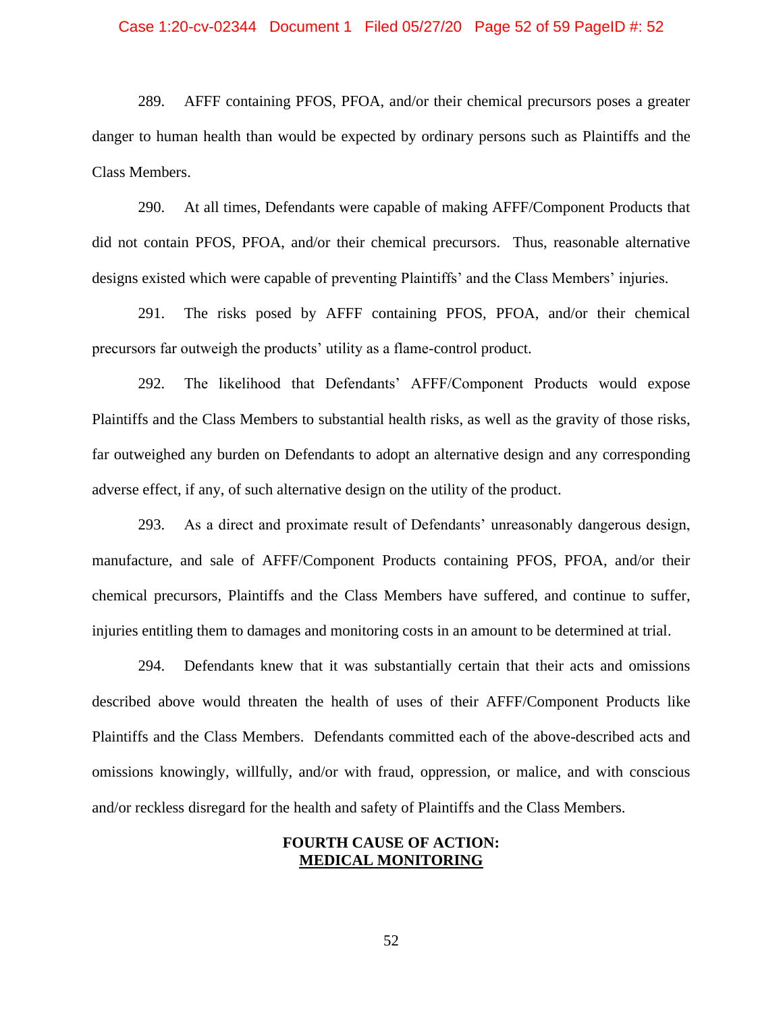#### Case 1:20-cv-02344 Document 1 Filed 05/27/20 Page 52 of 59 PageID #: 52

289. AFFF containing PFOS, PFOA, and/or their chemical precursors poses a greater danger to human health than would be expected by ordinary persons such as Plaintiffs and the Class Members.

290. At all times, Defendants were capable of making AFFF/Component Products that did not contain PFOS, PFOA, and/or their chemical precursors. Thus, reasonable alternative designs existed which were capable of preventing Plaintiffs' and the Class Members' injuries.

291. The risks posed by AFFF containing PFOS, PFOA, and/or their chemical precursors far outweigh the products' utility as a flame-control product.

292. The likelihood that Defendants' AFFF/Component Products would expose Plaintiffs and the Class Members to substantial health risks, as well as the gravity of those risks, far outweighed any burden on Defendants to adopt an alternative design and any corresponding adverse effect, if any, of such alternative design on the utility of the product.

293. As a direct and proximate result of Defendants' unreasonably dangerous design, manufacture, and sale of AFFF/Component Products containing PFOS, PFOA, and/or their chemical precursors, Plaintiffs and the Class Members have suffered, and continue to suffer, injuries entitling them to damages and monitoring costs in an amount to be determined at trial.

294. Defendants knew that it was substantially certain that their acts and omissions described above would threaten the health of uses of their AFFF/Component Products like Plaintiffs and the Class Members. Defendants committed each of the above-described acts and omissions knowingly, willfully, and/or with fraud, oppression, or malice, and with conscious and/or reckless disregard for the health and safety of Plaintiffs and the Class Members.

## **FOURTH CAUSE OF ACTION: MEDICAL MONITORING**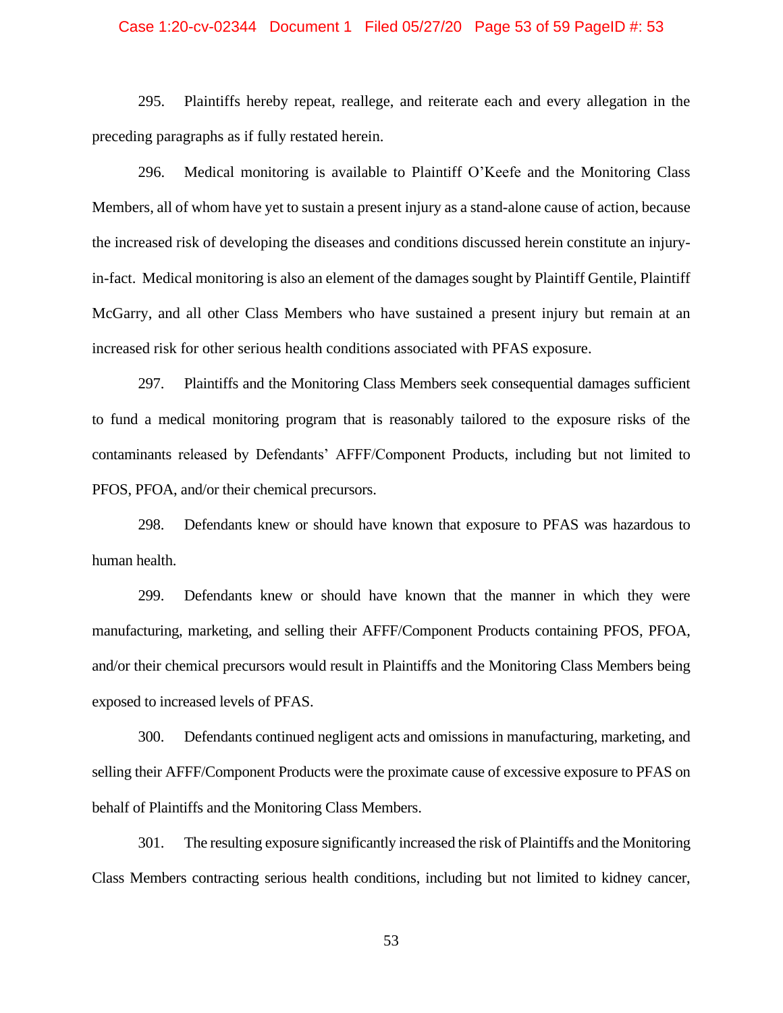#### Case 1:20-cv-02344 Document 1 Filed 05/27/20 Page 53 of 59 PageID #: 53

295. Plaintiffs hereby repeat, reallege, and reiterate each and every allegation in the preceding paragraphs as if fully restated herein.

296. Medical monitoring is available to Plaintiff O'Keefe and the Monitoring Class Members, all of whom have yet to sustain a present injury as a stand-alone cause of action, because the increased risk of developing the diseases and conditions discussed herein constitute an injuryin-fact. Medical monitoring is also an element of the damages sought by Plaintiff Gentile, Plaintiff McGarry, and all other Class Members who have sustained a present injury but remain at an increased risk for other serious health conditions associated with PFAS exposure.

297. Plaintiffs and the Monitoring Class Members seek consequential damages sufficient to fund a medical monitoring program that is reasonably tailored to the exposure risks of the contaminants released by Defendants' AFFF/Component Products, including but not limited to PFOS, PFOA, and/or their chemical precursors.

298. Defendants knew or should have known that exposure to PFAS was hazardous to human health.

299. Defendants knew or should have known that the manner in which they were manufacturing, marketing, and selling their AFFF/Component Products containing PFOS, PFOA, and/or their chemical precursors would result in Plaintiffs and the Monitoring Class Members being exposed to increased levels of PFAS.

300. Defendants continued negligent acts and omissions in manufacturing, marketing, and selling their AFFF/Component Products were the proximate cause of excessive exposure to PFAS on behalf of Plaintiffs and the Monitoring Class Members.

301. The resulting exposure significantly increased the risk of Plaintiffs and the Monitoring Class Members contracting serious health conditions, including but not limited to kidney cancer,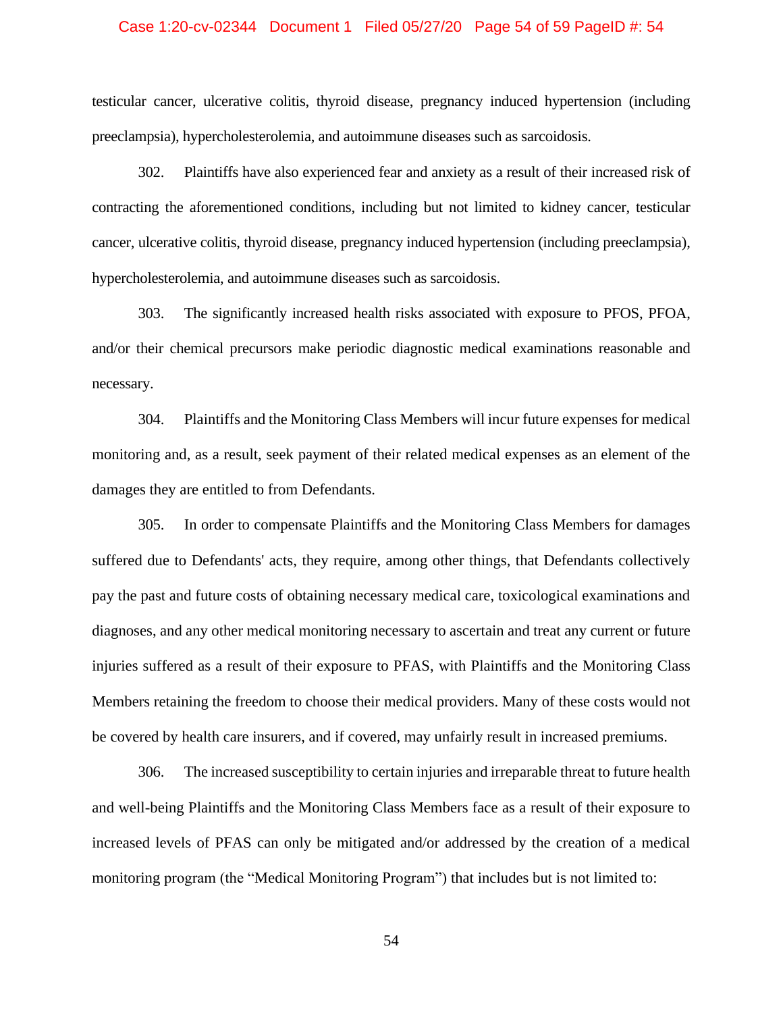#### Case 1:20-cv-02344 Document 1 Filed 05/27/20 Page 54 of 59 PageID #: 54

testicular cancer, ulcerative colitis, thyroid disease, pregnancy induced hypertension (including preeclampsia), hypercholesterolemia, and autoimmune diseases such as sarcoidosis.

302. Plaintiffs have also experienced fear and anxiety as a result of their increased risk of contracting the aforementioned conditions, including but not limited to kidney cancer, testicular cancer, ulcerative colitis, thyroid disease, pregnancy induced hypertension (including preeclampsia), hypercholesterolemia, and autoimmune diseases such as sarcoidosis.

303. The significantly increased health risks associated with exposure to PFOS, PFOA, and/or their chemical precursors make periodic diagnostic medical examinations reasonable and necessary.

304. Plaintiffs and the Monitoring Class Members will incur future expenses for medical monitoring and, as a result, seek payment of their related medical expenses as an element of the damages they are entitled to from Defendants.

305. In order to compensate Plaintiffs and the Monitoring Class Members for damages suffered due to Defendants' acts, they require, among other things, that Defendants collectively pay the past and future costs of obtaining necessary medical care, toxicological examinations and diagnoses, and any other medical monitoring necessary to ascertain and treat any current or future injuries suffered as a result of their exposure to PFAS, with Plaintiffs and the Monitoring Class Members retaining the freedom to choose their medical providers. Many of these costs would not be covered by health care insurers, and if covered, may unfairly result in increased premiums.

306. The increased susceptibility to certain injuries and irreparable threat to future health and well-being Plaintiffs and the Monitoring Class Members face as a result of their exposure to increased levels of PFAS can only be mitigated and/or addressed by the creation of a medical monitoring program (the "Medical Monitoring Program") that includes but is not limited to: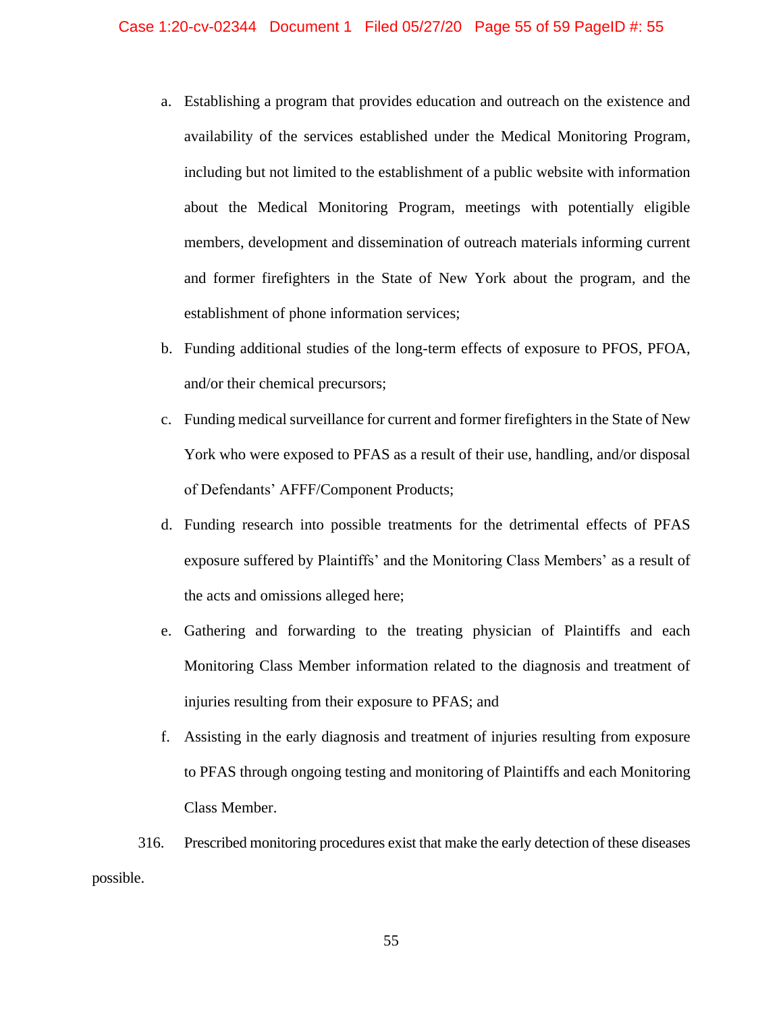- a. Establishing a program that provides education and outreach on the existence and availability of the services established under the Medical Monitoring Program, including but not limited to the establishment of a public website with information about the Medical Monitoring Program, meetings with potentially eligible members, development and dissemination of outreach materials informing current and former firefighters in the State of New York about the program, and the establishment of phone information services;
- b. Funding additional studies of the long-term effects of exposure to PFOS, PFOA, and/or their chemical precursors;
- c. Funding medical surveillance for current and former firefighters in the State of New York who were exposed to PFAS as a result of their use, handling, and/or disposal of Defendants' AFFF/Component Products;
- d. Funding research into possible treatments for the detrimental effects of PFAS exposure suffered by Plaintiffs' and the Monitoring Class Members' as a result of the acts and omissions alleged here;
- e. Gathering and forwarding to the treating physician of Plaintiffs and each Monitoring Class Member information related to the diagnosis and treatment of injuries resulting from their exposure to PFAS; and
- f. Assisting in the early diagnosis and treatment of injuries resulting from exposure to PFAS through ongoing testing and monitoring of Plaintiffs and each Monitoring Class Member.
- 316. Prescribed monitoring procedures exist that make the early detection of these diseases possible.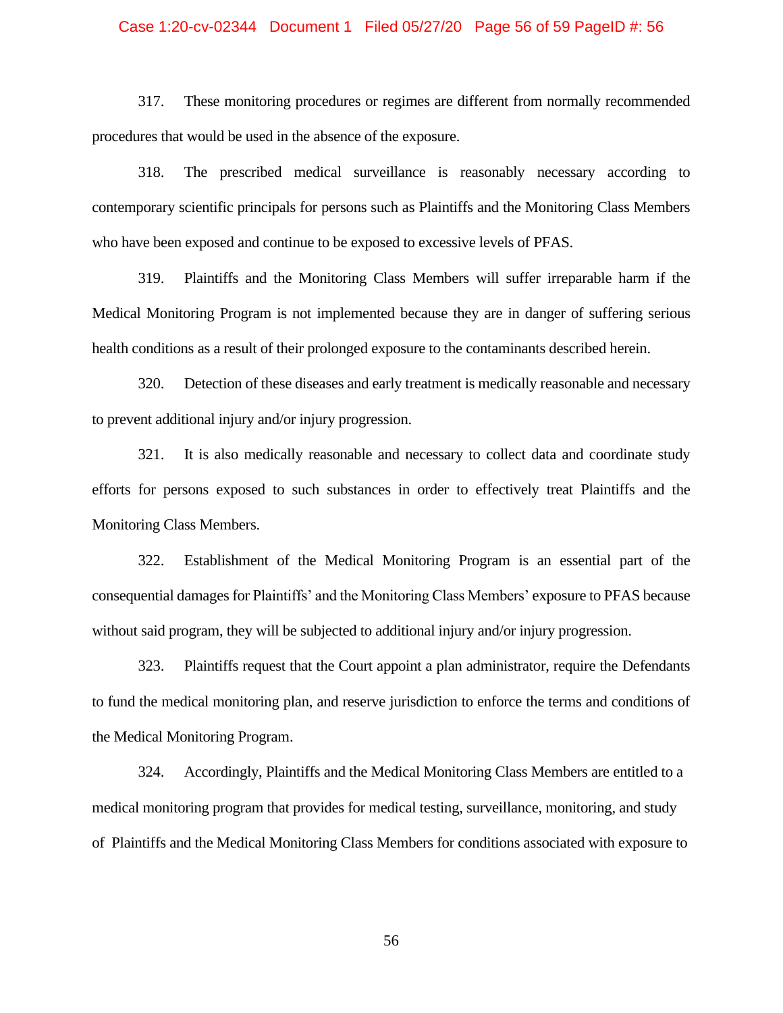## Case 1:20-cv-02344 Document 1 Filed 05/27/20 Page 56 of 59 PageID #: 56

317. These monitoring procedures or regimes are different from normally recommended procedures that would be used in the absence of the exposure.

318. The prescribed medical surveillance is reasonably necessary according to contemporary scientific principals for persons such as Plaintiffs and the Monitoring Class Members who have been exposed and continue to be exposed to excessive levels of PFAS.

319. Plaintiffs and the Monitoring Class Members will suffer irreparable harm if the Medical Monitoring Program is not implemented because they are in danger of suffering serious health conditions as a result of their prolonged exposure to the contaminants described herein.

320. Detection of these diseases and early treatment is medically reasonable and necessary to prevent additional injury and/or injury progression.

321. It is also medically reasonable and necessary to collect data and coordinate study efforts for persons exposed to such substances in order to effectively treat Plaintiffs and the Monitoring Class Members.

322. Establishment of the Medical Monitoring Program is an essential part of the consequential damages for Plaintiffs' and the Monitoring Class Members' exposure to PFAS because without said program, they will be subjected to additional injury and/or injury progression.

323. Plaintiffs request that the Court appoint a plan administrator, require the Defendants to fund the medical monitoring plan, and reserve jurisdiction to enforce the terms and conditions of the Medical Monitoring Program.

324. Accordingly, Plaintiffs and the Medical Monitoring Class Members are entitled to a medical monitoring program that provides for medical testing, surveillance, monitoring, and study of Plaintiffs and the Medical Monitoring Class Members for conditions associated with exposure to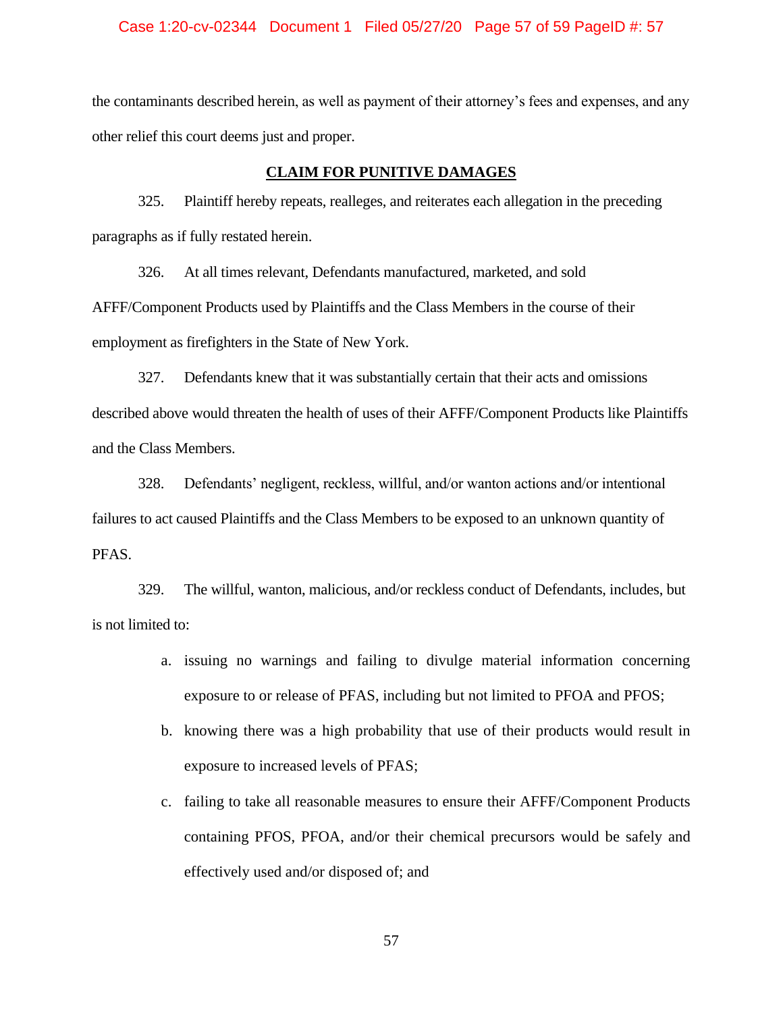## Case 1:20-cv-02344 Document 1 Filed 05/27/20 Page 57 of 59 PageID #: 57

the contaminants described herein, as well as payment of their attorney's fees and expenses, and any other relief this court deems just and proper.

### **CLAIM FOR PUNITIVE DAMAGES**

325. Plaintiff hereby repeats, realleges, and reiterates each allegation in the preceding paragraphs as if fully restated herein.

326. At all times relevant, Defendants manufactured, marketed, and sold

AFFF/Component Products used by Plaintiffs and the Class Members in the course of their employment as firefighters in the State of New York.

327. Defendants knew that it was substantially certain that their acts and omissions described above would threaten the health of uses of their AFFF/Component Products like Plaintiffs and the Class Members.

328. Defendants' negligent, reckless, willful, and/or wanton actions and/or intentional failures to act caused Plaintiffs and the Class Members to be exposed to an unknown quantity of PFAS.

329. The willful, wanton, malicious, and/or reckless conduct of Defendants, includes, but is not limited to:

- a. issuing no warnings and failing to divulge material information concerning exposure to or release of PFAS, including but not limited to PFOA and PFOS;
- b. knowing there was a high probability that use of their products would result in exposure to increased levels of PFAS;
- c. failing to take all reasonable measures to ensure their AFFF/Component Products containing PFOS, PFOA, and/or their chemical precursors would be safely and effectively used and/or disposed of; and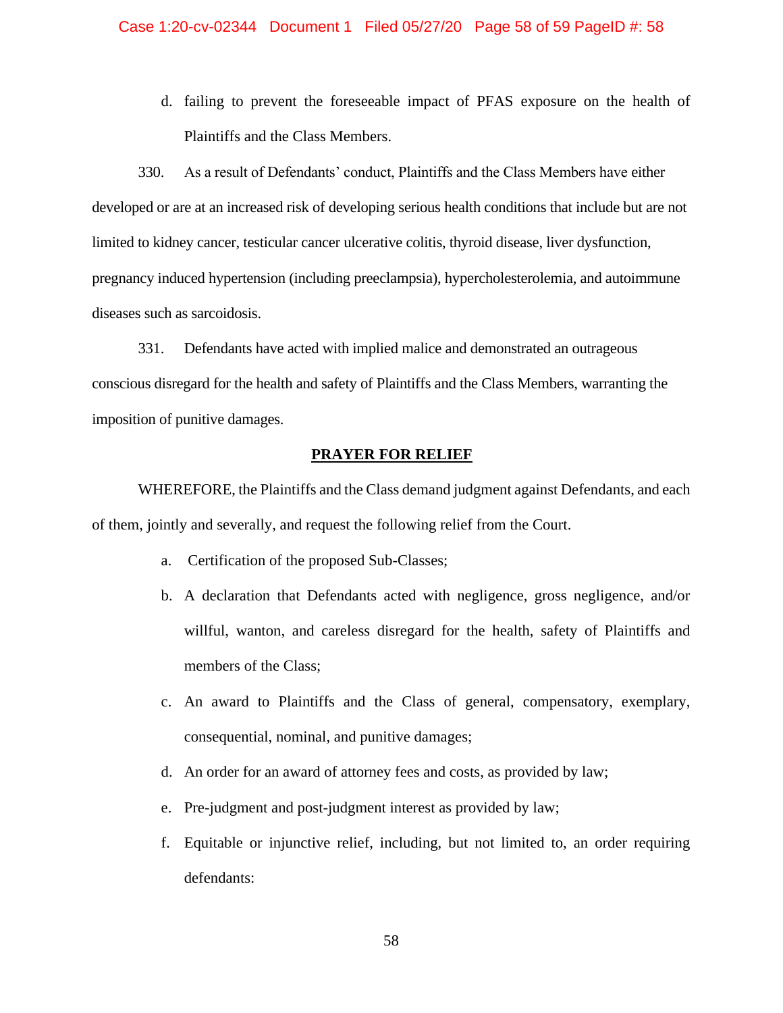#### Case 1:20-cv-02344 Document 1 Filed 05/27/20 Page 58 of 59 PageID #: 58

d. failing to prevent the foreseeable impact of PFAS exposure on the health of Plaintiffs and the Class Members.

330. As a result of Defendants' conduct, Plaintiffs and the Class Members have either developed or are at an increased risk of developing serious health conditions that include but are not limited to kidney cancer, testicular cancer ulcerative colitis, thyroid disease, liver dysfunction, pregnancy induced hypertension (including preeclampsia), hypercholesterolemia, and autoimmune diseases such as sarcoidosis.

331. Defendants have acted with implied malice and demonstrated an outrageous conscious disregard for the health and safety of Plaintiffs and the Class Members, warranting the imposition of punitive damages.

## **PRAYER FOR RELIEF**

WHEREFORE, the Plaintiffs and the Class demand judgment against Defendants, and each of them, jointly and severally, and request the following relief from the Court.

- a. Certification of the proposed Sub-Classes;
- b. A declaration that Defendants acted with negligence, gross negligence, and/or willful, wanton, and careless disregard for the health, safety of Plaintiffs and members of the Class;
- c. An award to Plaintiffs and the Class of general, compensatory, exemplary, consequential, nominal, and punitive damages;
- d. An order for an award of attorney fees and costs, as provided by law;
- e. Pre-judgment and post-judgment interest as provided by law;
- f. Equitable or injunctive relief, including, but not limited to, an order requiring defendants: